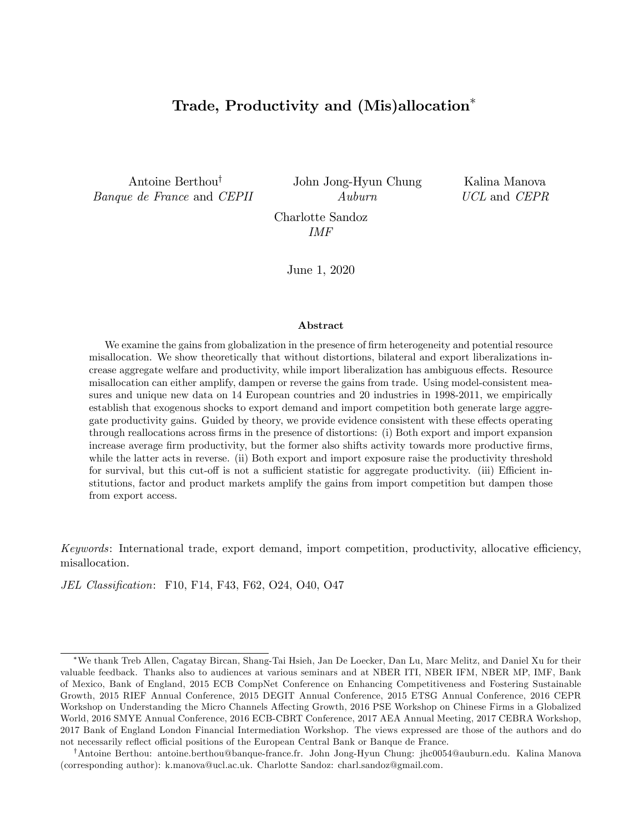# Trade, Productivity and (Mis)allocation

Antoine Berthou<sup>†</sup> Banque de France and CEPII John Jong-Hyun Chung Auburn

Kalina Manova UCL and CEPR

Charlotte Sandoz IMF

June 1, 2020

#### Abstract

We examine the gains from globalization in the presence of firm heterogeneity and potential resource misallocation. We show theoretically that without distortions, bilateral and export liberalizations increase aggregate welfare and productivity, while import liberalization has ambiguous effects. Resource misallocation can either amplify, dampen or reverse the gains from trade. Using model-consistent measures and unique new data on 14 European countries and 20 industries in 1998-2011, we empirically establish that exogenous shocks to export demand and import competition both generate large aggregate productivity gains. Guided by theory, we provide evidence consistent with these effects operating through reallocations across Örms in the presence of distortions: (i) Both export and import expansion increase average firm productivity, but the former also shifts activity towards more productive firms, while the latter acts in reverse. (ii) Both export and import exposure raise the productivity threshold for survival, but this cut-off is not a sufficient statistic for aggregate productivity. (iii) Efficient institutions, factor and product markets amplify the gains from import competition but dampen those from export access.

Keywords: International trade, export demand, import competition, productivity, allocative efficiency, misallocation.

JEL Classification: F10, F14, F43, F62, O24, O40, O47

We thank Treb Allen, Cagatay Bircan, Shang-Tai Hsieh, Jan De Loecker, Dan Lu, Marc Melitz, and Daniel Xu for their valuable feedback. Thanks also to audiences at various seminars and at NBER ITI, NBER IFM, NBER MP, IMF, Bank of Mexico, Bank of England, 2015 ECB CompNet Conference on Enhancing Competitiveness and Fostering Sustainable Growth, 2015 RIEF Annual Conference, 2015 DEGIT Annual Conference, 2015 ETSG Annual Conference, 2016 CEPR Workshop on Understanding the Micro Channels Affecting Growth, 2016 PSE Workshop on Chinese Firms in a Globalized World, 2016 SMYE Annual Conference, 2016 ECB-CBRT Conference, 2017 AEA Annual Meeting, 2017 CEBRA Workshop, 2017 Bank of England London Financial Intermediation Workshop. The views expressed are those of the authors and do not necessarily reflect official positions of the European Central Bank or Banque de France.

<sup>&</sup>lt;sup>†</sup>Antoine Berthou: antoine.berthou@banque-france.fr. John Jong-Hyun Chung: jhc0054@auburn.edu. Kalina Manova (corresponding author): k.manova@ucl.ac.uk. Charlotte Sandoz: charl.sandoz@gmail.com.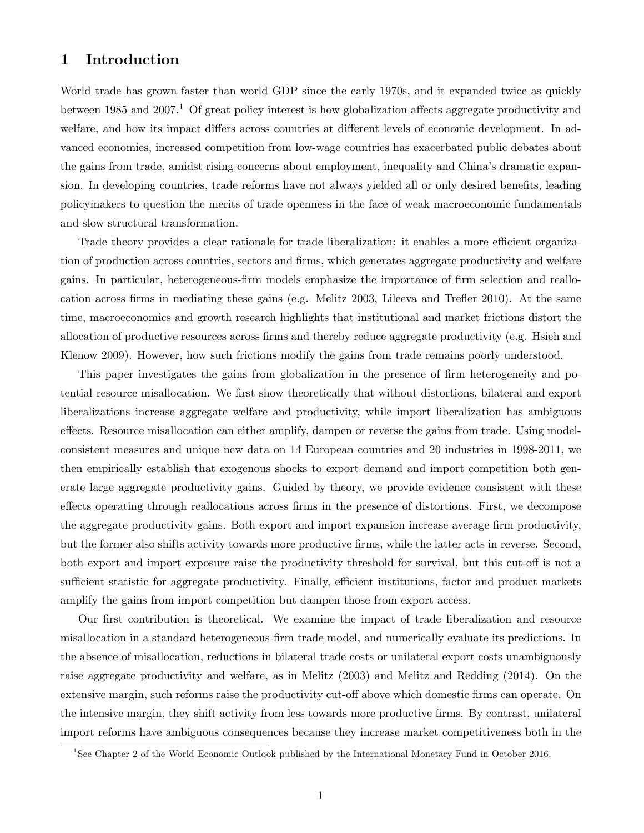# 1 Introduction

World trade has grown faster than world GDP since the early 1970s, and it expanded twice as quickly between 1985 and 2007.<sup>1</sup> Of great policy interest is how globalization affects aggregate productivity and welfare, and how its impact differs across countries at different levels of economic development. In advanced economies, increased competition from low-wage countries has exacerbated public debates about the gains from trade, amidst rising concerns about employment, inequality and China's dramatic expansion. In developing countries, trade reforms have not always yielded all or only desired benefits, leading policymakers to question the merits of trade openness in the face of weak macroeconomic fundamentals and slow structural transformation.

Trade theory provides a clear rationale for trade liberalization: it enables a more efficient organization of production across countries, sectors and firms, which generates aggregate productivity and welfare gains. In particular, heterogeneous-firm models emphasize the importance of firm selection and reallocation across firms in mediating these gains (e.g. Melitz  $2003$ , Lileeva and Trefler  $2010$ ). At the same time, macroeconomics and growth research highlights that institutional and market frictions distort the allocation of productive resources across Örms and thereby reduce aggregate productivity (e.g. Hsieh and Klenow 2009). However, how such frictions modify the gains from trade remains poorly understood.

This paper investigates the gains from globalization in the presence of firm heterogeneity and potential resource misallocation. We first show theoretically that without distortions, bilateral and export liberalizations increase aggregate welfare and productivity, while import liberalization has ambiguous effects. Resource misallocation can either amplify, dampen or reverse the gains from trade. Using modelconsistent measures and unique new data on 14 European countries and 20 industries in 1998-2011, we then empirically establish that exogenous shocks to export demand and import competition both generate large aggregate productivity gains. Guided by theory, we provide evidence consistent with these effects operating through reallocations across firms in the presence of distortions. First, we decompose the aggregate productivity gains. Both export and import expansion increase average firm productivity, but the former also shifts activity towards more productive firms, while the latter acts in reverse. Second, both export and import exposure raise the productivity threshold for survival, but this cut-off is not a sufficient statistic for aggregate productivity. Finally, efficient institutions, factor and product markets amplify the gains from import competition but dampen those from export access.

Our first contribution is theoretical. We examine the impact of trade liberalization and resource misallocation in a standard heterogeneous-firm trade model, and numerically evaluate its predictions. In the absence of misallocation, reductions in bilateral trade costs or unilateral export costs unambiguously raise aggregate productivity and welfare, as in Melitz (2003) and Melitz and Redding (2014). On the extensive margin, such reforms raise the productivity cut-off above which domestic firms can operate. On the intensive margin, they shift activity from less towards more productive Örms. By contrast, unilateral import reforms have ambiguous consequences because they increase market competitiveness both in the

<sup>&</sup>lt;sup>1</sup>See Chapter 2 of the World Economic Outlook published by the International Monetary Fund in October 2016.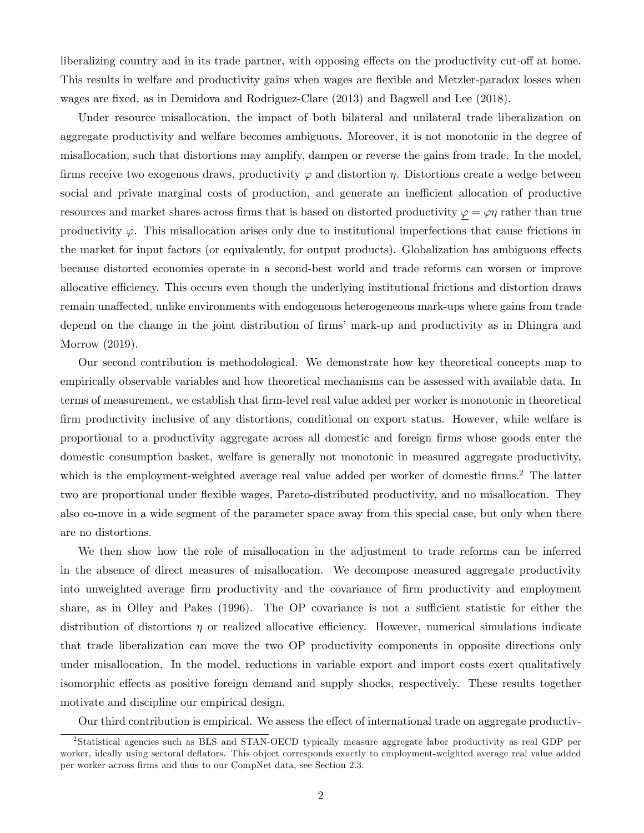liberalizing country and in its trade partner, with opposing effects on the productivity cut-off at home. This results in welfare and productivity gains when wages are flexible and Metzler-paradox losses when wages are fixed, as in Demidova and Rodriguez-Clare (2013) and Bagwell and Lee (2018).

Under resource misallocation, the impact of both bilateral and unilateral trade liberalization on aggregate productivity and welfare becomes ambiguous. Moreover, it is not monotonic in the degree of misallocation, such that distortions may amplify, dampen or reverse the gains from trade. In the model, firms receive two exogenous draws, productivity  $\varphi$  and distortion  $\eta$ . Distortions create a wedge between social and private marginal costs of production, and generate an inefficient allocation of productive resources and market shares across firms that is based on distorted productivity  $\varphi = \varphi \eta$  rather than true productivity  $\varphi$ . This misallocation arises only due to institutional imperfections that cause frictions in the market for input factors (or equivalently, for output products). Globalization has ambiguous effects because distorted economies operate in a second-best world and trade reforms can worsen or improve allocative efficiency. This occurs even though the underlying institutional frictions and distortion draws remain unaffected, unlike environments with endogenous heterogeneous mark-ups where gains from trade depend on the change in the joint distribution of firms' mark-up and productivity as in Dhingra and Morrow (2019).

Our second contribution is methodological. We demonstrate how key theoretical concepts map to empirically observable variables and how theoretical mechanisms can be assessed with available data. In terms of measurement, we establish that Örm-level real value added per worker is monotonic in theoretical firm productivity inclusive of any distortions, conditional on export status. However, while welfare is proportional to a productivity aggregate across all domestic and foreign Örms whose goods enter the domestic consumption basket, welfare is generally not monotonic in measured aggregate productivity, which is the employment-weighted average real value added per worker of domestic firms.<sup>2</sup> The latter two are proportional under flexible wages, Pareto-distributed productivity, and no misallocation. They also co-move in a wide segment of the parameter space away from this special case, but only when there are no distortions.

We then show how the role of misallocation in the adjustment to trade reforms can be inferred in the absence of direct measures of misallocation. We decompose measured aggregate productivity into unweighted average firm productivity and the covariance of firm productivity and employment share, as in Olley and Pakes  $(1996)$ . The OP covariance is not a sufficient statistic for either the distribution of distortions  $\eta$  or realized allocative efficiency. However, numerical simulations indicate that trade liberalization can move the two OP productivity components in opposite directions only under misallocation. In the model, reductions in variable export and import costs exert qualitatively isomorphic effects as positive foreign demand and supply shocks, respectively. These results together motivate and discipline our empirical design.

Our third contribution is empirical. We assess the effect of international trade on aggregate productiv-

<sup>2</sup> Statistical agencies such as BLS and STAN-OECD typically measure aggregate labor productivity as real GDP per worker, ideally using sectoral deflators. This object corresponds exactly to employment-weighted average real value added per worker across Örms and thus to our CompNet data, see Section 2.3.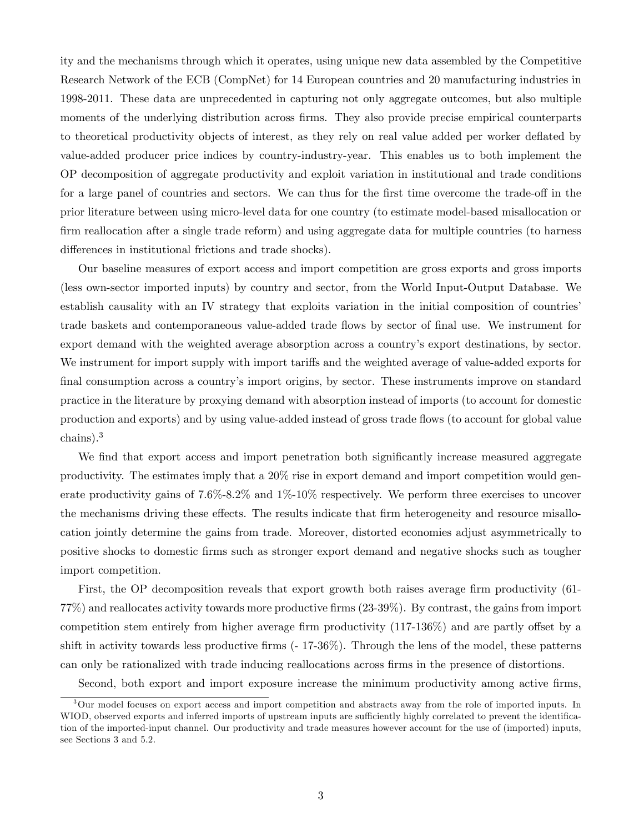ity and the mechanisms through which it operates, using unique new data assembled by the Competitive Research Network of the ECB (CompNet) for 14 European countries and 20 manufacturing industries in 1998-2011. These data are unprecedented in capturing not only aggregate outcomes, but also multiple moments of the underlying distribution across firms. They also provide precise empirical counterparts to theoretical productivity objects of interest, as they rely on real value added per worker deáated by value-added producer price indices by country-industry-year. This enables us to both implement the OP decomposition of aggregate productivity and exploit variation in institutional and trade conditions for a large panel of countries and sectors. We can thus for the first time overcome the trade-off in the prior literature between using micro-level data for one country (to estimate model-based misallocation or firm reallocation after a single trade reform) and using aggregate data for multiple countries (to harness differences in institutional frictions and trade shocks).

Our baseline measures of export access and import competition are gross exports and gross imports (less own-sector imported inputs) by country and sector, from the World Input-Output Database. We establish causality with an IV strategy that exploits variation in the initial composition of countries' trade baskets and contemporaneous value-added trade flows by sector of final use. We instrument for export demand with the weighted average absorption across a countryís export destinations, by sector. We instrument for import supply with import tariffs and the weighted average of value-added exports for final consumption across a country's import origins, by sector. These instruments improve on standard practice in the literature by proxying demand with absorption instead of imports (to account for domestic production and exports) and by using value-added instead of gross trade áows (to account for global value chains).<sup>3</sup>

We find that export access and import penetration both significantly increase measured aggregate productivity. The estimates imply that a 20% rise in export demand and import competition would generate productivity gains of 7.6%-8.2% and 1%-10% respectively. We perform three exercises to uncover the mechanisms driving these effects. The results indicate that firm heterogeneity and resource misallocation jointly determine the gains from trade. Moreover, distorted economies adjust asymmetrically to positive shocks to domestic Örms such as stronger export demand and negative shocks such as tougher import competition.

First, the OP decomposition reveals that export growth both raises average firm productivity (61-77%) and reallocates activity towards more productive Örms (23-39%). By contrast, the gains from import competition stem entirely from higher average firm productivity  $(117-136%)$  and are partly offset by a shift in activity towards less productive firms  $(-17-36\%)$ . Through the lens of the model, these patterns can only be rationalized with trade inducing reallocations across Örms in the presence of distortions.

Second, both export and import exposure increase the minimum productivity among active firms,

<sup>&</sup>lt;sup>3</sup>Our model focuses on export access and import competition and abstracts away from the role of imported inputs. In WIOD, observed exports and inferred imports of upstream inputs are sufficiently highly correlated to prevent the identification of the imported-input channel. Our productivity and trade measures however account for the use of (imported) inputs, see Sections 3 and 5.2.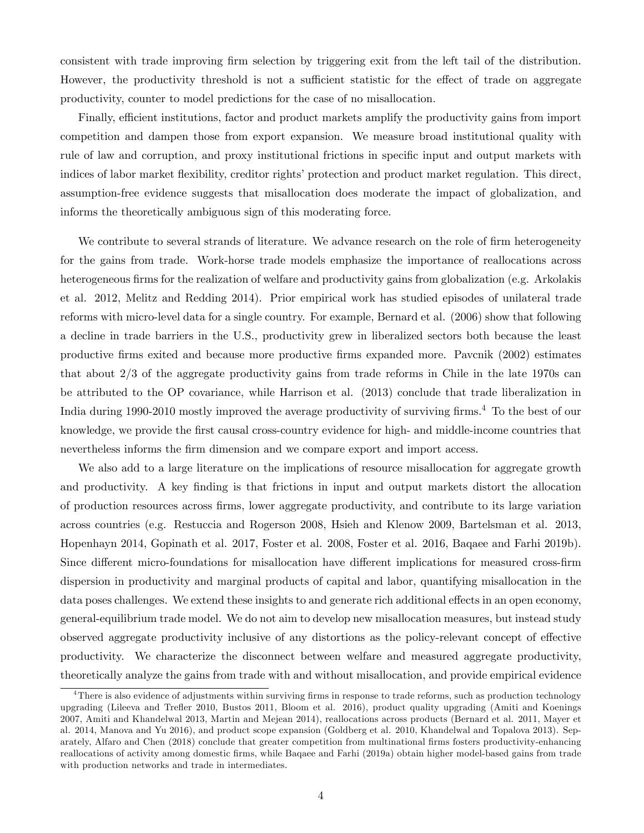consistent with trade improving Örm selection by triggering exit from the left tail of the distribution. However, the productivity threshold is not a sufficient statistic for the effect of trade on aggregate productivity, counter to model predictions for the case of no misallocation.

Finally, efficient institutions, factor and product markets amplify the productivity gains from import competition and dampen those from export expansion. We measure broad institutional quality with rule of law and corruption, and proxy institutional frictions in specific input and output markets with indices of labor market flexibility, creditor rights' protection and product market regulation. This direct, assumption-free evidence suggests that misallocation does moderate the impact of globalization, and informs the theoretically ambiguous sign of this moderating force.

We contribute to several strands of literature. We advance research on the role of firm heterogeneity for the gains from trade. Work-horse trade models emphasize the importance of reallocations across heterogeneous firms for the realization of welfare and productivity gains from globalization (e.g. Arkolakis et al. 2012, Melitz and Redding 2014). Prior empirical work has studied episodes of unilateral trade reforms with micro-level data for a single country. For example, Bernard et al. (2006) show that following a decline in trade barriers in the U.S., productivity grew in liberalized sectors both because the least productive Örms exited and because more productive Örms expanded more. Pavcnik (2002) estimates that about 2/3 of the aggregate productivity gains from trade reforms in Chile in the late 1970s can be attributed to the OP covariance, while Harrison et al. (2013) conclude that trade liberalization in India during 1990-2010 mostly improved the average productivity of surviving firms.<sup>4</sup> To the best of our knowledge, we provide the Örst causal cross-country evidence for high- and middle-income countries that nevertheless informs the firm dimension and we compare export and import access.

We also add to a large literature on the implications of resource misallocation for aggregate growth and productivity. A key finding is that frictions in input and output markets distort the allocation of production resources across Örms, lower aggregate productivity, and contribute to its large variation across countries (e.g. Restuccia and Rogerson 2008, Hsieh and Klenow 2009, Bartelsman et al. 2013, Hopenhayn 2014, Gopinath et al. 2017, Foster et al. 2008, Foster et al. 2016, Baqaee and Farhi 2019b). Since different micro-foundations for misallocation have different implications for measured cross-firm dispersion in productivity and marginal products of capital and labor, quantifying misallocation in the data poses challenges. We extend these insights to and generate rich additional effects in an open economy, general-equilibrium trade model. We do not aim to develop new misallocation measures, but instead study observed aggregate productivity inclusive of any distortions as the policy-relevant concept of effective productivity. We characterize the disconnect between welfare and measured aggregate productivity, theoretically analyze the gains from trade with and without misallocation, and provide empirical evidence

 $^{4}$ There is also evidence of adjustments within surviving firms in response to trade reforms, such as production technology upgrading (Lileeva and Treáer 2010, Bustos 2011, Bloom et al. 2016), product quality upgrading (Amiti and Koenings 2007, Amiti and Khandelwal 2013, Martin and Mejean 2014), reallocations across products (Bernard et al. 2011, Mayer et al. 2014, Manova and Yu 2016), and product scope expansion (Goldberg et al. 2010, Khandelwal and Topalova 2013). Separately, Alfaro and Chen (2018) conclude that greater competition from multinational firms fosters productivity-enhancing reallocations of activity among domestic Örms, while Baqaee and Farhi (2019a) obtain higher model-based gains from trade with production networks and trade in intermediates.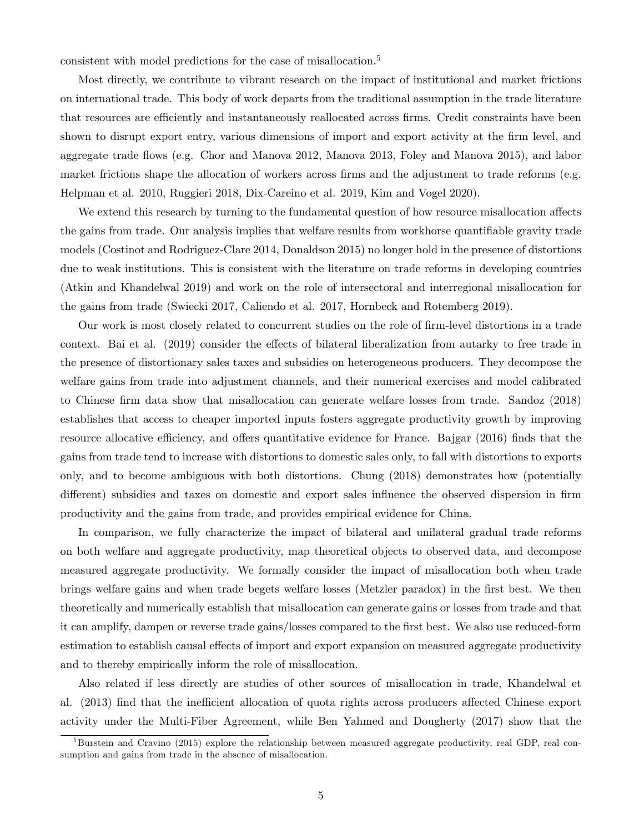consistent with model predictions for the case of misallocation.<sup>5</sup>

Most directly, we contribute to vibrant research on the impact of institutional and market frictions on international trade. This body of work departs from the traditional assumption in the trade literature that resources are efficiently and instantaneously reallocated across firms. Credit constraints have been shown to disrupt export entry, various dimensions of import and export activity at the firm level, and aggregate trade áows (e.g. Chor and Manova 2012, Manova 2013, Foley and Manova 2015), and labor market frictions shape the allocation of workers across firms and the adjustment to trade reforms (e.g. Helpman et al. 2010, Ruggieri 2018, Dix-Careino et al. 2019, Kim and Vogel 2020).

We extend this research by turning to the fundamental question of how resource misallocation affects the gains from trade. Our analysis implies that welfare results from workhorse quantifiable gravity trade models (Costinot and Rodriguez-Clare 2014, Donaldson 2015) no longer hold in the presence of distortions due to weak institutions. This is consistent with the literature on trade reforms in developing countries (Atkin and Khandelwal 2019) and work on the role of intersectoral and interregional misallocation for the gains from trade (Swiecki 2017, Caliendo et al. 2017, Hornbeck and Rotemberg 2019).

Our work is most closely related to concurrent studies on the role of Örm-level distortions in a trade context. Bai et al. (2019) consider the effects of bilateral liberalization from autarky to free trade in the presence of distortionary sales taxes and subsidies on heterogeneous producers. They decompose the welfare gains from trade into adjustment channels, and their numerical exercises and model calibrated to Chinese firm data show that misallocation can generate welfare losses from trade. Sandoz (2018) establishes that access to cheaper imported inputs fosters aggregate productivity growth by improving resource allocative efficiency, and offers quantitative evidence for France. Bajgar (2016) finds that the gains from trade tend to increase with distortions to domestic sales only, to fall with distortions to exports only, and to become ambiguous with both distortions. Chung (2018) demonstrates how (potentially different) subsidies and taxes on domestic and export sales influence the observed dispersion in firm productivity and the gains from trade, and provides empirical evidence for China.

In comparison, we fully characterize the impact of bilateral and unilateral gradual trade reforms on both welfare and aggregate productivity, map theoretical objects to observed data, and decompose measured aggregate productivity. We formally consider the impact of misallocation both when trade brings welfare gains and when trade begets welfare losses (Metzler paradox) in the first best. We then theoretically and numerically establish that misallocation can generate gains or losses from trade and that it can amplify, dampen or reverse trade gains/losses compared to the first best. We also use reduced-form estimation to establish causal effects of import and export expansion on measured aggregate productivity and to thereby empirically inform the role of misallocation.

Also related if less directly are studies of other sources of misallocation in trade, Khandelwal et al. (2013) find that the inefficient allocation of quota rights across producers affected Chinese export activity under the Multi-Fiber Agreement, while Ben Yahmed and Dougherty (2017) show that the

 $5B$ urstein and Cravino (2015) explore the relationship between measured aggregate productivity, real GDP, real consumption and gains from trade in the absence of misallocation.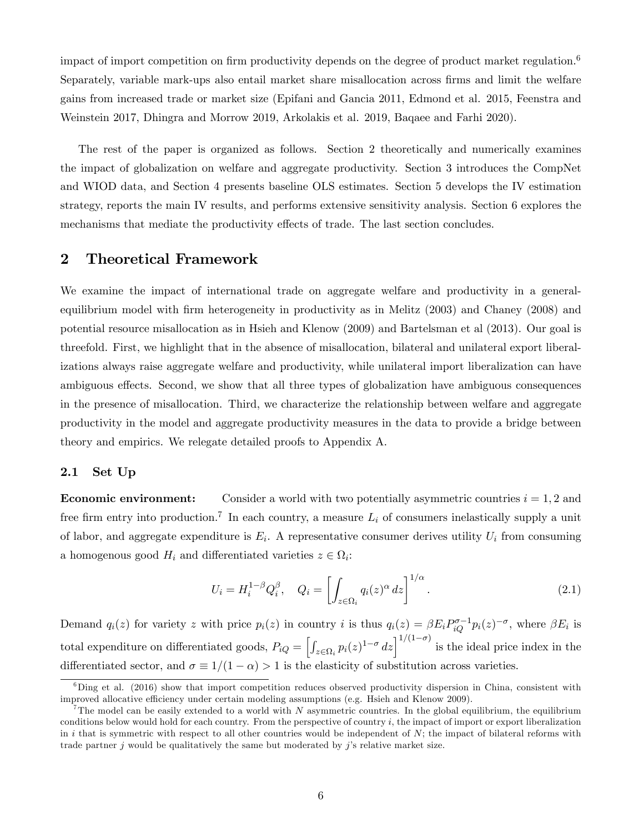impact of import competition on firm productivity depends on the degree of product market regulation.<sup>6</sup> Separately, variable mark-ups also entail market share misallocation across Örms and limit the welfare gains from increased trade or market size (Epifani and Gancia 2011, Edmond et al. 2015, Feenstra and Weinstein 2017, Dhingra and Morrow 2019, Arkolakis et al. 2019, Baqaee and Farhi 2020).

The rest of the paper is organized as follows. Section 2 theoretically and numerically examines the impact of globalization on welfare and aggregate productivity. Section 3 introduces the CompNet and WIOD data, and Section 4 presents baseline OLS estimates. Section 5 develops the IV estimation strategy, reports the main IV results, and performs extensive sensitivity analysis. Section 6 explores the mechanisms that mediate the productivity effects of trade. The last section concludes.

## 2 Theoretical Framework

We examine the impact of international trade on aggregate welfare and productivity in a generalequilibrium model with Örm heterogeneity in productivity as in Melitz (2003) and Chaney (2008) and potential resource misallocation as in Hsieh and Klenow (2009) and Bartelsman et al (2013). Our goal is threefold. First, we highlight that in the absence of misallocation, bilateral and unilateral export liberalizations always raise aggregate welfare and productivity, while unilateral import liberalization can have ambiguous effects. Second, we show that all three types of globalization have ambiguous consequences in the presence of misallocation. Third, we characterize the relationship between welfare and aggregate productivity in the model and aggregate productivity measures in the data to provide a bridge between theory and empirics. We relegate detailed proofs to Appendix A.

### 2.1 Set Up

**Economic environment:** Consider a world with two potentially asymmetric countries  $i = 1, 2$  and free firm entry into production.<sup>7</sup> In each country, a measure  $L_i$  of consumers inelastically supply a unit of labor, and aggregate expenditure is  $E_i$ . A representative consumer derives utility  $U_i$  from consuming a homogenous good  $H_i$  and differentiated varieties  $z \in \Omega_i$ :

$$
U_i = H_i^{1-\beta} Q_i^{\beta}, \quad Q_i = \left[ \int_{z \in \Omega_i} q_i(z)^{\alpha} dz \right]^{1/\alpha}.
$$
 (2.1)

Demand  $q_i(z)$  for variety z with price  $p_i(z)$  in country i is thus  $q_i(z) = \beta E_i P_{iQ}^{\sigma-1} p_i(z)^{-\sigma}$ , where  $\beta E_i$  is total expenditure on differentiated goods,  $P_{iQ} = \left[ \int \right]$  $\left[\sum_{z \in \Omega_i} p_i(z)^{1-\sigma} dz\right]^{1/(1-\sigma)}$  is the ideal price index in the differentiated sector, and  $\sigma \equiv 1/(1 - \alpha) > 1$  is the elasticity of substitution across varieties.

 ${}^{6}$ Ding et al. (2016) show that import competition reduces observed productivity dispersion in China, consistent with improved allocative efficiency under certain modeling assumptions (e.g. Hsieh and Klenow 2009).

<sup>&</sup>lt;sup>7</sup>The model can be easily extended to a world with N asymmetric countries. In the global equilibrium, the equilibrium conditions below would hold for each country. From the perspective of country  $i$ , the impact of import or export liberalization in  $i$  that is symmetric with respect to all other countries would be independent of  $N$ ; the impact of bilateral reforms with trade partner  $j$  would be qualitatively the same but moderated by  $j$ 's relative market size.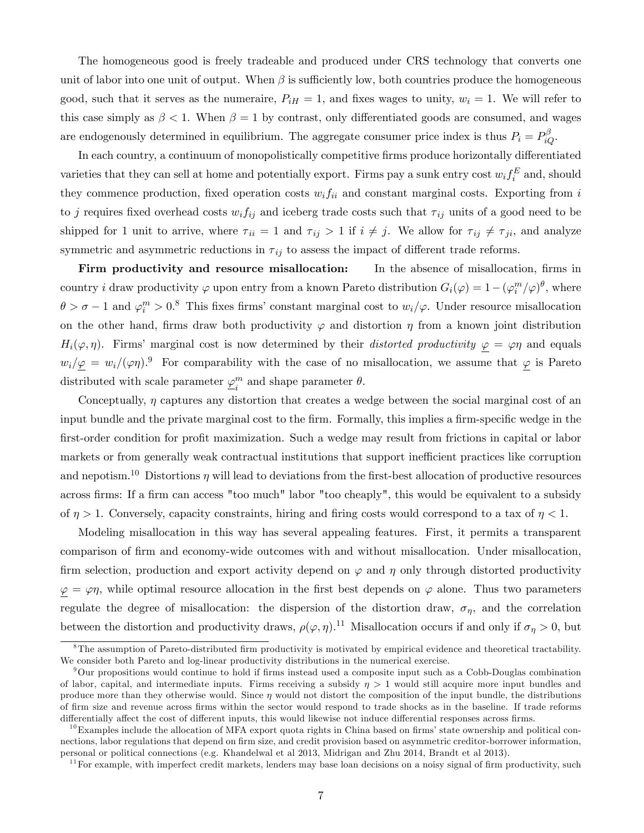The homogeneous good is freely tradeable and produced under CRS technology that converts one unit of labor into one unit of output. When  $\beta$  is sufficiently low, both countries produce the homogeneous good, such that it serves as the numeraire,  $P_{iH} = 1$ , and fixes wages to unity,  $w_i = 1$ . We will refer to this case simply as  $\beta$  < 1. When  $\beta = 1$  by contrast, only differentiated goods are consumed, and wages are endogenously determined in equilibrium. The aggregate consumer price index is thus  $P_i = P_{iQ}^{\beta}$ .

In each country, a continuum of monopolistically competitive firms produce horizontally differentiated varieties that they can sell at home and potentially export. Firms pay a sunk entry cost  $w_i f_i^E$  and, should they commence production, fixed operation costs  $w_i f_{ii}$  and constant marginal costs. Exporting from i to j requires fixed overhead costs  $w_i f_{ij}$  and iceberg trade costs such that  $\tau_{ij}$  units of a good need to be shipped for 1 unit to arrive, where  $\tau_{ii} = 1$  and  $\tau_{ij} > 1$  if  $i \neq j$ . We allow for  $\tau_{ij} \neq \tau_{ji}$ , and analyze symmetric and asymmetric reductions in  $\tau_{ij}$  to assess the impact of different trade reforms.

Firm productivity and resource misallocation: In the absence of misallocation, firms in country *i* draw productivity  $\varphi$  upon entry from a known Pareto distribution  $G_i(\varphi) = 1 - (\varphi_i^m/\varphi)^\theta$ , where  $\theta > \sigma - 1$  and  $\varphi_i^m > 0$ .<sup>8</sup> This fixes firms' constant marginal cost to  $w_i/\varphi$ . Under resource misallocation on the other hand, firms draw both productivity  $\varphi$  and distortion  $\eta$  from a known joint distribution  $H_i(\varphi, \eta)$ . Firms' marginal cost is now determined by their *distorted productivity*  $\varphi = \varphi \eta$  and equals  $w_i/\varphi = w_i/(\varphi \eta)^{9}$  For comparability with the case of no misallocation, we assume that  $\varphi$  is Pareto distributed with scale parameter  $\varphi_i^m$  $\binom{m}{i}$  and shape parameter  $\theta$ .

Conceptually,  $\eta$  captures any distortion that creates a wedge between the social marginal cost of an input bundle and the private marginal cost to the firm. Formally, this implies a firm-specific wedge in the first-order condition for profit maximization. Such a wedge may result from frictions in capital or labor markets or from generally weak contractual institutions that support inefficient practices like corruption and nepotism.<sup>10</sup> Distortions  $\eta$  will lead to deviations from the first-best allocation of productive resources across firms: If a firm can access "too much" labor "too cheaply", this would be equivalent to a subsidy of  $\eta > 1$ . Conversely, capacity constraints, hiring and firing costs would correspond to a tax of  $\eta < 1$ .

Modeling misallocation in this way has several appealing features. First, it permits a transparent comparison of Örm and economy-wide outcomes with and without misallocation. Under misallocation, firm selection, production and export activity depend on  $\varphi$  and  $\eta$  only through distorted productivity  $\varphi = \varphi \eta$ , while optimal resource allocation in the first best depends on  $\varphi$  alone. Thus two parameters regulate the degree of misallocation: the dispersion of the distortion draw,  $\sigma_{\eta}$ , and the correlation between the distortion and productivity draws,  $\rho(\varphi, \eta)$ .<sup>11</sup> Misallocation occurs if and only if  $\sigma_{\eta} > 0$ , but

<sup>&</sup>lt;sup>8</sup>The assumption of Pareto-distributed firm productivity is motivated by empirical evidence and theoretical tractability. We consider both Pareto and log-linear productivity distributions in the numerical exercise.

 $9$ Our propositions would continue to hold if firms instead used a composite input such as a Cobb-Douglas combination of labor, capital, and intermediate inputs. Firms receiving a subsidy  $\eta > 1$  would still acquire more input bundles and produce more than they otherwise would. Since  $\eta$  would not distort the composition of the input bundle, the distributions of Örm size and revenue across Örms within the sector would respond to trade shocks as in the baseline. If trade reforms differentially affect the cost of different inputs, this would likewise not induce differential responses across firms.

 $10$ Examples include the allocation of MFA export quota rights in China based on firms' state ownership and political connections, labor regulations that depend on firm size, and credit provision based on asymmetric creditor-borrower information, personal or political connections (e.g. Khandelwal et al 2013, Midrigan and Zhu 2014, Brandt et al 2013).

 $11$  For example, with imperfect credit markets, lenders may base loan decisions on a noisy signal of firm productivity, such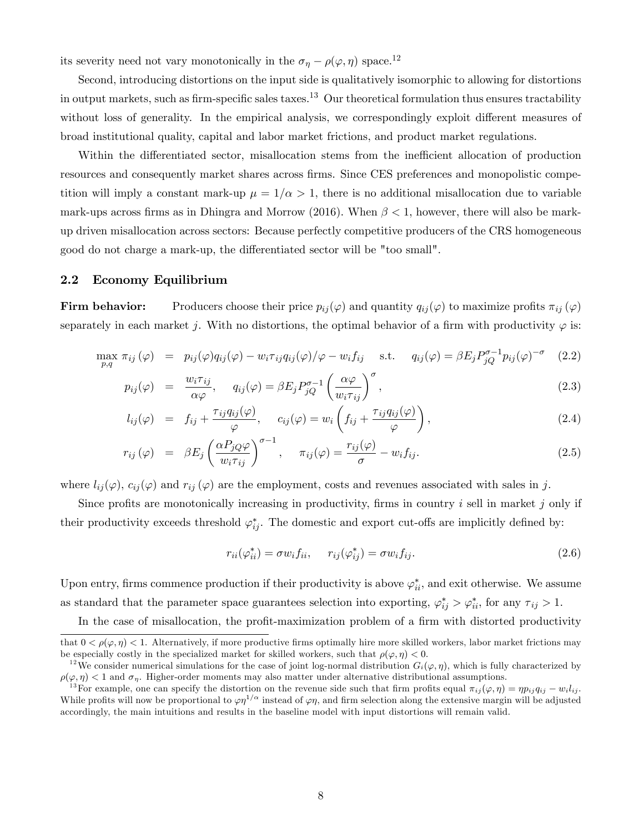its severity need not vary monotonically in the  $\sigma_{\eta} - \rho(\varphi, \eta)$  space.<sup>12</sup>

Second, introducing distortions on the input side is qualitatively isomorphic to allowing for distortions in output markets, such as firm-specific sales taxes.<sup>13</sup> Our theoretical formulation thus ensures tractability without loss of generality. In the empirical analysis, we correspondingly exploit different measures of broad institutional quality, capital and labor market frictions, and product market regulations.

Within the differentiated sector, misallocation stems from the inefficient allocation of production resources and consequently market shares across firms. Since CES preferences and monopolistic competition will imply a constant mark-up  $\mu = 1/\alpha > 1$ , there is no additional misallocation due to variable mark-ups across firms as in Dhingra and Morrow (2016). When  $\beta < 1$ , however, there will also be markup driven misallocation across sectors: Because perfectly competitive producers of the CRS homogeneous good do not charge a mark-up, the differentiated sector will be "too small".

### 2.2 Economy Equilibrium

Firm behavior: Producers choose their price  $p_{ij}(\varphi)$  and quantity  $q_{ij}(\varphi)$  to maximize profits  $\pi_{ij}(\varphi)$ separately in each market j. With no distortions, the optimal behavior of a firm with productivity  $\varphi$  is:

$$
\max_{p,q} \pi_{ij}(\varphi) = p_{ij}(\varphi)q_{ij}(\varphi) - w_i \tau_{ij} q_{ij}(\varphi) / \varphi - w_i f_{ij} \quad \text{s.t.} \quad q_{ij}(\varphi) = \beta E_j P_{jQ}^{\sigma-1} p_{ij}(\varphi)^{-\sigma} \quad (2.2)
$$

$$
p_{ij}(\varphi) = \frac{w_i \tau_{ij}}{\alpha \varphi}, \quad q_{ij}(\varphi) = \beta E_j P_{jQ}^{\sigma-1} \left(\frac{\alpha \varphi}{w_i \tau_{ij}}\right)^{\sigma}, \tag{2.3}
$$

$$
l_{ij}(\varphi) = f_{ij} + \frac{\tau_{ij}q_{ij}(\varphi)}{\varphi}, \quad c_{ij}(\varphi) = w_i \left( f_{ij} + \frac{\tau_{ij}q_{ij}(\varphi)}{\varphi} \right), \tag{2.4}
$$

$$
r_{ij}(\varphi) = \beta E_j \left( \frac{\alpha P_{jQ} \varphi}{w_i \tau_{ij}} \right)^{\sigma - 1}, \quad \pi_{ij}(\varphi) = \frac{r_{ij}(\varphi)}{\sigma} - w_i f_{ij}.
$$
 (2.5)

where  $l_{ij}(\varphi)$ ,  $c_{ij}(\varphi)$  and  $r_{ij}(\varphi)$  are the employment, costs and revenues associated with sales in j.

Since profits are monotonically increasing in productivity, firms in country  $i$  sell in market  $j$  only if their productivity exceeds threshold  $\varphi_{ij}^*$ . The domestic and export cut-offs are implicitly defined by:

$$
r_{ii}(\varphi_{ii}^*) = \sigma w_i f_{ii}, \qquad r_{ij}(\varphi_{ij}^*) = \sigma w_i f_{ij}.
$$
\n
$$
(2.6)
$$

Upon entry, firms commence production if their productivity is above  $\varphi_{ii}^*$ , and exit otherwise. We assume as standard that the parameter space guarantees selection into exporting,  $\varphi_{ij}^* > \varphi_{ii}^*$ , for any  $\tau_{ij} > 1$ .

In the case of misallocation, the profit-maximization problem of a firm with distorted productivity

that  $0 < \rho(\varphi, \eta) < 1$ . Alternatively, if more productive firms optimally hire more skilled workers, labor market frictions may be especially costly in the specialized market for skilled workers, such that  $\rho(\varphi, \eta) < 0$ .

<sup>&</sup>lt;sup>12</sup>We consider numerical simulations for the case of joint log-normal distribution  $G_i(\varphi, \eta)$ , which is fully characterized by  $\rho(\varphi, \eta)$  < 1 and  $\sigma_{\eta}$ . Higher-order moments may also matter under alternative distributional assumptions.

<sup>&</sup>lt;sup>13</sup>For example, one can specify the distortion on the revenue side such that firm profits equal  $\pi_{ij}(\varphi, \eta) = \eta p_{ij} q_{ij} - w_i l_{ij}$ . While profits will now be proportional to  $\varphi\eta^{1/\alpha}$  instead of  $\varphi\eta$ , and firm selection along the extensive margin will be adjusted accordingly, the main intuitions and results in the baseline model with input distortions will remain valid.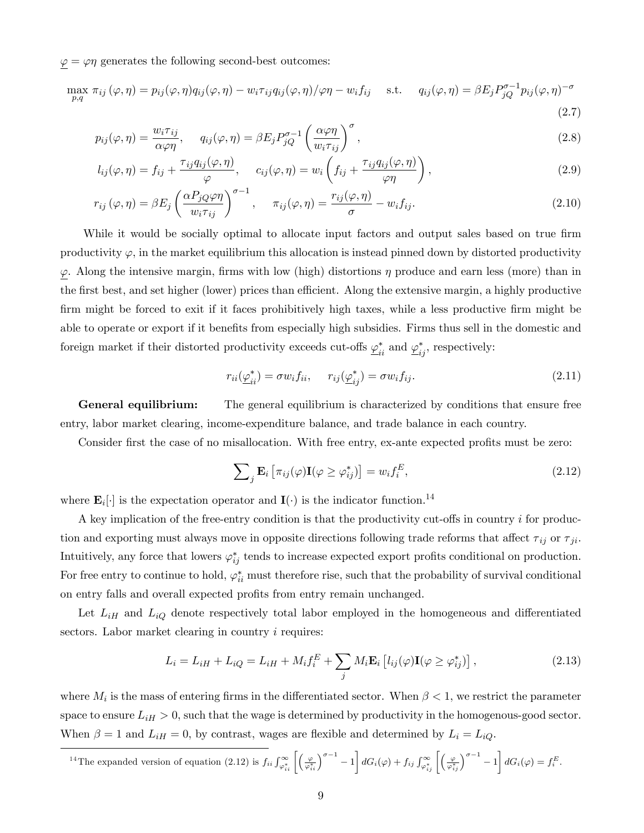$\varphi = \varphi \eta$  generates the following second-best outcomes:

$$
\max_{p,q} \pi_{ij}(\varphi,\eta) = p_{ij}(\varphi,\eta)q_{ij}(\varphi,\eta) - w_i\tau_{ij}q_{ij}(\varphi,\eta)/\varphi\eta - w_i f_{ij} \quad \text{s.t.} \quad q_{ij}(\varphi,\eta) = \beta E_j P_{jQ}^{\sigma-1} p_{ij}(\varphi,\eta)^{-\sigma}
$$
\n(2.7)

$$
p_{ij}(\varphi,\eta) = \frac{w_i \tau_{ij}}{\alpha \varphi \eta}, \quad q_{ij}(\varphi,\eta) = \beta E_j P_{jQ}^{\sigma-1} \left(\frac{\alpha \varphi \eta}{w_i \tau_{ij}}\right)^{\sigma}, \tag{2.8}
$$

$$
l_{ij}(\varphi,\eta) = f_{ij} + \frac{\tau_{ij}q_{ij}(\varphi,\eta)}{\varphi}, \quad c_{ij}(\varphi,\eta) = w_i \left( f_{ij} + \frac{\tau_{ij}q_{ij}(\varphi,\eta)}{\varphi\eta} \right), \tag{2.9}
$$

$$
r_{ij}(\varphi,\eta) = \beta E_j \left(\frac{\alpha P_{jQ}\varphi\eta}{w_i \tau_{ij}}\right)^{\sigma-1}, \quad \pi_{ij}(\varphi,\eta) = \frac{r_{ij}(\varphi,\eta)}{\sigma} - w_i f_{ij}.
$$
 (2.10)

While it would be socially optimal to allocate input factors and output sales based on true firm productivity  $\varphi$ , in the market equilibrium this allocation is instead pinned down by distorted productivity  $\underline{\varphi}$ . Along the intensive margin, firms with low (high) distortions  $\eta$  produce and earn less (more) than in the first best, and set higher (lower) prices than efficient. Along the extensive margin, a highly productive firm might be forced to exit if it faces prohibitively high taxes, while a less productive firm might be able to operate or export if it benefits from especially high subsidies. Firms thus sell in the domestic and foreign market if their distorted productivity exceeds cut-offs  $\varphi_{ii}^*$  and  $\varphi_{ij}^*$ , respectively:

$$
r_{ii}(\underline{\varphi}_{ii}^*) = \sigma w_i f_{ii}, \qquad r_{ij}(\underline{\varphi}_{ij}^*) = \sigma w_i f_{ij}.
$$
\n
$$
(2.11)
$$

**General equilibrium:** The general equilibrium is characterized by conditions that ensure free entry, labor market clearing, income-expenditure balance, and trade balance in each country.

Consider first the case of no misallocation. With free entry, ex-ante expected profits must be zero:

$$
\sum_{j} \mathbf{E}_{i} \left[ \pi_{ij}(\varphi) \mathbf{I}(\varphi \geq \varphi_{ij}^{*}) \right] = w_{i} f_{i}^{E}, \qquad (2.12)
$$

where  $\mathbf{E}_i[\cdot]$  is the expectation operator and  $\mathbf{I}(\cdot)$  is the indicator function.<sup>14</sup>

A key implication of the free-entry condition is that the productivity cut-offs in country  $i$  for production and exporting must always move in opposite directions following trade reforms that affect  $\tau_{ij}$  or  $\tau_{ji}$ . Intuitively, any force that lowers  $\varphi_{ij}^*$  tends to increase expected export profits conditional on production. For free entry to continue to hold,  $\varphi_{ii}^*$  must therefore rise, such that the probability of survival conditional on entry falls and overall expected profits from entry remain unchanged.

Let  $L_{iH}$  and  $L_{iQ}$  denote respectively total labor employed in the homogeneous and differentiated sectors. Labor market clearing in country *i* requires:

$$
L_i = L_{iH} + L_{iQ} = L_{iH} + M_i f_i^E + \sum_j M_i \mathbf{E}_i \left[ l_{ij}(\varphi) \mathbf{I}(\varphi \ge \varphi_{ij}^*) \right], \tag{2.13}
$$

where  $M_i$  is the mass of entering firms in the differentiated sector. When  $\beta < 1$ , we restrict the parameter space to ensure  $L_{iH} > 0$ , such that the wage is determined by productivity in the homogenous-good sector. When  $\beta = 1$  and  $L_{iH} = 0$ , by contrast, wages are flexible and determined by  $L_i = L_{iQ}$ .

$$
^{14}\text{The expanded version of equation (2.12) is }f_{ii}\int_{\varphi_{ii}^*}^{\infty}\left[\left(\frac{\varphi}{\varphi_{ii}^*}\right)^{\sigma-1}-1\right]dG_i(\varphi)+f_{ij}\int_{\varphi_{ij}^*}^{\infty}\left[\left(\frac{\varphi}{\varphi_{ij}^*}\right)^{\sigma-1}-1\right]dG_i(\varphi)=f_i^E.
$$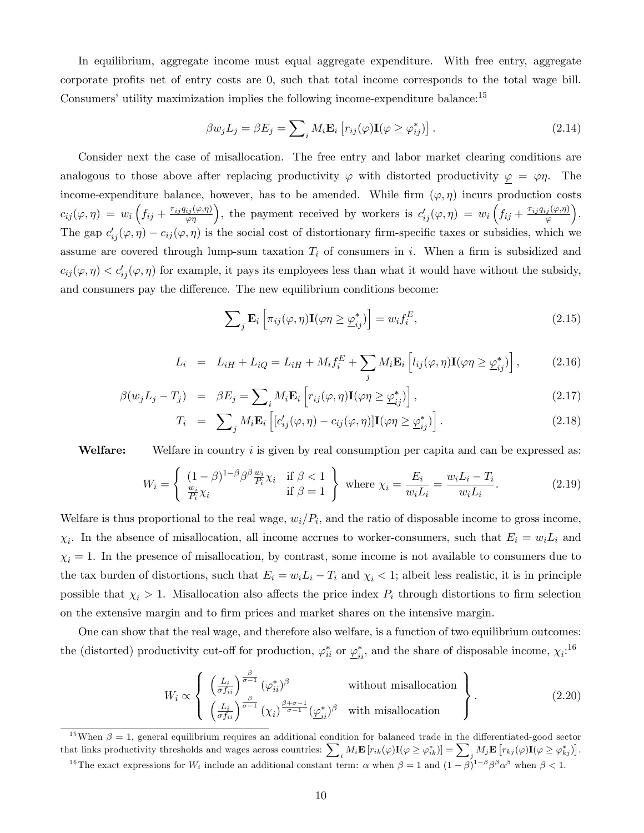In equilibrium, aggregate income must equal aggregate expenditure. With free entry, aggregate corporate profits net of entry costs are 0, such that total income corresponds to the total wage bill. Consumers' utility maximization implies the following income-expenditure balance: $15$ 

$$
\beta w_j L_j = \beta E_j = \sum_i M_i \mathbf{E}_i \left[ r_{ij}(\varphi) \mathbf{I}(\varphi \ge \varphi_{ij}^*) \right]. \tag{2.14}
$$

Consider next the case of misallocation. The free entry and labor market clearing conditions are analogous to those above after replacing productivity  $\varphi$  with distorted productivity  $\varphi = \varphi \eta$ . The income-expenditure balance, however, has to be amended. While firm  $(\varphi, \eta)$  incurs production costs  $c_{ij}(\varphi, \eta) = w_i \left(f_{ij} + \frac{\tau_{ij} q_{ij}(\varphi, \eta)}{\varphi \eta}\right)$ , the payment received by workers is  $c'_{ij}(\varphi, \eta) = w_i \left(f_{ij} + \frac{\tau_{ij} q_{ij}(\varphi, \eta)}{\varphi}\right)$  $\varphi$  . The gap  $c'_{ij}(\varphi, \eta) - c_{ij}(\varphi, \eta)$  is the social cost of distortionary firm-specific taxes or subsidies, which we assume are covered through lump-sum taxation  $T_i$  of consumers in i. When a firm is subsidized and  $c_{ij}(\varphi, \eta) < c'_{ij}(\varphi, \eta)$  for example, it pays its employees less than what it would have without the subsidy, and consumers pay the difference. The new equilibrium conditions become:

$$
\sum_{j} \mathbf{E}_{i} \left[ \pi_{ij}(\varphi, \eta) \mathbf{I}(\varphi \eta \ge \underline{\varphi}_{ij}^{*}) \right] = w_{i} f_{i}^{E}, \qquad (2.15)
$$

$$
L_i = L_{iH} + L_{iQ} = L_{iH} + M_i f_i^E + \sum_j M_i \mathbf{E}_i \left[ l_{ij}(\varphi, \eta) \mathbf{I}(\varphi \eta \ge \underline{\varphi}_{ij}^*) \right], \quad (2.16)
$$

$$
\beta(w_j L_j - T_j) = \beta E_j = \sum_i M_i \mathbf{E}_i \left[ r_{ij}(\varphi, \eta) \mathbf{I}(\varphi \eta \ge \underline{\varphi}_{ij}^*) \right], \tag{2.17}
$$

$$
T_i = \sum_j M_i \mathbf{E}_i \left[ [c'_{ij}(\varphi, \eta) - c_{ij}(\varphi, \eta)] \mathbf{I}(\varphi \eta \ge \underline{\varphi}_{ij}^*) \right]. \tag{2.18}
$$

Welfare: Welfare in country i is given by real consumption per capita and can be expressed as:

$$
W_i = \begin{cases} (1 - \beta)^{1 - \beta} \beta^{\beta} \frac{w_i}{P_i} \chi_i & \text{if } \beta < 1 \\ \frac{w_i}{P_i} \chi_i & \text{if } \beta = 1 \end{cases} \text{ where } \chi_i = \frac{E_i}{w_i L_i} = \frac{w_i L_i - T_i}{w_i L_i}. \tag{2.19}
$$

Welfare is thus proportional to the real wage,  $w_i/P_i$ , and the ratio of disposable income to gross income,  $\chi_i$ . In the absence of misallocation, all income accrues to worker-consumers, such that  $E_i = w_i L_i$  and  $\chi_i = 1$ . In the presence of misallocation, by contrast, some income is not available to consumers due to the tax burden of distortions, such that  $E_i = w_i L_i - T_i$  and  $\chi_i < 1$ ; albeit less realistic, it is in principle possible that  $\chi_i > 1$ . Misallocation also affects the price index  $P_i$  through distortions to firm selection on the extensive margin and to Örm prices and market shares on the intensive margin.

One can show that the real wage, and therefore also welfare, is a function of two equilibrium outcomes: the (distorted) productivity cut-off for production,  $\varphi_{ii}^*$  or  $\underline{\varphi}_{ii}^*$ , and the share of disposable income,  $\chi_i$ <sup>16</sup>

$$
W_i \propto \left\{ \begin{array}{ll} \left(\frac{L_i}{\sigma f_{ii}}\right)^{\frac{\beta}{\sigma-1}} (\varphi_{ii}^*)^{\beta} & \text{without misallocation} \\ \left(\frac{L_i}{\sigma f_{ii}}\right)^{\frac{\beta}{\sigma-1}} (\chi_i)^{\frac{\beta+\sigma-1}{\sigma-1}} (\underline{\varphi}_{ii}^*)^{\beta} & \text{with misallocation} \end{array} \right\}.
$$
 (2.20)

<sup>15</sup>When  $\beta = 1$ , general equilibrium requires an additional condition for balanced trade in the differentiated-good sector that links productivity thresholds and wages across countries:  $\sum_i M_i \mathbf{E} [r_{ik}(\varphi) \mathbf{I}(\varphi \geq \varphi_{ik}^*)] = \sum_j M_j \mathbf{E} [r_{kj}(\varphi) \mathbf{I}(\varphi \geq \varphi_{kj}^*)].$ <sup>16</sup>The exact expressions for  $W_i$  include an additional constant term:  $\alpha$  when  $\beta = 1$  and  $(1 - \beta)^{1-\beta} \beta^{\beta} \alpha^{\beta}$  when  $\beta < 1$ .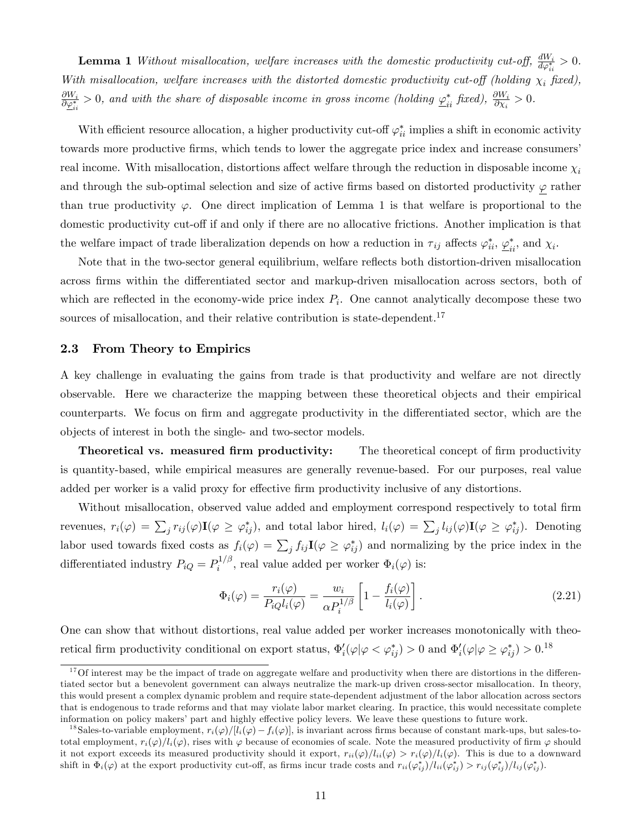**Lemma 1** Without misallocation, welfare increases with the domestic productivity cut-off,  $\frac{dW_i}{d\varphi_{ii}^*} > 0$ . With misallocation, welfare increases with the distorted domestic productivity cut-off (holding  $\chi_i$  fixed),  $\frac{\partial W_i}{\partial \varphi^*_{ii}}>0$ , and with the share of disposable income in gross income (holding  $\varphi^*_{ii}$  fixed),  $\frac{\partial W_i}{\partial \chi_i}>0$ .

With efficient resource allocation, a higher productivity cut-off  $\varphi_{ii}^*$  implies a shift in economic activity towards more productive firms, which tends to lower the aggregate price index and increase consumers' real income. With misallocation, distortions affect welfare through the reduction in disposable income  $\chi_i$ and through the sub-optimal selection and size of active firms based on distorted productivity  $\varphi$  rather than true productivity  $\varphi$ . One direct implication of Lemma 1 is that welfare is proportional to the domestic productivity cut-off if and only if there are no allocative frictions. Another implication is that the welfare impact of trade liberalization depends on how a reduction in  $\tau_{ij}$  affects  $\varphi_{ii}^*, \varphi_{ii}^*$ , and  $\chi_i$ .

Note that in the two-sector general equilibrium, welfare reflects both distortion-driven misallocation across firms within the differentiated sector and markup-driven misallocation across sectors, both of which are reflected in the economy-wide price index  $P_i$ . One cannot analytically decompose these two sources of misallocation, and their relative contribution is state-dependent.<sup>17</sup>

#### 2.3 From Theory to Empirics

A key challenge in evaluating the gains from trade is that productivity and welfare are not directly observable. Here we characterize the mapping between these theoretical objects and their empirical counterparts. We focus on firm and aggregate productivity in the differentiated sector, which are the objects of interest in both the single- and two-sector models.

Theoretical vs. measured firm productivity: The theoretical concept of firm productivity is quantity-based, while empirical measures are generally revenue-based. For our purposes, real value added per worker is a valid proxy for effective firm productivity inclusive of any distortions.

Without misallocation, observed value added and employment correspond respectively to total firm revenues,  $r_i(\varphi) = \sum_j r_{ij}(\varphi) \mathbf{I}(\varphi \geq \varphi_{ij}^*)$ , and total labor hired,  $l_i(\varphi) = \sum_j l_{ij}(\varphi) \mathbf{I}(\varphi \geq \varphi_{ij}^*)$ . Denoting labor used towards fixed costs as  $f_i(\varphi) = \sum_j f_{ij} \mathbf{I}(\varphi \geq \varphi_{ij}^*)$  and normalizing by the price index in the differentiated industry  $P_{iQ} = P_i^{1/\beta}$  $\Phi_i^{1/\rho}$ , real value added per worker  $\Phi_i(\varphi)$  is:

$$
\Phi_i(\varphi) = \frac{r_i(\varphi)}{P_{iQ}l_i(\varphi)} = \frac{w_i}{\alpha P_i^{1/\beta}} \left[ 1 - \frac{f_i(\varphi)}{l_i(\varphi)} \right].
$$
\n(2.21)

One can show that without distortions, real value added per worker increases monotonically with theoretical firm productivity conditional on export status,  $\Phi'_i(\varphi|\varphi \leq \varphi^*_{ij}) > 0$  and  $\Phi'_i(\varphi|\varphi \geq \varphi^*_{ij}) > 0$ .<sup>18</sup>

 $17$ Of interest may be the impact of trade on aggregate welfare and productivity when there are distortions in the differentiated sector but a benevolent government can always neutralize the mark-up driven cross-sector misallocation. In theory, this would present a complex dynamic problem and require state-dependent adjustment of the labor allocation across sectors that is endogenous to trade reforms and that may violate labor market clearing. In practice, this would necessitate complete information on policy makers' part and highly effective policy levers. We leave these questions to future work.

<sup>&</sup>lt;sup>18</sup>Sales-to-variable employment,  $r_i(\varphi)/[l_i(\varphi) - f_i(\varphi)]$ , is invariant across firms because of constant mark-ups, but sales-tototal employment,  $r_i(\varphi)/l_i(\varphi)$ , rises with  $\varphi$  because of economies of scale. Note the measured productivity of firm  $\varphi$  should it not export exceeds its measured productivity should it export,  $r_{ii}(\varphi)/l_{ii}(\varphi) > r_i(\varphi)/l_i(\varphi)$ . This is due to a downward shift in  $\Phi_i(\varphi)$  at the export productivity cut-off, as firms incur trade costs and  $r_{ii}(\varphi_{ij}^*)/l_{ii}(\varphi_{ij}^*) > r_{ij}(\varphi_{ij}^*)/l_{ij}(\varphi_{ij}^*)$ .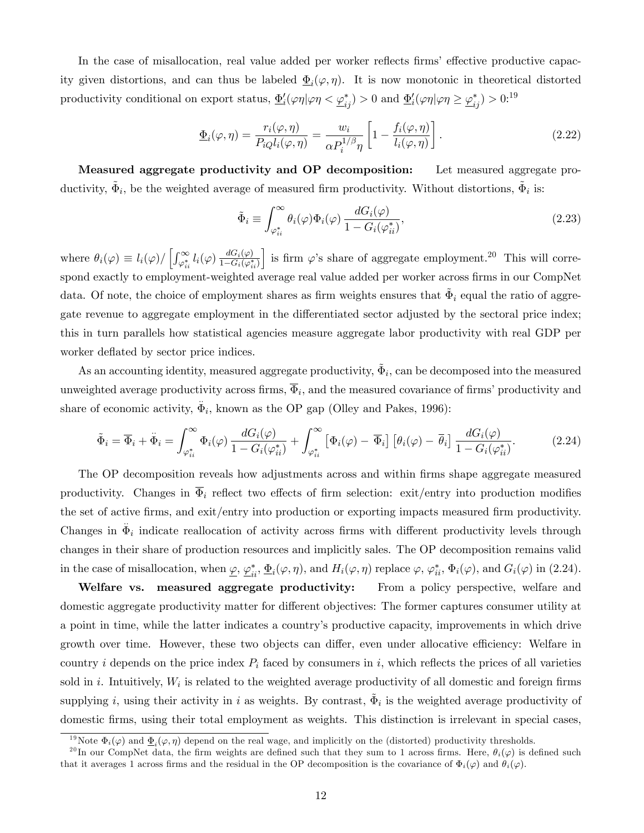In the case of misallocation, real value added per worker reflects firms' effective productive capacity given distortions, and can thus be labeled  $\underline{\Phi}_i(\varphi, \eta)$ . It is now monotonic in theoretical distorted productivity conditional on export status,  $\underline{\Phi}_i'(\varphi\eta|\varphi\eta < \underline{\varphi}_{ij}^*) > 0$  and  $\underline{\Phi}_i'(\varphi\eta|\varphi\eta \ge \underline{\varphi}_{ij}^*) > 0$ .<sup>19</sup>

$$
\underline{\Phi}_i(\varphi, \eta) = \frac{r_i(\varphi, \eta)}{P_i Q_i(\varphi, \eta)} = \frac{w_i}{\alpha P_i^{1/\beta} \eta} \left[ 1 - \frac{f_i(\varphi, \eta)}{l_i(\varphi, \eta)} \right]. \tag{2.22}
$$

Measured aggregate productivity and OP decomposition: Let measured aggregate productivity,  $\tilde{\Phi}_i$ , be the weighted average of measured firm productivity. Without distortions,  $\tilde{\Phi}_i$  is:

$$
\tilde{\Phi}_i \equiv \int_{\varphi_{ii}^*}^{\infty} \theta_i(\varphi) \Phi_i(\varphi) \frac{dG_i(\varphi)}{1 - G_i(\varphi_{ii}^*)},\tag{2.23}
$$

where  $\theta_i(\varphi) \equiv l_i(\varphi) / \left[ \int_{\varphi_{ii}^*}^{\infty} l_i(\varphi) \frac{dG_i(\varphi)}{1 - G_i(\varphi_i^*)} \right]$  $1-G_i(\varphi_{ii}^*)$ is firm  $\varphi$ 's share of aggregate employment.<sup>20</sup> This will correspond exactly to employment-weighted average real value added per worker across firms in our CompNet data. Of note, the choice of employment shares as firm weights ensures that  $\tilde{\Phi}_i$  equal the ratio of aggregate revenue to aggregate employment in the differentiated sector adjusted by the sectoral price index; this in turn parallels how statistical agencies measure aggregate labor productivity with real GDP per worker deflated by sector price indices.

As an accounting identity, measured aggregate productivity,  $\tilde{\Phi}_i$ , can be decomposed into the measured unweighted average productivity across firms,  $\Phi_i$ , and the measured covariance of firms' productivity and share of economic activity,  $\ddot{\Phi}_i$ , known as the OP gap (Olley and Pakes, 1996):

$$
\tilde{\Phi}_i = \overline{\Phi}_i + \ddot{\Phi}_i = \int_{\varphi_{ii}^*}^{\infty} \Phi_i(\varphi) \frac{dG_i(\varphi)}{1 - G_i(\varphi_{ii}^*)} + \int_{\varphi_{ii}^*}^{\infty} \left[ \Phi_i(\varphi) - \overline{\Phi}_i \right] \left[ \theta_i(\varphi) - \overline{\theta}_i \right] \frac{dG_i(\varphi)}{1 - G_i(\varphi_{ii}^*)}. \tag{2.24}
$$

The OP decomposition reveals how adjustments across and within firms shape aggregate measured productivity. Changes in  $\overline{\Phi}_i$  reflect two effects of firm selection: exit/entry into production modifies the set of active firms, and exit/entry into production or exporting impacts measured firm productivity. Changes in  $\ddot{\Phi}_i$  indicate reallocation of activity across firms with different productivity levels through changes in their share of production resources and implicitly sales. The OP decomposition remains valid in the case of misallocation, when  $\underline{\varphi}$ ,  $\underline{\varphi}^*_{ii}$ ,  $\underline{\Phi}_i(\varphi, \eta)$ , and  $H_i(\varphi, \eta)$  replace  $\varphi$ ,  $\varphi^*_{ii}$ ,  $\underline{\Phi}_i(\varphi)$ , and  $G_i(\varphi)$  in (2.24).

Welfare vs. measured aggregate productivity: From a policy perspective, welfare and domestic aggregate productivity matter for different objectives: The former captures consumer utility at a point in time, while the latter indicates a countryís productive capacity, improvements in which drive growth over time. However, these two objects can differ, even under allocative efficiency: Welfare in country i depends on the price index  $P_i$  faced by consumers in i, which reflects the prices of all varieties sold in *i*. Intuitively,  $W_i$  is related to the weighted average productivity of all domestic and foreign firms supplying i, using their activity in i as weights. By contrast,  $\tilde{\Phi}_i$  is the weighted average productivity of domestic firms, using their total employment as weights. This distinction is irrelevant in special cases,

<sup>&</sup>lt;sup>19</sup>Note  $\Phi_i(\varphi)$  and  $\underline{\Phi}_i(\varphi, \eta)$  depend on the real wage, and implicitly on the (distorted) productivity thresholds.

<sup>&</sup>lt;sup>20</sup>In our CompNet data, the firm weights are defined such that they sum to 1 across firms. Here,  $\theta_i(\varphi)$  is defined such that it averages 1 across firms and the residual in the OP decomposition is the covariance of  $\Phi_i(\varphi)$  and  $\theta_i(\varphi)$ .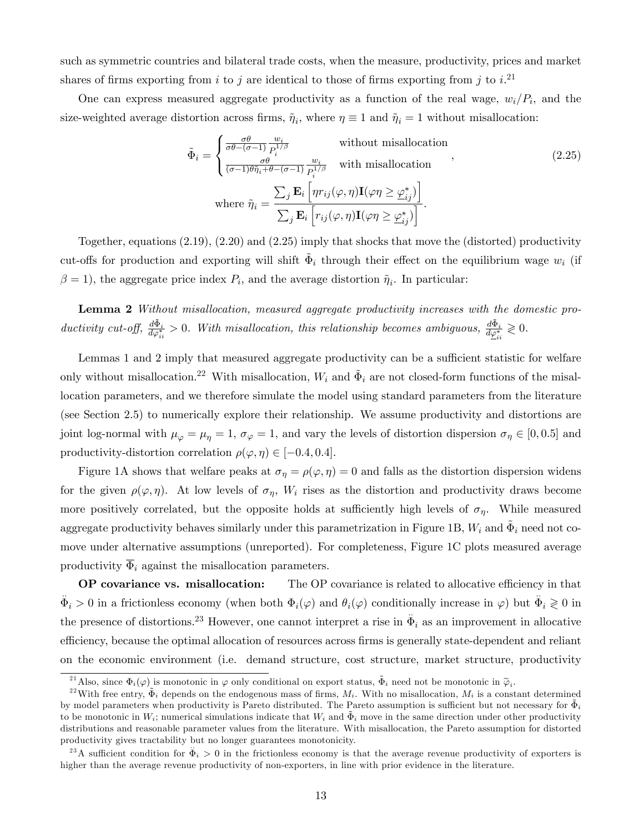such as symmetric countries and bilateral trade costs, when the measure, productivity, prices and market shares of firms exporting from i to j are identical to those of firms exporting from j to  $i$ .<sup>21</sup>

One can express measured aggregate productivity as a function of the real wage,  $w_i/P_i$ , and the size-weighted average distortion across firms,  $\tilde{\eta}_i$ , where  $\eta \equiv 1$  and  $\tilde{\eta}_i = 1$  without misallocation:

$$
\tilde{\Phi}_{i} = \begin{cases}\n\frac{\sigma \theta}{\sigma \theta - (\sigma - 1)} \frac{w_{i}}{P_{i}^{1/\beta}} & \text{without misallocation} \\
\frac{\sigma \theta}{(\sigma - 1) \theta \tilde{\eta}_{i} + \theta - (\sigma - 1)} \frac{w_{i}}{P_{i}^{1/\beta}} & \text{with misallocation} \\
\text{where } \tilde{\eta}_{i} = \frac{\sum_{j} \mathbf{E}_{i} \left[ \eta r_{ij}(\varphi, \eta) \mathbf{I}(\varphi \eta \geq \underline{\varphi}_{ij}^{*}) \right]}{\sum_{j} \mathbf{E}_{i} \left[ r_{ij}(\varphi, \eta) \mathbf{I}(\varphi \eta \geq \underline{\varphi}_{ij}^{*}) \right]}.\n\end{cases}
$$
\n(2.25)

Together, equations (2.19), (2.20) and (2.25) imply that shocks that move the (distorted) productivity cut-offs for production and exporting will shift  $\tilde{\Phi}_i$  through their effect on the equilibrium wage  $w_i$  (if  $\beta = 1$ , the aggregate price index  $P_i$ , and the average distortion  $\tilde{\eta}_i$ . In particular:

Lemma 2 Without misallocation, measured aggregate productivity increases with the domestic productivity cut-off,  $\frac{d\tilde{\Phi}_i}{d\varphi_{ii}^*} > 0$ . With misallocation, this relationship becomes ambiguous,  $\frac{d\tilde{\Phi}_i}{d\underline{\varphi}_{ii}^*} \geq 0$ .

Lemmas 1 and 2 imply that measured aggregate productivity can be a sufficient statistic for welfare only without misallocation.<sup>22</sup> With misallocation,  $W_i$  and  $\tilde{\Phi}_i$  are not closed-form functions of the misallocation parameters, and we therefore simulate the model using standard parameters from the literature (see Section 2.5) to numerically explore their relationship. We assume productivity and distortions are joint log-normal with  $\mu_{\varphi} = \mu_{\eta} = 1$ ,  $\sigma_{\varphi} = 1$ , and vary the levels of distortion dispersion  $\sigma_{\eta} \in [0, 0.5]$  and productivity-distortion correlation  $\rho(\varphi, \eta) \in [-0.4, 0.4]$ .

Figure 1A shows that welfare peaks at  $\sigma_{\eta} = \rho(\varphi, \eta) = 0$  and falls as the distortion dispersion widens for the given  $\rho(\varphi, \eta)$ . At low levels of  $\sigma_{\eta}$ ,  $W_i$  rises as the distortion and productivity draws become more positively correlated, but the opposite holds at sufficiently high levels of  $\sigma_{\eta}$ . While measured aggregate productivity behaves similarly under this parametrization in Figure 1B,  $W_i$  and  $\tilde{\Phi}_i$  need not comove under alternative assumptions (unreported). For completeness, Figure 1C plots measured average productivity  $\overline{\Phi}_i$  against the misallocation parameters.

OP covariance vs. misallocation: The OP covariance is related to allocative efficiency in that  $\ddot{\Phi}_i > 0$  in a frictionless economy (when both  $\Phi_i(\varphi)$  and  $\theta_i(\varphi)$  conditionally increase in  $\varphi$ ) but  $\ddot{\Phi}_i \geq 0$  in the presence of distortions.<sup>23</sup> However, one cannot interpret a rise in  $\ddot{\Phi}_i$  as an improvement in allocative efficiency, because the optimal allocation of resources across firms is generally state-dependent and reliant on the economic environment (i.e. demand structure, cost structure, market structure, productivity

<sup>&</sup>lt;sup>21</sup>Also, since  $\Phi_i(\varphi)$  is monotonic in  $\varphi$  only conditional on export status,  $\tilde{\Phi}_i$  need not be monotonic in  $\tilde{\varphi}_i$ .

<sup>&</sup>lt;sup>22</sup> With free entry,  $\tilde{\Phi}_i$  depends on the endogenous mass of firms,  $M_i$ . With no misallocation,  $M_i$  is a constant determined by model parameters when productivity is Pareto distributed. The Pareto assumption is sufficient but not necessary for  $\tilde{\Phi}_i$ to be monotonic in  $W_i$ ; numerical simulations indicate that  $W_i$  and  $\tilde{\Phi}_i$  move in the same direction under other productivity distributions and reasonable parameter values from the literature. With misallocation, the Pareto assumption for distorted productivity gives tractability but no longer guarantees monotonicity.

<sup>&</sup>lt;sup>23</sup>A sufficient condition for  $\ddot{\Phi}_i > 0$  in the frictionless economy is that the average revenue productivity of exporters is higher than the average revenue productivity of non-exporters, in line with prior evidence in the literature.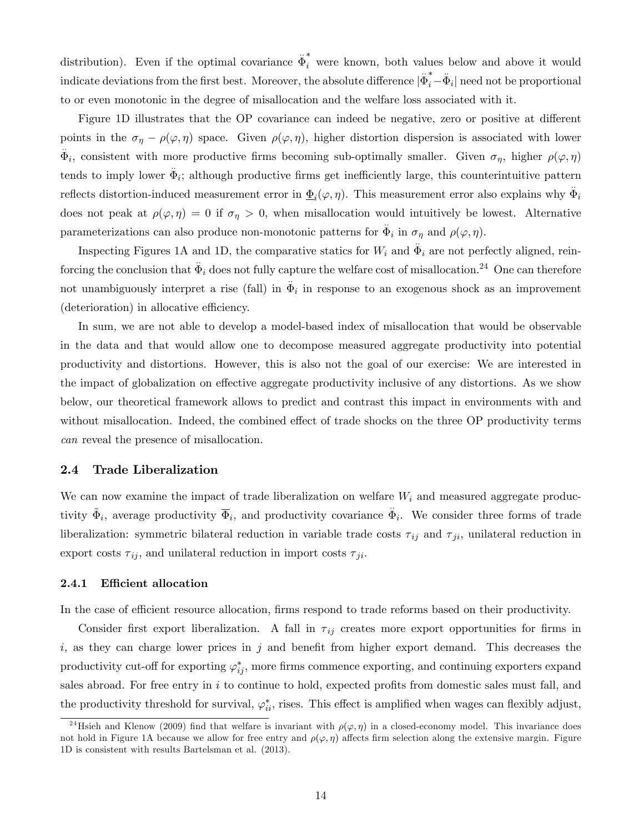distribution). Even if the optimal covariance  $\ddot{\Phi}_i^*$  were known, both values below and above it would indicate deviations from the first best. Moreover, the absolute difference  $|\ddot{\Phi}_i^* \ddot{\Phi}_i|$  need not be proportional to or even monotonic in the degree of misallocation and the welfare loss associated with it.

Figure 1D illustrates that the OP covariance can indeed be negative, zero or positive at different points in the  $\sigma_{\eta} - \rho(\varphi, \eta)$  space. Given  $\rho(\varphi, \eta)$ , higher distortion dispersion is associated with lower  $\Phi_i$ , consistent with more productive firms becoming sub-optimally smaller. Given  $\sigma_{\eta}$ , higher  $\rho(\varphi, \eta)$ tends to imply lower  $\ddot{\Phi}_i$ ; although productive firms get inefficiently large, this counterintuitive pattern reflects distortion-induced measurement error in  $\underline{\Phi}_i(\varphi,\eta)$ . This measurement error also explains why  $\ddot{\Phi}_i$ does not peak at  $\rho(\varphi, \eta) = 0$  if  $\sigma_{\eta} > 0$ , when misallocation would intuitively be lowest. Alternative parameterizations can also produce non-monotonic patterns for  $\ddot{\Phi}_i$  in  $\sigma_{\eta}$  and  $\rho(\varphi, \eta)$ .

Inspecting Figures 1A and 1D, the comparative statics for  $W_i$  and  $\Phi_i$  are not perfectly aligned, reinforcing the conclusion that  $\ddot{\Phi}_i$  does not fully capture the welfare cost of misallocation.<sup>24</sup> One can therefore not unambiguously interpret a rise (fall) in  $\ddot{\Phi}_i$  in response to an exogenous shock as an improvement  $(\text{detection})$  in allocative efficiency.

In sum, we are not able to develop a model-based index of misallocation that would be observable in the data and that would allow one to decompose measured aggregate productivity into potential productivity and distortions. However, this is also not the goal of our exercise: We are interested in the impact of globalization on effective aggregate productivity inclusive of any distortions. As we show below, our theoretical framework allows to predict and contrast this impact in environments with and without misallocation. Indeed, the combined effect of trade shocks on the three OP productivity terms can reveal the presence of misallocation.

### 2.4 Trade Liberalization

We can now examine the impact of trade liberalization on welfare  $W_i$  and measured aggregate productivity  $\tilde{\Phi}_i$ , average productivity  $\overline{\Phi}_i$ , and productivity covariance  $\ddot{\Phi}_i$ . We consider three forms of trade liberalization: symmetric bilateral reduction in variable trade costs  $\tau_{ij}$  and  $\tau_{ji}$ , unilateral reduction in export costs  $\tau_{ij}$ , and unilateral reduction in import costs  $\tau_{ji}$ .

### 2.4.1 Efficient allocation

In the case of efficient resource allocation, firms respond to trade reforms based on their productivity.

Consider first export liberalization. A fall in  $\tau_{ij}$  creates more export opportunities for firms in  $i$ , as they can charge lower prices in  $j$  and benefit from higher export demand. This decreases the productivity cut-off for exporting  $\varphi_{ij}^*$ , more firms commence exporting, and continuing exporters expand sales abroad. For free entry in  $i$  to continue to hold, expected profits from domestic sales must fall, and the productivity threshold for survival,  $\varphi_{ii}^*$ , rises. This effect is amplified when wages can flexibly adjust,

<sup>&</sup>lt;sup>24</sup>Hsieh and Klenow (2009) find that welfare is invariant with  $\rho(\varphi, \eta)$  in a closed-economy model. This invariance does not hold in Figure 1A because we allow for free entry and  $\rho(\varphi, \eta)$  affects firm selection along the extensive margin. Figure 1D is consistent with results Bartelsman et al. (2013).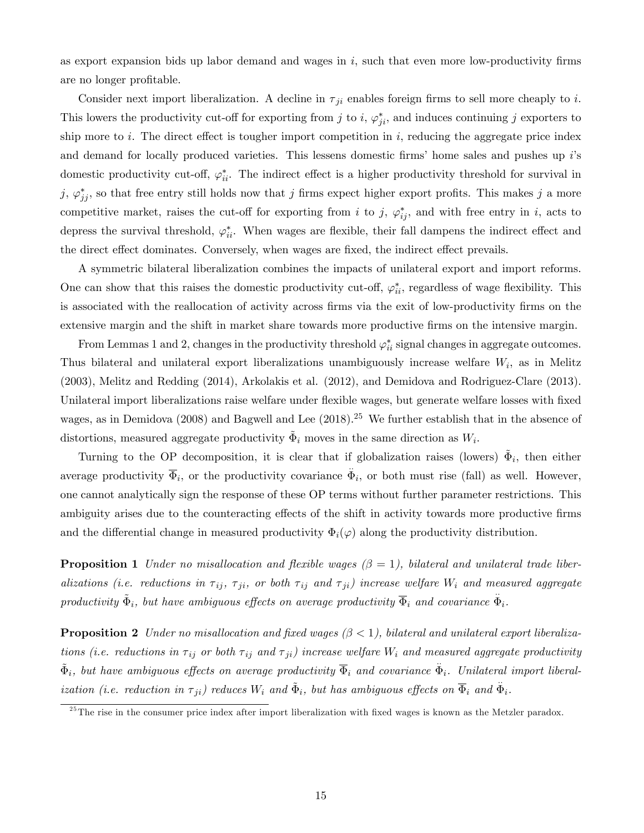as export expansion bids up labor demand and wages in  $i$ , such that even more low-productivity firms are no longer profitable.

Consider next import liberalization. A decline in  $\tau_{ji}$  enables foreign firms to sell more cheaply to i. This lowers the productivity cut-off for exporting from j to i,  $\varphi_{ji}^*$ , and induces continuing j exporters to ship more to i. The direct effect is tougher import competition in i, reducing the aggregate price index and demand for locally produced varieties. This lessens domestic firms' home sales and pushes up  $i$ 's domestic productivity cut-off,  $\varphi_{ii}^*$ . The indirect effect is a higher productivity threshold for survival in  $j, \varphi^*_{jj}$ , so that free entry still holds now that j firms expect higher export profits. This makes j a more competitive market, raises the cut-off for exporting from i to j,  $\varphi_{ij}^*$ , and with free entry in i, acts to depress the survival threshold,  $\varphi_{ii}^*$ . When wages are flexible, their fall dampens the indirect effect and the direct effect dominates. Conversely, when wages are fixed, the indirect effect prevails.

A symmetric bilateral liberalization combines the impacts of unilateral export and import reforms. One can show that this raises the domestic productivity cut-off,  $\varphi_{ii}^*$ , regardless of wage flexibility. This is associated with the reallocation of activity across firms via the exit of low-productivity firms on the extensive margin and the shift in market share towards more productive firms on the intensive margin.

From Lemmas 1 and 2, changes in the productivity threshold  $\varphi_{ii}^*$  signal changes in aggregate outcomes. Thus bilateral and unilateral export liberalizations unambiguously increase welfare  $W_i$ , as in Melitz (2003), Melitz and Redding (2014), Arkolakis et al. (2012), and Demidova and Rodriguez-Clare (2013). Unilateral import liberalizations raise welfare under flexible wages, but generate welfare losses with fixed wages, as in Demidova (2008) and Bagwell and Lee  $(2018).^{25}$  We further establish that in the absence of distortions, measured aggregate productivity  $\tilde{\Phi}_i$  moves in the same direction as  $W_i$ .

Turning to the OP decomposition, it is clear that if globalization raises (lowers)  $\tilde{\Phi}_i$ , then either average productivity  $\overline{\Phi}_i$ , or the productivity covariance  $\ddot{\Phi}_i$ , or both must rise (fall) as well. However, one cannot analytically sign the response of these OP terms without further parameter restrictions. This ambiguity arises due to the counteracting effects of the shift in activity towards more productive firms and the differential change in measured productivity  $\Phi_i(\varphi)$  along the productivity distribution.

**Proposition 1** Under no misallocation and flexible wages  $(\beta = 1)$ , bilateral and unilateral trade liberalizations (i.e. reductions in  $\tau_{ij}$ ,  $\tau_{ji}$ , or both  $\tau_{ij}$  and  $\tau_{ji}$ ) increase welfare  $W_i$  and measured aggregate productivity  $\tilde{\Phi}_i$ , but have ambiguous effects on average productivity  $\overline{\Phi}_i$  and covariance  $\ddot{\Phi}_i$ .

**Proposition 2** Under no misallocation and fixed wages  $(\beta < 1)$ , bilateral and unilateral export liberalizations (i.e. reductions in  $\tau_{ij}$  or both  $\tau_{ij}$  and  $\tau_{ji}$ ) increase welfare  $W_i$  and measured aggregate productivity  $\tilde{\Phi}_i$ , but have ambiguous effects on average productivity  $\overline{\Phi}_i$  and covariance  $\ddot{\Phi}_i$ . Unilateral import liberalization (i.e. reduction in  $\tau_{ji}$ ) reduces  $W_i$  and  $\tilde{\Phi}_i$ , but has ambiguous effects on  $\overline{\Phi}_i$  and  $\ddot{\Phi}_i$ .

 $^{25}$ The rise in the consumer price index after import liberalization with fixed wages is known as the Metzler paradox.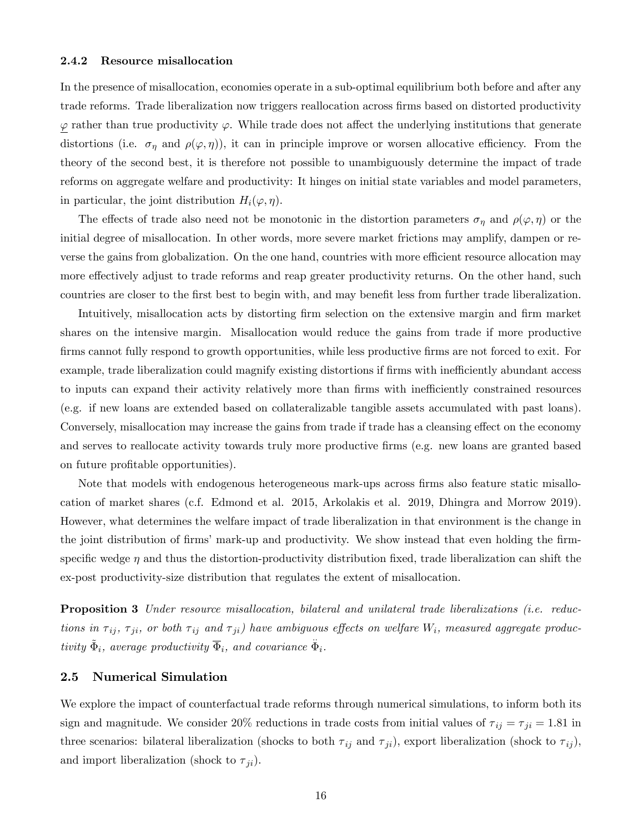#### 2.4.2 Resource misallocation

In the presence of misallocation, economies operate in a sub-optimal equilibrium both before and after any trade reforms. Trade liberalization now triggers reallocation across firms based on distorted productivity  $\varphi$  rather than true productivity  $\varphi$ . While trade does not affect the underlying institutions that generate distortions (i.e.  $\sigma_{\eta}$  and  $\rho(\varphi, \eta)$ ), it can in principle improve or worsen allocative efficiency. From the theory of the second best, it is therefore not possible to unambiguously determine the impact of trade reforms on aggregate welfare and productivity: It hinges on initial state variables and model parameters, in particular, the joint distribution  $H_i(\varphi, \eta)$ .

The effects of trade also need not be monotonic in the distortion parameters  $\sigma_{\eta}$  and  $\rho(\varphi, \eta)$  or the initial degree of misallocation. In other words, more severe market frictions may amplify, dampen or reverse the gains from globalization. On the one hand, countries with more efficient resource allocation may more effectively adjust to trade reforms and reap greater productivity returns. On the other hand, such countries are closer to the first best to begin with, and may benefit less from further trade liberalization.

Intuitively, misallocation acts by distorting firm selection on the extensive margin and firm market shares on the intensive margin. Misallocation would reduce the gains from trade if more productive firms cannot fully respond to growth opportunities, while less productive firms are not forced to exit. For example, trade liberalization could magnify existing distortions if firms with inefficiently abundant access to inputs can expand their activity relatively more than firms with inefficiently constrained resources (e.g. if new loans are extended based on collateralizable tangible assets accumulated with past loans). Conversely, misallocation may increase the gains from trade if trade has a cleansing effect on the economy and serves to reallocate activity towards truly more productive firms (e.g. new loans are granted based on future profitable opportunities).

Note that models with endogenous heterogeneous mark-ups across firms also feature static misallocation of market shares (c.f. Edmond et al. 2015, Arkolakis et al. 2019, Dhingra and Morrow 2019). However, what determines the welfare impact of trade liberalization in that environment is the change in the joint distribution of firms' mark-up and productivity. We show instead that even holding the firmspecific wedge  $\eta$  and thus the distortion-productivity distribution fixed, trade liberalization can shift the ex-post productivity-size distribution that regulates the extent of misallocation.

**Proposition 3** Under resource misallocation, bilateral and unilateral trade liberalizations (i.e. reductions in  $\tau_{ij}$ ,  $\tau_{ji}$ , or both  $\tau_{ij}$  and  $\tau_{ji}$ ) have ambiguous effects on welfare  $W_i$ , measured aggregate productivity  $\tilde{\Phi}_i$ , average productivity  $\overline{\Phi}_i$ , and covariance  $\ddot{\Phi}_i$ .

### 2.5 Numerical Simulation

We explore the impact of counterfactual trade reforms through numerical simulations, to inform both its sign and magnitude. We consider 20% reductions in trade costs from initial values of  $\tau_{ij} = \tau_{ji} = 1.81$  in three scenarios: bilateral liberalization (shocks to both  $\tau_{ij}$  and  $\tau_{ji}$ ), export liberalization (shock to  $\tau_{ij}$ ), and import liberalization (shock to  $\tau_{ji}$ ).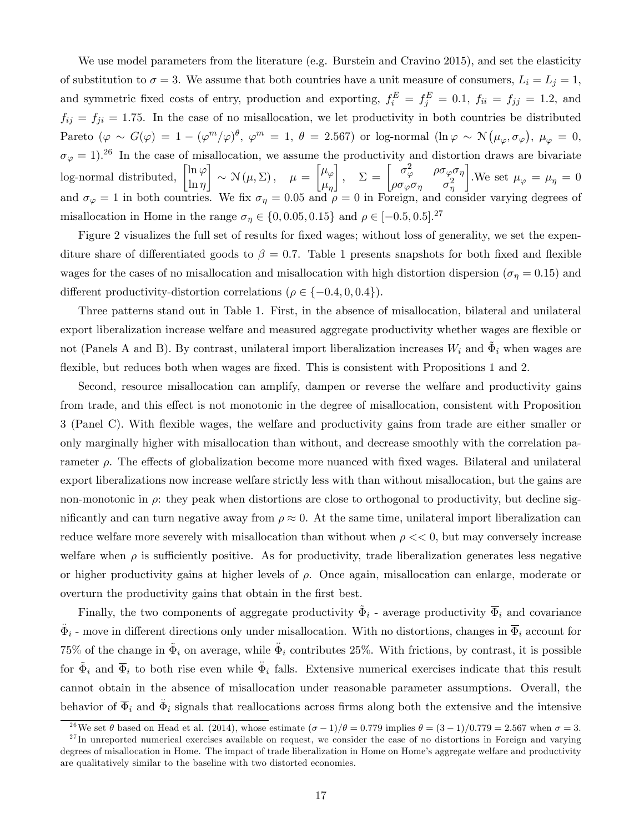We use model parameters from the literature (e.g. Burstein and Cravino 2015), and set the elasticity of substitution to  $\sigma = 3$ . We assume that both countries have a unit measure of consumers,  $L_i = L_j = 1$ , and symmetric fixed costs of entry, production and exporting,  $f_i^E = f_j^E = 0.1$ ,  $f_{ii} = f_{jj} = 1.2$ , and  $f_{ij} = f_{ji} = 1.75$ . In the case of no misallocation, we let productivity in both countries be distributed Pareto  $(\varphi \sim G(\varphi) = 1 - (\varphi^m/\varphi)^{\theta}, \varphi^m = 1, \theta = 2.567)$  or log-normal  $(\ln \varphi \sim \mathcal{N}(\mu_{\varphi}, \sigma_{\varphi}), \mu_{\varphi} = 0,$  $\sigma_{\varphi} = 1$ ).<sup>26</sup> In the case of misallocation, we assume the productivity and distortion draws are bivariate log-normal distributed,  $\left[\ln \varphi\right]$  $\ln \eta$ 1  $\sim \mathcal{N}(\mu, \Sigma), \quad \mu =$  $\lceil \mu_{\varphi}$  $\mu_{\eta}$  $\left[ \begin{array}{cc} \Sigma = \begin{bmatrix} \sigma_{\varphi}^2 & \rho \sigma_{\varphi} \sigma_{\eta} \end{bmatrix} \ \sigma_{\varphi} \sigma_{\eta} & \sigma_{\eta}^2 \end{array} \right]$  $\rho \sigma_{\varphi} \sigma_{\eta} \qquad \sigma_{\eta}^2$ 1 .We set  $\mu_{\varphi} = \mu_{\eta} = 0$ and  $\sigma_{\varphi} = 1$  in both countries. We fix  $\sigma_{\eta} = 0.05$  and  $\rho = 0$  in Foreign, and consider varying degrees of misallocation in Home in the range  $\sigma_{\eta} \in \{0, 0.05, 0.15\}$  and  $\rho \in [-0.5, 0.5]$ .<sup>27</sup>

Figure 2 visualizes the full set of results for fixed wages; without loss of generality, we set the expenditure share of differentiated goods to  $\beta = 0.7$ . Table 1 presents snapshots for both fixed and flexible wages for the cases of no misallocation and misallocation with high distortion dispersion ( $\sigma_{\eta} = 0.15$ ) and different productivity-distortion correlations ( $\rho \in \{-0.4, 0, 0.4\}$ ).

Three patterns stand out in Table 1. First, in the absence of misallocation, bilateral and unilateral export liberalization increase welfare and measured aggregate productivity whether wages are flexible or not (Panels A and B). By contrast, unilateral import liberalization increases  $W_i$  and  $\tilde{\Phi}_i$  when wages are flexible, but reduces both when wages are fixed. This is consistent with Propositions 1 and 2.

Second, resource misallocation can amplify, dampen or reverse the welfare and productivity gains from trade, and this effect is not monotonic in the degree of misallocation, consistent with Proposition 3 (Panel C). With áexible wages, the welfare and productivity gains from trade are either smaller or only marginally higher with misallocation than without, and decrease smoothly with the correlation parameter  $\rho$ . The effects of globalization become more nuanced with fixed wages. Bilateral and unilateral export liberalizations now increase welfare strictly less with than without misallocation, but the gains are non-monotonic in  $\rho$ : they peak when distortions are close to orthogonal to productivity, but decline significantly and can turn negative away from  $\rho \approx 0$ . At the same time, unilateral import liberalization can reduce welfare more severely with misallocation than without when  $\rho \ll 0$ , but may conversely increase welfare when  $\rho$  is sufficiently positive. As for productivity, trade liberalization generates less negative or higher productivity gains at higher levels of  $\rho$ . Once again, misallocation can enlarge, moderate or overturn the productivity gains that obtain in the first best.

Finally, the two components of aggregate productivity  $\tilde{\Phi}_i$  - average productivity  $\overline{\Phi}_i$  and covariance  $\ddot{\Phi}_i$  - move in different directions only under misallocation. With no distortions, changes in  $\overline{\Phi}_i$  account for 75% of the change in  $\tilde{\Phi}_i$  on average, while  $\tilde{\Phi}_i$  contributes 25%. With frictions, by contrast, it is possible for  $\tilde{\Phi}_i$  and  $\overline{\Phi}_i$  to both rise even while  $\Phi_i$  falls. Extensive numerical exercises indicate that this result cannot obtain in the absence of misallocation under reasonable parameter assumptions. Overall, the behavior of  $\overline{\Phi}_i$  and  $\ddot{\Phi}_i$  signals that reallocations across firms along both the extensive and the intensive

<sup>&</sup>lt;sup>26</sup>We set  $\theta$  based on Head et al. (2014), whose estimate  $(\sigma - 1)/\theta = 0.779$  implies  $\theta = (3 - 1)/0.779 = 2.567$  when  $\sigma = 3$ .

 $2<sup>7</sup>$ In unreported numerical exercises available on request, we consider the case of no distortions in Foreign and varying degrees of misallocation in Home. The impact of trade liberalization in Home on Home's aggregate welfare and productivity are qualitatively similar to the baseline with two distorted economies.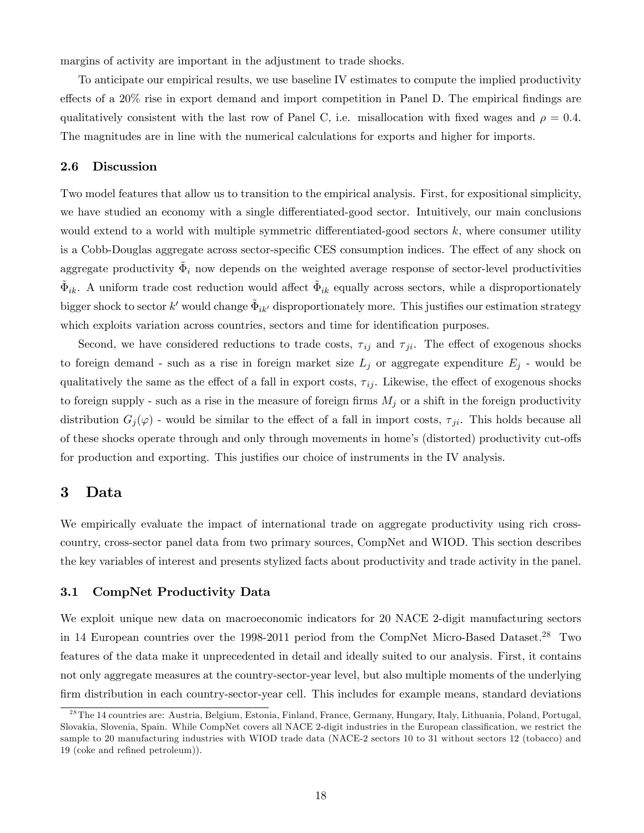margins of activity are important in the adjustment to trade shocks.

To anticipate our empirical results, we use baseline IV estimates to compute the implied productivity effects of a  $20\%$  rise in export demand and import competition in Panel D. The empirical findings are qualitatively consistent with the last row of Panel C, i.e. misallocation with fixed wages and  $\rho = 0.4$ . The magnitudes are in line with the numerical calculations for exports and higher for imports.

### 2.6 Discussion

Two model features that allow us to transition to the empirical analysis. First, for expositional simplicity, we have studied an economy with a single differentiated-good sector. Intuitively, our main conclusions would extend to a world with multiple symmetric differentiated-good sectors  $k$ , where consumer utility is a Cobb-Douglas aggregate across sector-specific CES consumption indices. The effect of any shock on aggregate productivity  $\tilde{\Phi}_i$  now depends on the weighted average response of sector-level productivities  $\tilde{\Phi}_{ik}$ . A uniform trade cost reduction would affect  $\tilde{\Phi}_{ik}$  equally across sectors, while a disproportionately bigger shock to sector  $k'$  would change  $\tilde{\Phi}_{ik'}$  disproportionately more. This justifies our estimation strategy which exploits variation across countries, sectors and time for identification purposes.

Second, we have considered reductions to trade costs,  $\tau_{ij}$  and  $\tau_{ji}$ . The effect of exogenous shocks to foreign demand - such as a rise in foreign market size  $L_j$  or aggregate expenditure  $E_j$  - would be qualitatively the same as the effect of a fall in export costs,  $\tau_{ij}$ . Likewise, the effect of exogenous shocks to foreign supply - such as a rise in the measure of foreign firms  $M_j$  or a shift in the foreign productivity distribution  $G_j(\varphi)$  - would be similar to the effect of a fall in import costs,  $\tau_{ji}$ . This holds because all of these shocks operate through and only through movements in home's (distorted) productivity cut-offs for production and exporting. This justifies our choice of instruments in the IV analysis.

## 3 Data

We empirically evaluate the impact of international trade on aggregate productivity using rich crosscountry, cross-sector panel data from two primary sources, CompNet and WIOD. This section describes the key variables of interest and presents stylized facts about productivity and trade activity in the panel.

### 3.1 CompNet Productivity Data

We exploit unique new data on macroeconomic indicators for 20 NACE 2-digit manufacturing sectors in 14 European countries over the 1998-2011 period from the CompNet Micro-Based Dataset.<sup>28</sup> Two features of the data make it unprecedented in detail and ideally suited to our analysis. First, it contains not only aggregate measures at the country-sector-year level, but also multiple moments of the underlying firm distribution in each country-sector-year cell. This includes for example means, standard deviations

<sup>&</sup>lt;sup>28</sup> The 14 countries are: Austria, Belgium, Estonia, Finland, France, Germany, Hungary, Italy, Lithuania, Poland, Portugal, Slovakia, Slovenia, Spain. While CompNet covers all NACE 2-digit industries in the European classification, we restrict the sample to 20 manufacturing industries with WIOD trade data (NACE-2 sectors 10 to 31 without sectors 12 (tobacco) and 19 (coke and refined petroleum)).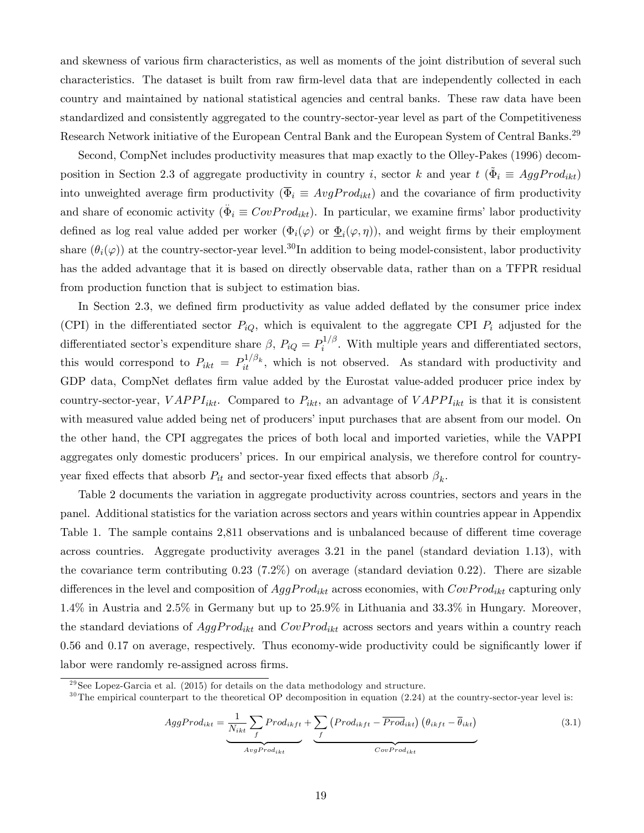and skewness of various firm characteristics, as well as moments of the joint distribution of several such characteristics. The dataset is built from raw firm-level data that are independently collected in each country and maintained by national statistical agencies and central banks. These raw data have been standardized and consistently aggregated to the country-sector-year level as part of the Competitiveness Research Network initiative of the European Central Bank and the European System of Central Banks.<sup>29</sup>

Second, CompNet includes productivity measures that map exactly to the Olley-Pakes (1996) decomposition in Section 2.3 of aggregate productivity in country *i*, sector *k* and year  $t$  ( $\tilde{\Phi}_i \equiv AggProd_{ikt}$ ) into unweighted average firm productivity  $(\overline{\Phi}_i \equiv AvgProd_{ikt})$  and the covariance of firm productivity and share of economic activity  $(\ddot{\Phi}_i \equiv CovProd_{ikt})$ . In particular, we examine firms' labor productivity defined as log real value added per worker  $(\Phi_i(\varphi)$  or  $\underline{\Phi}_i(\varphi,\eta)$ , and weight firms by their employment share  $(\theta_i(\varphi))$  at the country-sector-year level.<sup>30</sup>In addition to being model-consistent, labor productivity has the added advantage that it is based on directly observable data, rather than on a TFPR residual from production function that is subject to estimation bias.

In Section 2.3, we defined firm productivity as value added deflated by the consumer price index (CPI) in the differentiated sector  $P_{iQ}$ , which is equivalent to the aggregate CPI  $P_i$  adjusted for the differentiated sector's expenditure share  $\beta$ ,  $P_{iQ} = P_i^{1/\beta}$  $i^{1/\rho}$ . With multiple years and differentiated sectors, this would correspond to  $P_{ikt} = P_{it}^{1/\beta_k}$ , which is not observed. As standard with productivity and GDP data, CompNet deflates firm value added by the Eurostat value-added producer price index by country-sector-year,  $VAPPI_{ikt}$ . Compared to  $P_{ikt}$ , an advantage of  $VAPPI_{ikt}$  is that it is consistent with measured value added being net of producers' input purchases that are absent from our model. On the other hand, the CPI aggregates the prices of both local and imported varieties, while the VAPPI aggregates only domestic producers' prices. In our empirical analysis, we therefore control for countryyear fixed effects that absorb  $P_{it}$  and sector-year fixed effects that absorb  $\beta_k$ .

Table 2 documents the variation in aggregate productivity across countries, sectors and years in the panel. Additional statistics for the variation across sectors and years within countries appear in Appendix Table 1. The sample contains 2,811 observations and is unbalanced because of different time coverage across countries. Aggregate productivity averages 3.21 in the panel (standard deviation 1.13), with the covariance term contributing 0.23 (7.2%) on average (standard deviation 0.22). There are sizable differences in the level and composition of  $AggProd_{ikt}$  across economies, with  $CovProd_{ikt}$  capturing only 1.4% in Austria and 2.5% in Germany but up to 25.9% in Lithuania and 33.3% in Hungary. Moreover, the standard deviations of  $AggProd_{ikt}$  and  $CovProd_{ikt}$  across sectors and years within a country reach 0.56 and 0.17 on average, respectively. Thus economy-wide productivity could be significantly lower if labor were randomly re-assigned across firms.

$$
AggProd_{ikt} = \underbrace{\frac{1}{N_{ikt}} \sum_{f} Prod_{ikft}}_{AvgProd_{ikt}} + \underbrace{\sum_{f} (Prod_{ikft} - \overline{Prod}_{ikt}) (\theta_{ikft} - \overline{\theta}_{ikt})}_{CovProd_{ikt}}
$$
(3.1)

 $^{29}$ See Lopez-Garcia et al. (2015) for details on the data methodology and structure.

 $30$ The empirical counterpart to the theoretical OP decomposition in equation (2.24) at the country-sector-year level is: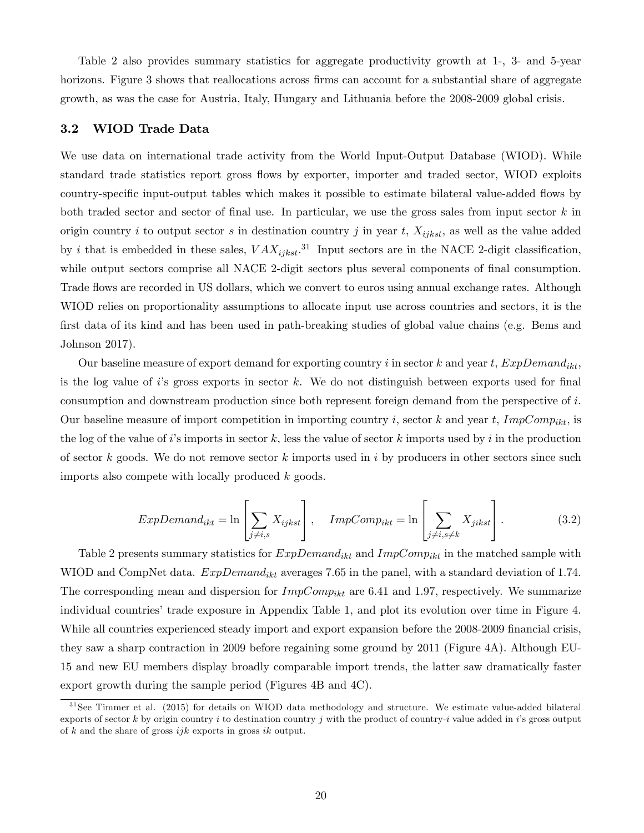Table 2 also provides summary statistics for aggregate productivity growth at 1-, 3- and 5-year horizons. Figure 3 shows that reallocations across firms can account for a substantial share of aggregate growth, as was the case for Austria, Italy, Hungary and Lithuania before the 2008-2009 global crisis.

### 3.2 WIOD Trade Data

We use data on international trade activity from the World Input-Output Database (WIOD). While standard trade statistics report gross áows by exporter, importer and traded sector, WIOD exploits country-specific input-output tables which makes it possible to estimate bilateral value-added flows by both traded sector and sector of final use. In particular, we use the gross sales from input sector  $k$  in origin country i to output sector s in destination country j in year t,  $X_{ijkst}$ , as well as the value added by *i* that is embedded in these sales,  $VAX_{ijkst}$ .<sup>31</sup> Input sectors are in the NACE 2-digit classification, while output sectors comprise all NACE 2-digit sectors plus several components of final consumption. Trade flows are recorded in US dollars, which we convert to euros using annual exchange rates. Although WIOD relies on proportionality assumptions to allocate input use across countries and sectors, it is the first data of its kind and has been used in path-breaking studies of global value chains (e.g. Bems and Johnson 2017).

Our baseline measure of export demand for exporting country i in sector k and year t,  $ExpDomain_{ikt}$ , is the log value of is gross exports in sector k. We do not distinguish between exports used for final consumption and downstream production since both represent foreign demand from the perspective of i. Our baseline measure of import competition in importing country i, sector k and year t,  $ImpComp_{ikt}$ , is the log of the value of is imports in sector k, less the value of sector k imports used by i in the production of sector k goods. We do not remove sector k imports used in i by producers in other sectors since such imports also compete with locally produced k goods.

$$
ExpDemand_{ikt} = \ln\left[\sum_{j \neq i,s} X_{ijkst}\right], \quad ImpComp_{ikt} = \ln\left[\sum_{j \neq i,s \neq k} X_{jikst}\right].
$$
 (3.2)

Table 2 presents summary statistics for  $ExpDemand_{ikt}$  and  $ImpComp_{ikt}$  in the matched sample with WIOD and CompNet data.  $ExpDemand_{ikt}$  averages 7.65 in the panel, with a standard deviation of 1.74. The corresponding mean and dispersion for  $ImpComp_{ikt}$  are 6.41 and 1.97, respectively. We summarize individual countries' trade exposure in Appendix Table 1, and plot its evolution over time in Figure 4. While all countries experienced steady import and export expansion before the 2008-2009 financial crisis, they saw a sharp contraction in 2009 before regaining some ground by 2011 (Figure 4A). Although EU-15 and new EU members display broadly comparable import trends, the latter saw dramatically faster export growth during the sample period (Figures 4B and 4C).

 $31$ See Timmer et al. (2015) for details on WIOD data methodology and structure. We estimate value-added bilateral exports of sector k by origin country i to destination country j with the product of country-i value added in i's gross output of k and the share of gross  $ijk$  exports in gross  $ik$  output.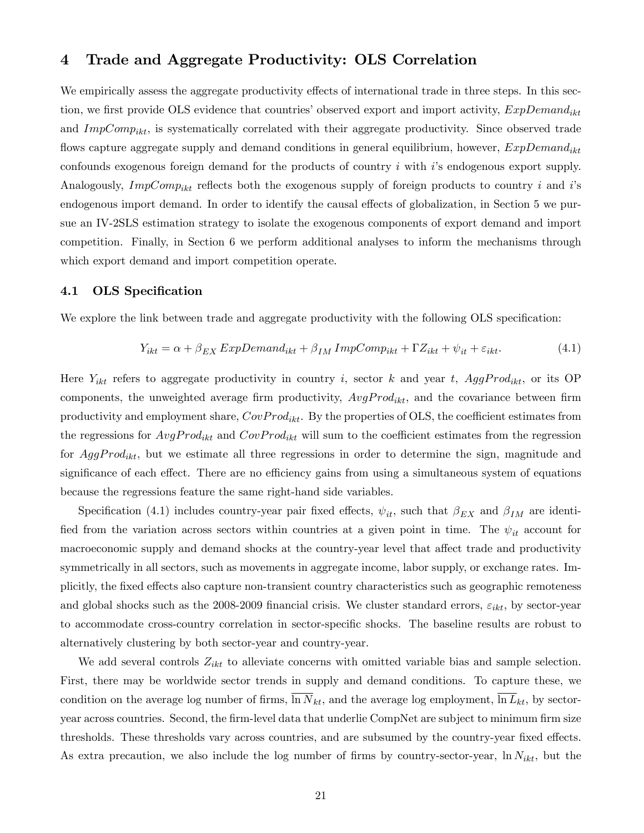## 4 Trade and Aggregate Productivity: OLS Correlation

We empirically assess the aggregate productivity effects of international trade in three steps. In this section, we first provide OLS evidence that countries' observed export and import activity,  $ExpDemand_{ikt}$ and  $ImpComp_{ikt}$ , is systematically correlated with their aggregate productivity. Since observed trade flows capture aggregate supply and demand conditions in general equilibrium, however,  $ExpDemand_{ikt}$ confounds exogenous foreign demand for the products of country  $i$  with  $i$ 's endogenous export supply. Analogously,  $ImpComp_{ikt}$  reflects both the exogenous supply of foreign products to country i and is endogenous import demand. In order to identify the causal effects of globalization, in Section 5 we pursue an IV-2SLS estimation strategy to isolate the exogenous components of export demand and import competition. Finally, in Section 6 we perform additional analyses to inform the mechanisms through which export demand and import competition operate.

### 4.1 OLS Specification

We explore the link between trade and aggregate productivity with the following OLS specification:

$$
Y_{ikt} = \alpha + \beta_{EX} \, ExpDemand_{ikt} + \beta_{IM} \, ImpComp_{ikt} + \Gamma Z_{ikt} + \psi_{it} + \varepsilon_{ikt}.
$$
\n(4.1)

Here  $Y_{ikt}$  refers to aggregate productivity in country i, sector k and year t,  $AggProd_{ikt}$ , or its OP components, the unweighted average firm productivity,  $AvgProd_{ikt}$ , and the covariance between firm productivity and employment share,  $CovProd_{ikt}$ . By the properties of OLS, the coefficient estimates from the regressions for  $AvgProd_{ikt}$  and  $CovProd_{ikt}$  will sum to the coefficient estimates from the regression for  $AggProd_{ikt}$ , but we estimate all three regressions in order to determine the sign, magnitude and significance of each effect. There are no efficiency gains from using a simultaneous system of equations because the regressions feature the same right-hand side variables.

Specification (4.1) includes country-year pair fixed effects,  $\psi_{it}$ , such that  $\beta_{EX}$  and  $\beta_{IM}$  are identified from the variation across sectors within countries at a given point in time. The  $\psi_{it}$  account for macroeconomic supply and demand shocks at the country-year level that affect trade and productivity symmetrically in all sectors, such as movements in aggregate income, labor supply, or exchange rates. Implicitly, the fixed effects also capture non-transient country characteristics such as geographic remoteness and global shocks such as the 2008-2009 financial crisis. We cluster standard errors,  $\varepsilon_{ikt}$ , by sector-year to accommodate cross-country correlation in sector-specific shocks. The baseline results are robust to alternatively clustering by both sector-year and country-year.

We add several controls  $Z_{ikt}$  to alleviate concerns with omitted variable bias and sample selection. First, there may be worldwide sector trends in supply and demand conditions. To capture these, we condition on the average log number of firms,  $\overline{\ln N}_{kt}$ , and the average log employment,  $\overline{\ln L}_{kt}$ , by sectoryear across countries. Second, the firm-level data that underlie CompNet are subject to minimum firm size thresholds. These thresholds vary across countries, and are subsumed by the country-year fixed effects. As extra precaution, we also include the log number of firms by country-sector-year,  $\ln N_{ikt}$ , but the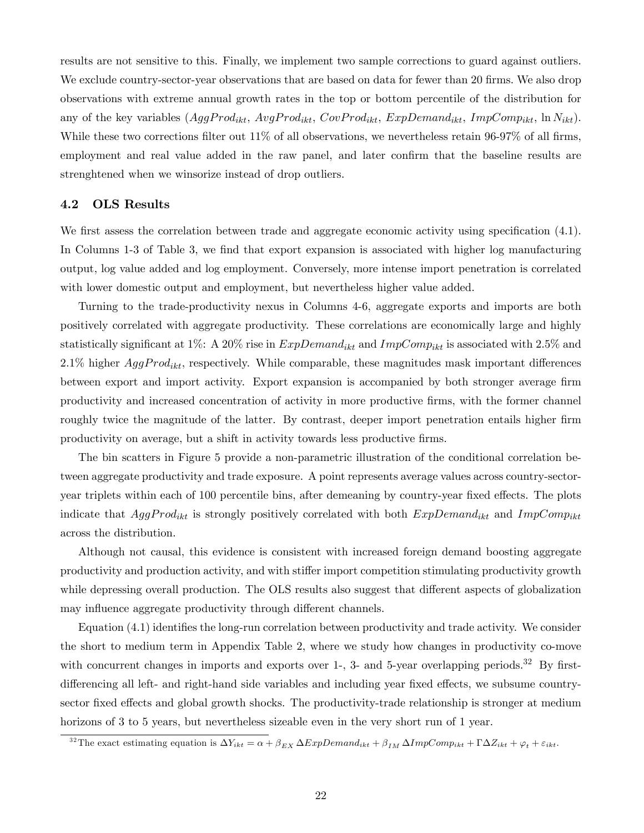results are not sensitive to this. Finally, we implement two sample corrections to guard against outliers. We exclude country-sector-year observations that are based on data for fewer than 20 firms. We also drop observations with extreme annual growth rates in the top or bottom percentile of the distribution for any of the key variables  $(AggProd_{ikt}, AvgProd_{ikt}, CovProd_{ikt}, ExpDemand_{ikt}, ImpComp_{ikt}, \ln N_{ikt}).$ While these two corrections filter out  $11\%$  of all observations, we nevertheless retain 96-97% of all firms, employment and real value added in the raw panel, and later confirm that the baseline results are strenghtened when we winsorize instead of drop outliers.

#### 4.2 OLS Results

We first assess the correlation between trade and aggregate economic activity using specification  $(4.1)$ . In Columns 1-3 of Table 3, we find that export expansion is associated with higher log manufacturing output, log value added and log employment. Conversely, more intense import penetration is correlated with lower domestic output and employment, but nevertheless higher value added.

Turning to the trade-productivity nexus in Columns 4-6, aggregate exports and imports are both positively correlated with aggregate productivity. These correlations are economically large and highly statistically significant at 1%: A 20% rise in  $ExpDemand_{ikt}$  and  $ImpComp_{ikt}$  is associated with 2.5% and 2.1% higher  $AggProd_{ikt}$ , respectively. While comparable, these magnitudes mask important differences between export and import activity. Export expansion is accompanied by both stronger average firm productivity and increased concentration of activity in more productive Örms, with the former channel roughly twice the magnitude of the latter. By contrast, deeper import penetration entails higher firm productivity on average, but a shift in activity towards less productive Örms.

The bin scatters in Figure 5 provide a non-parametric illustration of the conditional correlation between aggregate productivity and trade exposure. A point represents average values across country-sectoryear triplets within each of 100 percentile bins, after demeaning by country-year fixed effects. The plots indicate that  $AggProd_{ikt}$  is strongly positively correlated with both  $ExpDomain_{ikt}$  and  $ImpComp_{ikt}$ across the distribution.

Although not causal, this evidence is consistent with increased foreign demand boosting aggregate productivity and production activity, and with stiffer import competition stimulating productivity growth while depressing overall production. The OLS results also suggest that different aspects of globalization may influence aggregate productivity through different channels.

Equation  $(4.1)$  identifies the long-run correlation between productivity and trade activity. We consider the short to medium term in Appendix Table 2, where we study how changes in productivity co-move with concurrent changes in imports and exports over 1-, 3- and 5-year overlapping periods.<sup>32</sup> By firstdifferencing all left- and right-hand side variables and including year fixed effects, we subsume countrysector fixed effects and global growth shocks. The productivity-trade relationship is stronger at medium horizons of 3 to 5 years, but nevertheless sizeable even in the very short run of 1 year.

<sup>&</sup>lt;sup>32</sup>The exact estimating equation is  $\Delta Y_{ikt} = \alpha + \beta_{EX} \Delta ExpDemand_{ikt} + \beta_{IM} \Delta ImpComp_{ikt} + \Gamma \Delta Z_{ikt} + \varphi_t + \varepsilon_{ikt}$ .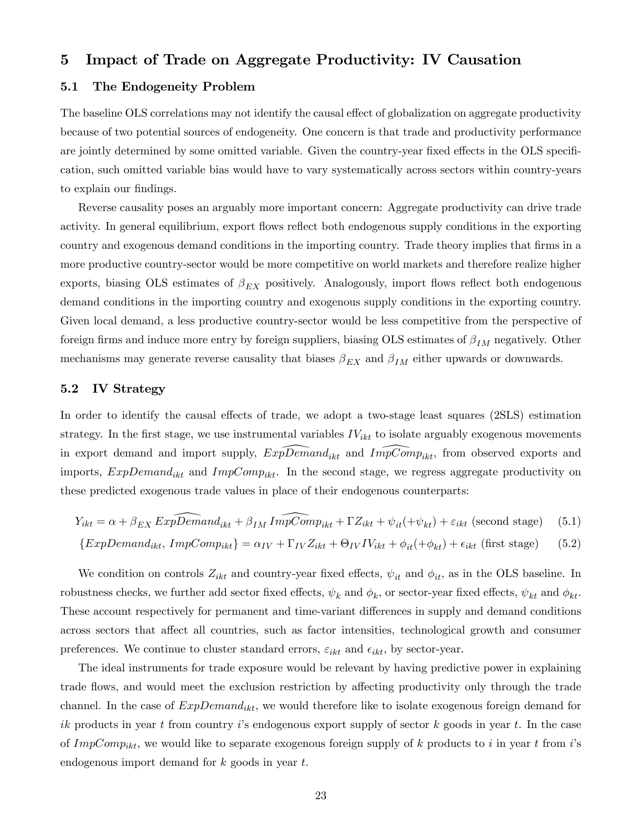## 5 Impact of Trade on Aggregate Productivity: IV Causation

### 5.1 The Endogeneity Problem

The baseline OLS correlations may not identify the causal effect of globalization on aggregate productivity because of two potential sources of endogeneity. One concern is that trade and productivity performance are jointly determined by some omitted variable. Given the country-year fixed effects in the OLS specification, such omitted variable bias would have to vary systematically across sectors within country-years to explain our findings.

Reverse causality poses an arguably more important concern: Aggregate productivity can drive trade activity. In general equilibrium, export flows reflect both endogenous supply conditions in the exporting country and exogenous demand conditions in the importing country. Trade theory implies that firms in a more productive country-sector would be more competitive on world markets and therefore realize higher exports, biasing OLS estimates of  $\beta_{EX}$  positively. Analogously, import flows reflect both endogenous demand conditions in the importing country and exogenous supply conditions in the exporting country. Given local demand, a less productive country-sector would be less competitive from the perspective of foreign firms and induce more entry by foreign suppliers, biasing OLS estimates of  $\beta_{IM}$  negatively. Other mechanisms may generate reverse causality that biases  $\beta_{EX}$  and  $\beta_{IM}$  either upwards or downwards.

### 5.2 IV Strategy

In order to identify the causal effects of trade, we adopt a two-stage least squares (2SLS) estimation strategy. In the first stage, we use instrumental variables  $IV_{ikt}$  to isolate arguably exogenous movements in export demand and import supply,  $ExpDemand_{ikt}$  and  $ImpComp_{ikt}$ , from observed exports and imports,  $ExpDemand_{ikt}$  and  $ImpComp_{ikt}$ . In the second stage, we regress aggregate productivity on these predicted exogenous trade values in place of their endogenous counterparts:

$$
Y_{ikt} = \alpha + \beta_{EX} Exp\widehat{Demand}_{ikt} + \beta_{IM} Im\widehat{pComp}_{ikt} + \Gamma Z_{ikt} + \psi_{it}(+\psi_{kt}) + \varepsilon_{ikt} (second stage)
$$
 (5.1)

$$
\{ExpDemand_{ikt}, ImpComp_{ikt}\} = \alpha_{IV} + \Gamma_{IV} Z_{ikt} + \Theta_{IV} IV_{ikt} + \phi_{it}(+\phi_{kt}) + \epsilon_{ikt} \text{ (first stage)} \tag{5.2}
$$

We condition on controls  $Z_{ikt}$  and country-year fixed effects,  $\psi_{it}$  and  $\phi_{it}$ , as in the OLS baseline. In robustness checks, we further add sector fixed effects,  $\psi_k$  and  $\phi_k$ , or sector-year fixed effects,  $\psi_{kt}$  and  $\phi_{kt}$ . These account respectively for permanent and time-variant differences in supply and demand conditions across sectors that affect all countries, such as factor intensities, technological growth and consumer preferences. We continue to cluster standard errors,  $\varepsilon_{ikt}$  and  $\epsilon_{ikt}$ , by sector-year.

The ideal instruments for trade exposure would be relevant by having predictive power in explaining trade flows, and would meet the exclusion restriction by affecting productivity only through the trade channel. In the case of  $ExpDemand_{ikt}$ , we would therefore like to isolate exogenous foreign demand for ik products in year t from country is endogenous export supply of sector k goods in year t. In the case of ImpComp<sub>ikt</sub>, we would like to separate exogenous foreign supply of k products to i in year t from i's endogenous import demand for k goods in year t.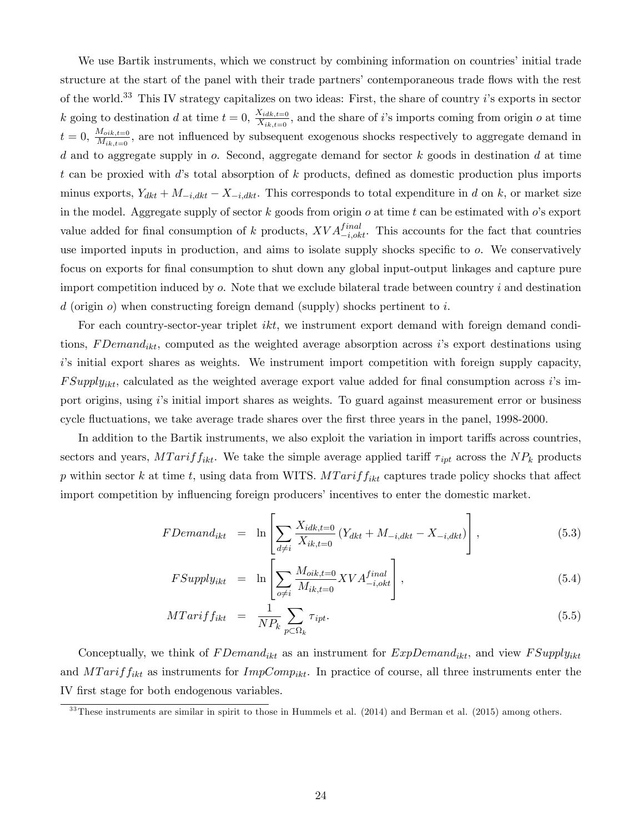We use Bartik instruments, which we construct by combining information on countries' initial trade structure at the start of the panel with their trade partners' contemporaneous trade flows with the rest of the world.<sup>33</sup> This IV strategy capitalizes on two ideas: First, the share of country i's exports in sector k going to destination d at time  $t = 0$ ,  $\frac{X_{idk,t=0}}{X_{idk,t=0}}$  $\frac{X_{iak,t=0}}{X_{ik,t=0}}$ , and the share of i's imports coming from origin o at time  $t = 0, \frac{M_{oik,t=0}}{M_{\odot}}$  $\frac{M_{oik,t=0}}{M_{ik,t=0}}$ , are not influenced by subsequent exogenous shocks respectively to aggregate demand in d and to aggregate supply in  $o$ . Second, aggregate demand for sector  $k$  goods in destination  $d$  at time t can be proxied with d's total absorption of  $k$  products, defined as domestic production plus imports minus exports,  $Y_{dkt} + M_{-i,dkt} - X_{-i,dkt}$ . This corresponds to total expenditure in d on k, or market size in the model. Aggregate supply of sector  $k$  goods from origin  $o$  at time  $t$  can be estimated with  $o$ 's export value added for final consumption of k products,  $XVA_{-i,okt}^{final}$ . This accounts for the fact that countries use imported inputs in production, and aims to isolate supply shocks specific to  $o$ . We conservatively focus on exports for final consumption to shut down any global input-output linkages and capture pure import competition induced by  $o$ . Note that we exclude bilateral trade between country  $i$  and destination  $d$  (origin  $o$ ) when constructing foreign demand (supply) shocks pertinent to i.

For each country-sector-year triplet *ikt*, we instrument export demand with foreign demand conditions, F Demand<sub>ikt</sub>, computed as the weighted average absorption across is export destinations using is initial export shares as weights. We instrument import competition with foreign supply capacity,  $FSupply_{ikt}$ , calculated as the weighted average export value added for final consumption across is import origins, using i's initial import shares as weights. To guard against measurement error or business cycle fluctuations, we take average trade shares over the first three years in the panel, 1998-2000.

In addition to the Bartik instruments, we also exploit the variation in import tariffs across countries, sectors and years,  $MTarif f_{ikt}$ . We take the simple average applied tariff  $\tau_{ipt}$  across the  $NP_k$  products p within sector k at time t, using data from WITS.  $MTarif f_{ikt}$  captures trade policy shocks that affect import competition by influencing foreign producers' incentives to enter the domestic market.

$$
FDemand_{ikt} = \ln \left[ \sum_{d \neq i} \frac{X_{idk,t=0}}{X_{ik,t=0}} \left( Y_{dkt} + M_{-i,dkt} - X_{-i,dkt} \right) \right],
$$
 (5.3)

$$
FSupply_{ikt} = \ln \left[ \sum_{o \neq i} \frac{M_{oik, t=0}}{M_{ik, t=0}} XVA_{-i, okt}^{final} \right],
$$
\n(5.4)

$$
MTariff_{ikt} = \frac{1}{NP_k} \sum_{p \subset \Omega_k} \tau_{ipt}.
$$
\n(5.5)

Conceptually, we think of  $FDemand_{ikt}$  as an instrument for  $ExpDemand_{ikt}$ , and view  $FSupply_{ikt}$ and  $MTariff_{ikt}$  as instruments for  $ImpComp_{ikt}$ . In practice of course, all three instruments enter the IV Örst stage for both endogenous variables.

 $33$ These instruments are similar in spirit to those in Hummels et al.  $(2014)$  and Berman et al.  $(2015)$  among others.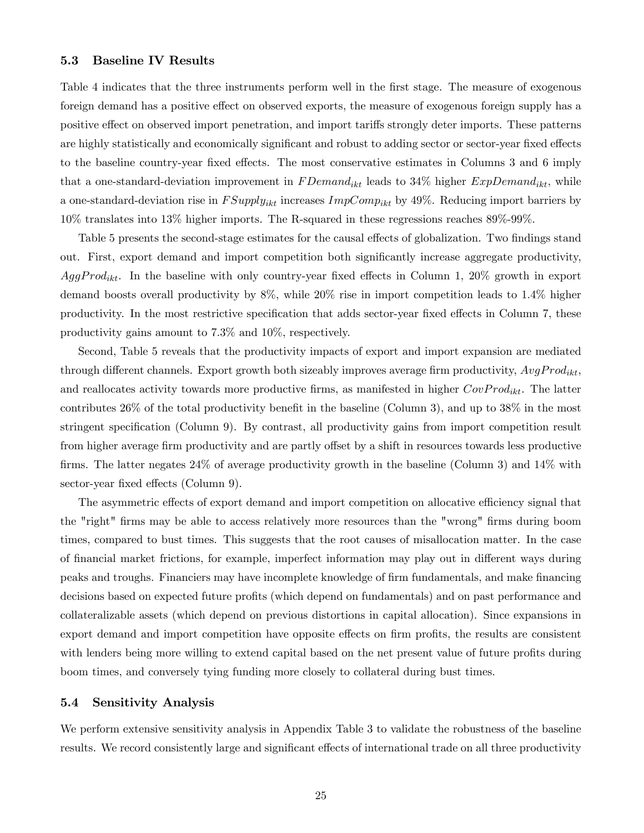### 5.3 Baseline IV Results

Table 4 indicates that the three instruments perform well in the first stage. The measure of exogenous foreign demand has a positive effect on observed exports, the measure of exogenous foreign supply has a positive effect on observed import penetration, and import tariffs strongly deter imports. These patterns are highly statistically and economically significant and robust to adding sector or sector-year fixed effects to the baseline country-year fixed effects. The most conservative estimates in Columns 3 and 6 imply that a one-standard-deviation improvement in  $FDemand_{ikt}$  leads to 34% higher  $ExpDomain_{ikt}$ , while a one-standard-deviation rise in  $FSupply_{ikt}$  increases  $ImpComp_{ikt}$  by 49%. Reducing import barriers by 10% translates into 13% higher imports. The R-squared in these regressions reaches 89%-99%.

Table 5 presents the second-stage estimates for the causal effects of globalization. Two findings stand out. First, export demand and import competition both significantly increase aggregate productivity,  $AggProd_{ikt}$ . In the baseline with only country-year fixed effects in Column 1, 20% growth in export demand boosts overall productivity by 8%, while 20% rise in import competition leads to 1.4% higher productivity. In the most restrictive specification that adds sector-year fixed effects in Column 7, these productivity gains amount to 7.3% and 10%, respectively.

Second, Table 5 reveals that the productivity impacts of export and import expansion are mediated through different channels. Export growth both sizeably improves average firm productivity,  $AvgProd_{ikt}$ , and reallocates activity towards more productive firms, as manifested in higher  $CovProd_{ikt}$ . The latter contributes  $26\%$  of the total productivity benefit in the baseline (Column 3), and up to  $38\%$  in the most stringent specification (Column 9). By contrast, all productivity gains from import competition result from higher average firm productivity and are partly offset by a shift in resources towards less productive firms. The latter negates  $24\%$  of average productivity growth in the baseline (Column 3) and  $14\%$  with sector-year fixed effects (Column 9).

The asymmetric effects of export demand and import competition on allocative efficiency signal that the "right" Örms may be able to access relatively more resources than the "wrong" Örms during boom times, compared to bust times. This suggests that the root causes of misallocation matter. In the case of financial market frictions, for example, imperfect information may play out in different ways during peaks and troughs. Financiers may have incomplete knowledge of firm fundamentals, and make financing decisions based on expected future profits (which depend on fundamentals) and on past performance and collateralizable assets (which depend on previous distortions in capital allocation). Since expansions in export demand and import competition have opposite effects on firm profits, the results are consistent with lenders being more willing to extend capital based on the net present value of future profits during boom times, and conversely tying funding more closely to collateral during bust times.

### 5.4 Sensitivity Analysis

We perform extensive sensitivity analysis in Appendix Table 3 to validate the robustness of the baseline results. We record consistently large and significant effects of international trade on all three productivity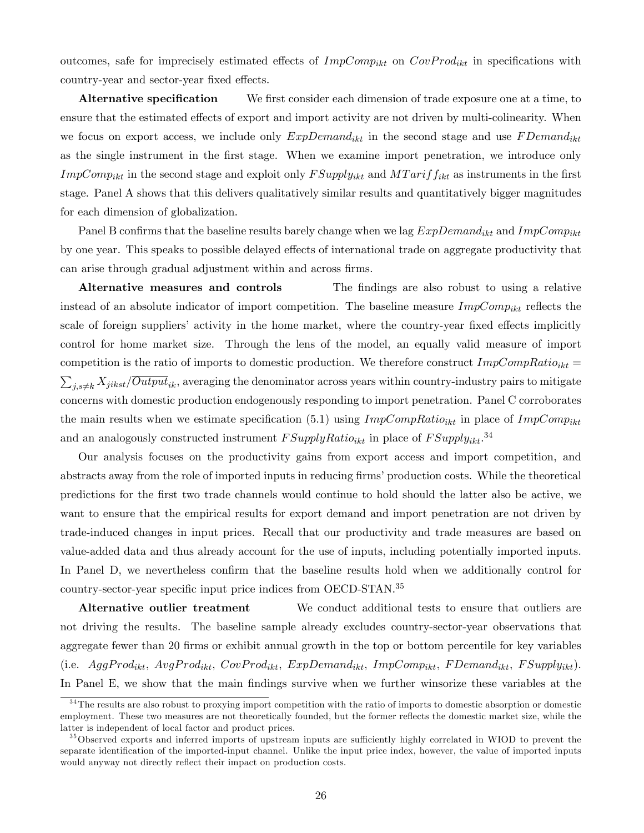outcomes, safe for imprecisely estimated effects of  $ImpComp_{ikt}$  on  $CovProd_{ikt}$  in specifications with country-year and sector-year fixed effects.

Alternative specification We first consider each dimension of trade exposure one at a time, to ensure that the estimated effects of export and import activity are not driven by multi-colinearity. When we focus on export access, we include only  $ExpDemand_{ikt}$  in the second stage and use  $FDemand_{ikt}$ as the single instrument in the first stage. When we examine import penetration, we introduce only  $ImpComp_{ikt}$  in the second stage and exploit only  $FSupply_{ikt}$  and  $MTarif f_{ikt}$  as instruments in the first stage. Panel A shows that this delivers qualitatively similar results and quantitatively bigger magnitudes for each dimension of globalization.

Panel B confirms that the baseline results barely change when we lag  $ExpDemand_{ikt}$  and  $ImpComp_{ikt}$ by one year. This speaks to possible delayed effects of international trade on aggregate productivity that can arise through gradual adjustment within and across firms.

Alternative measures and controls The findings are also robust to using a relative instead of an absolute indicator of import competition. The baseline measure  $ImpComp_{ikt}$  reflects the scale of foreign suppliers' activity in the home market, where the country-year fixed effects implicitly control for home market size. Through the lens of the model, an equally valid measure of import competition is the ratio of imports to domestic production. We therefore construct  $ImpCompRatio_{ikt} =$  $\sum_{j,s\neq k} X_{jikst}/\overline{Output}_{ik}$ , averaging the denominator across years within country-industry pairs to mitigate concerns with domestic production endogenously responding to import penetration. Panel C corroborates the main results when we estimate specification (5.1) using  $ImpCompRatio_{ikt}$  in place of  $ImpComp_{ikt}$ and an analogously constructed instrument  $FSupplyRatio_{ikt}$  in place of  $FSupply_{ikt}.$ <sup>34</sup>

Our analysis focuses on the productivity gains from export access and import competition, and abstracts away from the role of imported inputs in reducing firms' production costs. While the theoretical predictions for the Örst two trade channels would continue to hold should the latter also be active, we want to ensure that the empirical results for export demand and import penetration are not driven by trade-induced changes in input prices. Recall that our productivity and trade measures are based on value-added data and thus already account for the use of inputs, including potentially imported inputs. In Panel D, we nevertheless confirm that the baseline results hold when we additionally control for country-sector-year specific input price indices from OECD-STAN.<sup>35</sup>

Alternative outlier treatment We conduct additional tests to ensure that outliers are not driving the results. The baseline sample already excludes country-sector-year observations that aggregate fewer than 20 firms or exhibit annual growth in the top or bottom percentile for key variables (i.e.  $AggProd_{ikt}$ ,  $AvgProd_{ikt}$ ,  $CovProd_{ikt}$ ,  $ExpDemand_{ikt}$ ,  $ImpComp_{ikt}$ ,  $FDemand_{ikt}$ ,  $FSupply_{ikt}$ ). In Panel E, we show that the main findings survive when we further winsorize these variables at the

<sup>&</sup>lt;sup>34</sup>The results are also robust to proxying import competition with the ratio of imports to domestic absorption or domestic employment. These two measures are not theoretically founded, but the former reflects the domestic market size, while the latter is independent of local factor and product prices.

<sup>&</sup>lt;sup>35</sup>Observed exports and inferred imports of upstream inputs are sufficiently highly correlated in WIOD to prevent the separate identification of the imported-input channel. Unlike the input price index, however, the value of imported inputs would anyway not directly reflect their impact on production costs.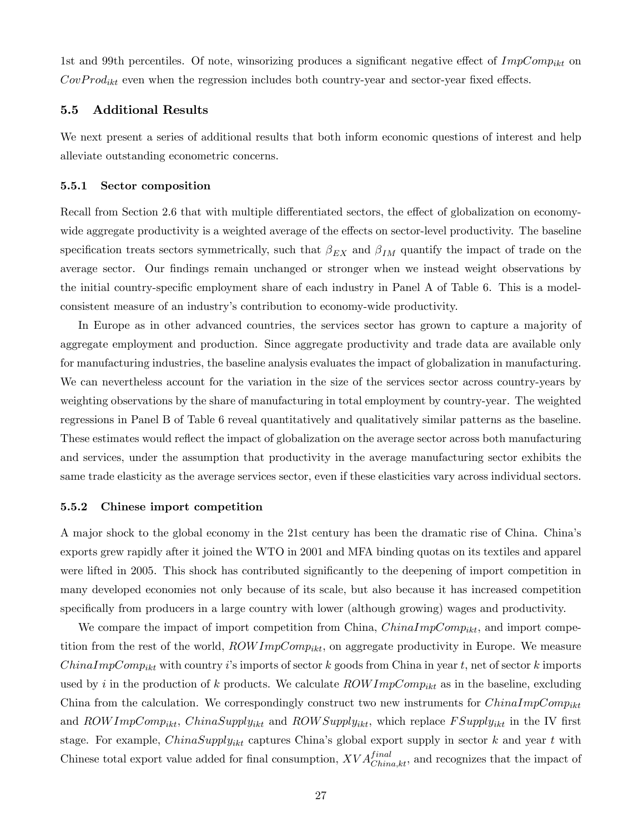1st and 99th percentiles. Of note, winsorizing produces a significant negative effect of  $ImpComp_{ikt}$  on  $CovProd_{ikt}$  even when the regression includes both country-year and sector-year fixed effects.

### 5.5 Additional Results

We next present a series of additional results that both inform economic questions of interest and help alleviate outstanding econometric concerns.

#### 5.5.1 Sector composition

Recall from Section 2.6 that with multiple differentiated sectors, the effect of globalization on economywide aggregate productivity is a weighted average of the effects on sector-level productivity. The baseline specification treats sectors symmetrically, such that  $\beta_{EX}$  and  $\beta_{IM}$  quantify the impact of trade on the average sector. Our findings remain unchanged or stronger when we instead weight observations by the initial country-specific employment share of each industry in Panel A of Table 6. This is a modelconsistent measure of an industryís contribution to economy-wide productivity.

In Europe as in other advanced countries, the services sector has grown to capture a majority of aggregate employment and production. Since aggregate productivity and trade data are available only for manufacturing industries, the baseline analysis evaluates the impact of globalization in manufacturing. We can nevertheless account for the variation in the size of the services sector across country-years by weighting observations by the share of manufacturing in total employment by country-year. The weighted regressions in Panel B of Table 6 reveal quantitatively and qualitatively similar patterns as the baseline. These estimates would reflect the impact of globalization on the average sector across both manufacturing and services, under the assumption that productivity in the average manufacturing sector exhibits the same trade elasticity as the average services sector, even if these elasticities vary across individual sectors.

#### 5.5.2 Chinese import competition

A major shock to the global economy in the 21st century has been the dramatic rise of China. Chinaís exports grew rapidly after it joined the WTO in 2001 and MFA binding quotas on its textiles and apparel were lifted in 2005. This shock has contributed significantly to the deepening of import competition in many developed economies not only because of its scale, but also because it has increased competition specifically from producers in a large country with lower (although growing) wages and productivity.

We compare the impact of import competition from China,  $ChinaImpComp_{ikt}$ , and import competition from the rest of the world,  $ROWImpComp_{ikt}$ , on aggregate productivity in Europe. We measure  $ChinaImpComp_{ikt}$  with country is imports of sector k goods from China in year t, net of sector k imports used by i in the production of k products. We calculate  $ROWImpComp_{ikt}$  as in the baseline, excluding China from the calculation. We correspondingly construct two new instruments for  $ChinaImpComp_{ikt}$ and  $ROWImpComp_{ikt}$ ,  $ChinaSupply_{ikt}$  and  $ROWSupply_{ikt}$ , which replace  $FSupply_{ikt}$  in the IV first stage. For example,  $ChinaSupply_{ikt}$  captures China's global export supply in sector k and year t with Chinese total export value added for final consumption,  $XVA_{China,kt}^{final}$ , and recognizes that the impact of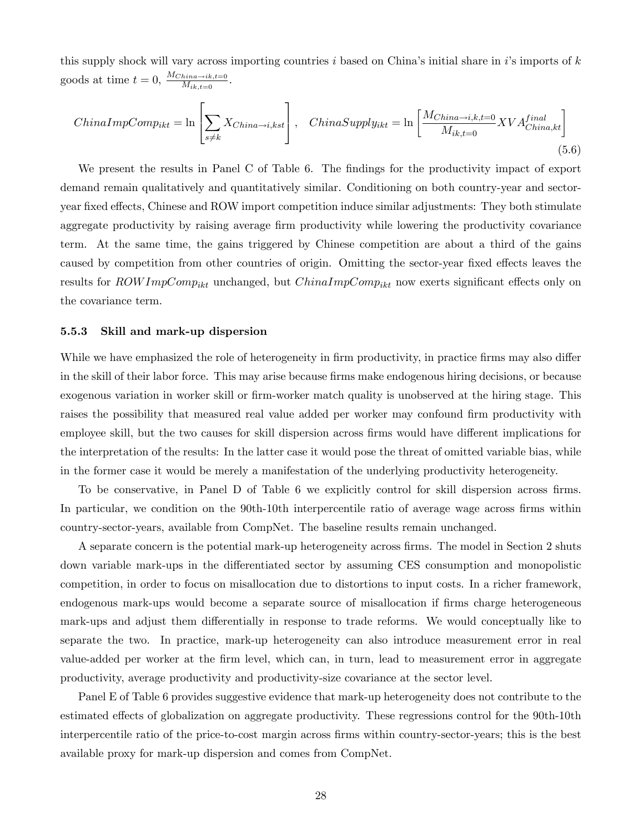this supply shock will vary across importing countries i based on China's initial share in i's imports of  $k$ goods at time  $t = 0$ ,  $\frac{M_{China \rightarrow ik,t=0}}{M_{ik,t=0}}$ .

$$
ChinaImpComp_{ikt} = \ln \left[ \sum_{s \neq k} X_{China \rightarrow i, kst} \right], \quad China Supply_{ikt} = \ln \left[ \frac{M_{China \rightarrow i, k, t=0}}{M_{ik, t=0}} XVA_{China, kt}^{final} \right]
$$
\n
$$
(5.6)
$$

We present the results in Panel C of Table 6. The findings for the productivity impact of export demand remain qualitatively and quantitatively similar. Conditioning on both country-year and sectoryear fixed effects, Chinese and ROW import competition induce similar adjustments: They both stimulate aggregate productivity by raising average firm productivity while lowering the productivity covariance term. At the same time, the gains triggered by Chinese competition are about a third of the gains caused by competition from other countries of origin. Omitting the sector-year fixed effects leaves the results for  $ROWImpComp_{ikt}$  unchanged, but  $ChinaImpComp_{ikt}$  now exerts significant effects only on the covariance term.

#### 5.5.3 Skill and mark-up dispersion

While we have emphasized the role of heterogeneity in firm productivity, in practice firms may also differ in the skill of their labor force. This may arise because firms make endogenous hiring decisions, or because exogenous variation in worker skill or firm-worker match quality is unobserved at the hiring stage. This raises the possibility that measured real value added per worker may confound firm productivity with employee skill, but the two causes for skill dispersion across firms would have different implications for the interpretation of the results: In the latter case it would pose the threat of omitted variable bias, while in the former case it would be merely a manifestation of the underlying productivity heterogeneity.

To be conservative, in Panel D of Table 6 we explicitly control for skill dispersion across firms. In particular, we condition on the 90th-10th interpercentile ratio of average wage across firms within country-sector-years, available from CompNet. The baseline results remain unchanged.

A separate concern is the potential mark-up heterogeneity across firms. The model in Section 2 shuts down variable mark-ups in the differentiated sector by assuming CES consumption and monopolistic competition, in order to focus on misallocation due to distortions to input costs. In a richer framework, endogenous mark-ups would become a separate source of misallocation if firms charge heterogeneous mark-ups and adjust them differentially in response to trade reforms. We would conceptually like to separate the two. In practice, mark-up heterogeneity can also introduce measurement error in real value-added per worker at the Örm level, which can, in turn, lead to measurement error in aggregate productivity, average productivity and productivity-size covariance at the sector level.

Panel E of Table 6 provides suggestive evidence that mark-up heterogeneity does not contribute to the estimated effects of globalization on aggregate productivity. These regressions control for the 90th-10th interpercentile ratio of the price-to-cost margin across firms within country-sector-years; this is the best available proxy for mark-up dispersion and comes from CompNet.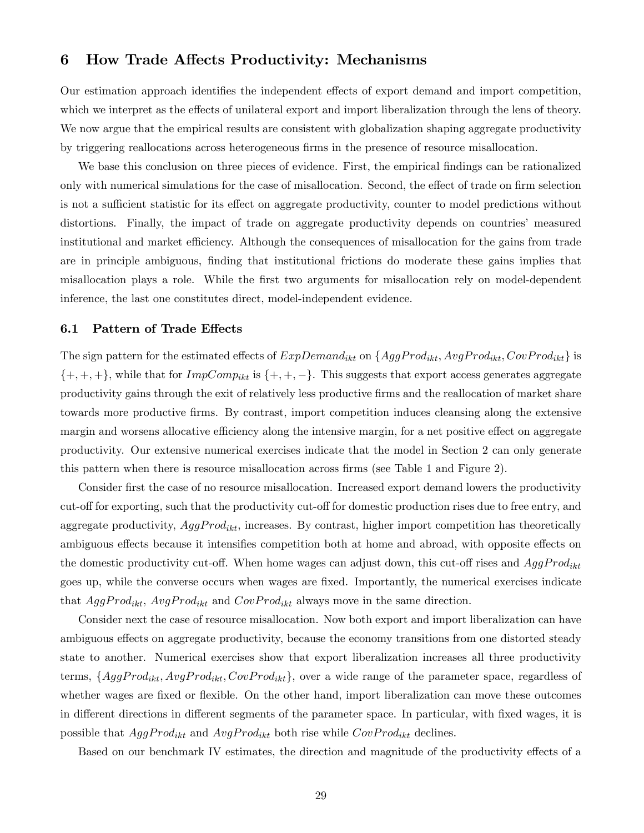## 6 How Trade Affects Productivity: Mechanisms

Our estimation approach identifies the independent effects of export demand and import competition, which we interpret as the effects of unilateral export and import liberalization through the lens of theory. We now argue that the empirical results are consistent with globalization shaping aggregate productivity by triggering reallocations across heterogeneous firms in the presence of resource misallocation.

We base this conclusion on three pieces of evidence. First, the empirical findings can be rationalized only with numerical simulations for the case of misallocation. Second, the effect of trade on firm selection is not a sufficient statistic for its effect on aggregate productivity, counter to model predictions without distortions. Finally, the impact of trade on aggregate productivity depends on countries' measured institutional and market efficiency. Although the consequences of misallocation for the gains from trade are in principle ambiguous, finding that institutional frictions do moderate these gains implies that misallocation plays a role. While the first two arguments for misallocation rely on model-dependent inference, the last one constitutes direct, model-independent evidence.

### 6.1 Pattern of Trade Effects

The sign pattern for the estimated effects of  $ExpDemand_{ikt}$  on  $\{AggProd_{ikt}, AvgProd_{ikt}, CovProd_{ikt}\}$  is  $\{+, +, +\}$ , while that for  $ImpComp_{ikt}$  is  $\{+, +, -\}$ . This suggests that export access generates aggregate productivity gains through the exit of relatively less productive Örms and the reallocation of market share towards more productive Örms. By contrast, import competition induces cleansing along the extensive margin and worsens allocative efficiency along the intensive margin, for a net positive effect on aggregate productivity. Our extensive numerical exercises indicate that the model in Section 2 can only generate this pattern when there is resource misallocation across firms (see Table 1 and Figure 2).

Consider first the case of no resource misallocation. Increased export demand lowers the productivity cut-off for exporting, such that the productivity cut-off for domestic production rises due to free entry, and aggregate productivity,  $AggProd_{ikt}$ , increases. By contrast, higher import competition has theoretically ambiguous effects because it intensifies competition both at home and abroad, with opposite effects on the domestic productivity cut-off. When home wages can adjust down, this cut-off rises and  $AggProd_{ikt}$ goes up, while the converse occurs when wages are fixed. Importantly, the numerical exercises indicate that  $AggProd_{ikt}$ ,  $AvgProd_{ikt}$  and  $CovProd_{ikt}$  always move in the same direction.

Consider next the case of resource misallocation. Now both export and import liberalization can have ambiguous effects on aggregate productivity, because the economy transitions from one distorted steady state to another. Numerical exercises show that export liberalization increases all three productivity terms,  $\{AggProd_{ikt}, AvgProd_{ikt}, CovProd_{ikt}\}$ , over a wide range of the parameter space, regardless of whether wages are fixed or flexible. On the other hand, import liberalization can move these outcomes in different directions in different segments of the parameter space. In particular, with fixed wages, it is possible that  $AggProd_{ikt}$  and  $AvgProd_{ikt}$  both rise while  $CovProd_{ikt}$  declines.

Based on our benchmark IV estimates, the direction and magnitude of the productivity effects of a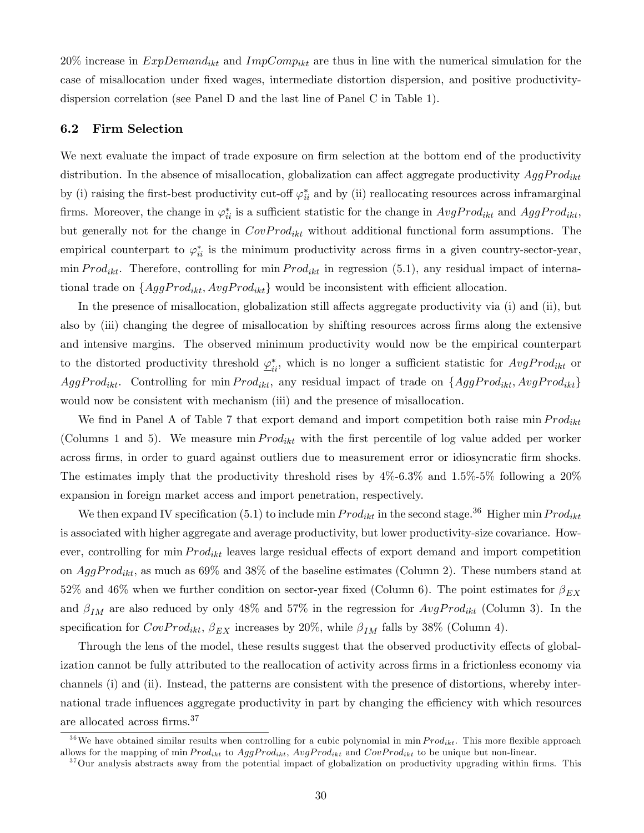20% increase in  $ExpDemand_{ikt}$  and  $ImpComp_{ikt}$  are thus in line with the numerical simulation for the case of misallocation under Öxed wages, intermediate distortion dispersion, and positive productivitydispersion correlation (see Panel D and the last line of Panel C in Table 1).

### 6.2 Firm Selection

We next evaluate the impact of trade exposure on firm selection at the bottom end of the productivity distribution. In the absence of misallocation, globalization can affect aggregate productivity  $AggProd_{ikt}$ by (i) raising the first-best productivity cut-off  $\varphi_{ii}^*$  and by (ii) reallocating resources across inframarginal firms. Moreover, the change in  $\varphi_{ii}^*$  is a sufficient statistic for the change in  $AvgProd_{ikt}$  and  $AggProd_{ikt}$ , but generally not for the change in  $CovProd_{ikt}$  without additional functional form assumptions. The empirical counterpart to  $\varphi_{ii}^*$  is the minimum productivity across firms in a given country-sector-year, min  $Prod_{ikt}$ . Therefore, controlling for min  $Prod_{ikt}$  in regression (5.1), any residual impact of international trade on  $\{AggProd_{ikt}, AvgProd_{ikt}\}$  would be inconsistent with efficient allocation.

In the presence of misallocation, globalization still affects aggregate productivity via (i) and (ii), but also by (iii) changing the degree of misallocation by shifting resources across firms along the extensive and intensive margins. The observed minimum productivity would now be the empirical counterpart to the distorted productivity threshold  $\underline{\varphi}_{ii}^*$ , which is no longer a sufficient statistic for  $AvgProd_{ikt}$  or AggProd<sub>ikt</sub>. Controlling for min  $Prod_{ikt}$ , any residual impact of trade on  $\{AggProd_{ikt}, AvgProd_{ikt}\}$ would now be consistent with mechanism (iii) and the presence of misallocation.

We find in Panel A of Table 7 that export demand and import competition both raise min  $Prod_{ikt}$ (Columns 1 and 5). We measure min  $Prod_{ikt}$  with the first percentile of log value added per worker across Örms, in order to guard against outliers due to measurement error or idiosyncratic Örm shocks. The estimates imply that the productivity threshold rises by  $4\%$ -6.3% and  $1.5\%$ -5% following a  $20\%$ expansion in foreign market access and import penetration, respectively.

We then expand IV specification (5.1) to include min  $Prod_{ikt}$  in the second stage.<sup>36</sup> Higher min  $Prod_{ikt}$ is associated with higher aggregate and average productivity, but lower productivity-size covariance. However, controlling for  $\min Prod_{ikt}$  leaves large residual effects of export demand and import competition on  $AggProd_{ikt}$ , as much as 69% and 38% of the baseline estimates (Column 2). These numbers stand at 52% and 46% when we further condition on sector-year fixed (Column 6). The point estimates for  $\beta_{EX}$ and  $\beta_{IM}$  are also reduced by only 48% and 57% in the regression for  $AvgProd_{ikt}$  (Column 3). In the specification for  $CovProd_{ikt}$ ,  $\beta_{EX}$  increases by 20%, while  $\beta_{IM}$  falls by 38% (Column 4).

Through the lens of the model, these results suggest that the observed productivity effects of globalization cannot be fully attributed to the reallocation of activity across firms in a frictionless economy via channels (i) and (ii). Instead, the patterns are consistent with the presence of distortions, whereby international trade influences aggregate productivity in part by changing the efficiency with which resources are allocated across firms.<sup>37</sup>

<sup>&</sup>lt;sup>36</sup>We have obtained similar results when controlling for a cubic polynomial in min  $Prod_{ikt}$ . This more flexible approach allows for the mapping of min  $Prod_{ikt}$  to  $AggProd_{ikt}$ ,  $AvgProd_{ikt}$  and  $CovProd_{ikt}$  to be unique but non-linear.

 $37$ Our analysis abstracts away from the potential impact of globalization on productivity upgrading within firms. This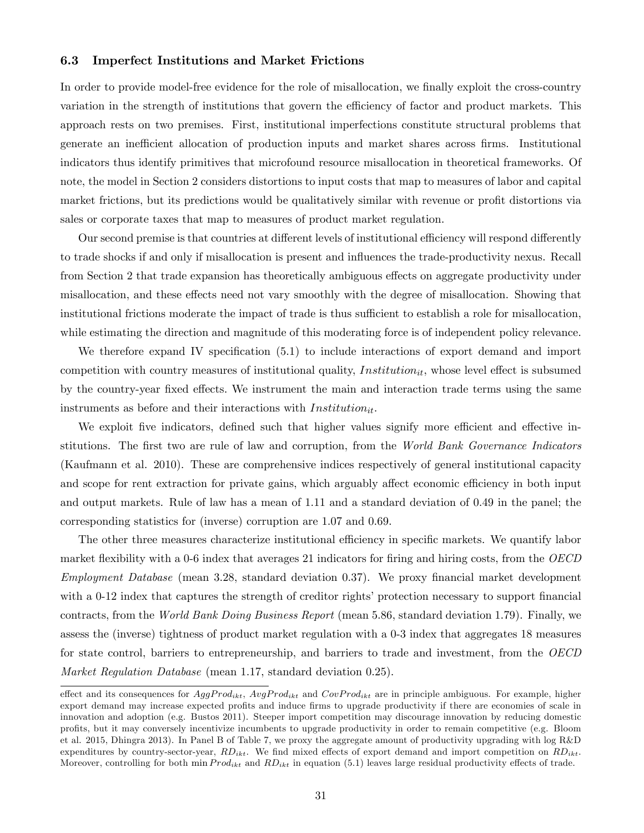### 6.3 Imperfect Institutions and Market Frictions

In order to provide model-free evidence for the role of misallocation, we finally exploit the cross-country variation in the strength of institutions that govern the efficiency of factor and product markets. This approach rests on two premises. First, institutional imperfections constitute structural problems that generate an inefficient allocation of production inputs and market shares across firms. Institutional indicators thus identify primitives that microfound resource misallocation in theoretical frameworks. Of note, the model in Section 2 considers distortions to input costs that map to measures of labor and capital market frictions, but its predictions would be qualitatively similar with revenue or profit distortions via sales or corporate taxes that map to measures of product market regulation.

Our second premise is that countries at different levels of institutional efficiency will respond differently to trade shocks if and only if misallocation is present and ináuences the trade-productivity nexus. Recall from Section 2 that trade expansion has theoretically ambiguous effects on aggregate productivity under misallocation, and these effects need not vary smoothly with the degree of misallocation. Showing that institutional frictions moderate the impact of trade is thus sufficient to establish a role for misallocation, while estimating the direction and magnitude of this moderating force is of independent policy relevance.

We therefore expand IV specification  $(5.1)$  to include interactions of export demand and import competition with country measures of institutional quality, Institution<sub>it</sub>, whose level effect is subsumed by the country-year fixed effects. We instrument the main and interaction trade terms using the same instruments as before and their interactions with  $Institution_{it}$ .

We exploit five indicators, defined such that higher values signify more efficient and effective institutions. The first two are rule of law and corruption, from the World Bank Governance Indicators (Kaufmann et al. 2010). These are comprehensive indices respectively of general institutional capacity and scope for rent extraction for private gains, which arguably affect economic efficiency in both input and output markets. Rule of law has a mean of 1.11 and a standard deviation of 0.49 in the panel; the corresponding statistics for (inverse) corruption are 1.07 and 0.69.

The other three measures characterize institutional efficiency in specific markets. We quantify labor market flexibility with a 0-6 index that averages 21 indicators for firing and hiring costs, from the  $OECD$ Employment Database (mean 3.28, standard deviation 0.37). We proxy financial market development with a 0-12 index that captures the strength of creditor rights' protection necessary to support financial contracts, from the World Bank Doing Business Report (mean 5.86, standard deviation 1.79). Finally, we assess the (inverse) tightness of product market regulation with a 0-3 index that aggregates 18 measures for state control, barriers to entrepreneurship, and barriers to trade and investment, from the OECD Market Regulation Database (mean 1.17, standard deviation 0.25).

effect and its consequences for  $AggProd_{ikt}$ ,  $AvgProd_{ikt}$  and  $CovProd_{ikt}$  are in principle ambiguous. For example, higher export demand may increase expected profits and induce firms to upgrade productivity if there are economies of scale in innovation and adoption (e.g. Bustos 2011). Steeper import competition may discourage innovation by reducing domestic proÖts, but it may conversely incentivize incumbents to upgrade productivity in order to remain competitive (e.g. Bloom et al. 2015, Dhingra 2013). In Panel B of Table 7, we proxy the aggregate amount of productivity upgrading with log R&D expenditures by country-sector-year,  $RD_{ikt}$ . We find mixed effects of export demand and import competition on  $RD_{ikt}$ . Moreover, controlling for both min  $Prod_{ikt}$  and  $RD_{ikt}$  in equation (5.1) leaves large residual productivity effects of trade.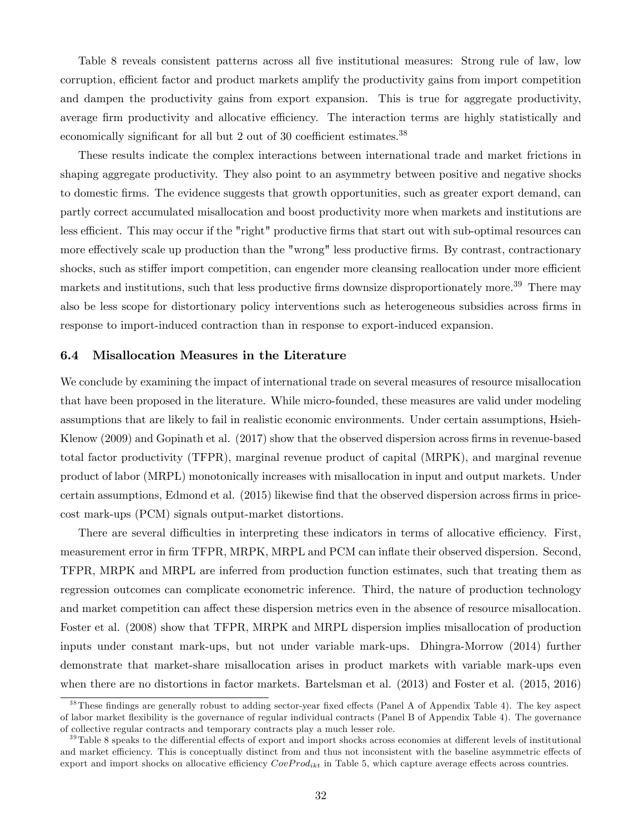Table 8 reveals consistent patterns across all five institutional measures: Strong rule of law, low corruption, efficient factor and product markets amplify the productivity gains from import competition and dampen the productivity gains from export expansion. This is true for aggregate productivity, average firm productivity and allocative efficiency. The interaction terms are highly statistically and economically significant for all but 2 out of 30 coefficient estimates. $38$ 

These results indicate the complex interactions between international trade and market frictions in shaping aggregate productivity. They also point to an asymmetry between positive and negative shocks to domestic Örms. The evidence suggests that growth opportunities, such as greater export demand, can partly correct accumulated misallocation and boost productivity more when markets and institutions are less efficient. This may occur if the "right" productive firms that start out with sub-optimal resources can more effectively scale up production than the "wrong" less productive firms. By contrast, contractionary shocks, such as stiffer import competition, can engender more cleansing reallocation under more efficient markets and institutions, such that less productive firms downsize disproportionately more.<sup>39</sup> There may also be less scope for distortionary policy interventions such as heterogeneous subsidies across firms in response to import-induced contraction than in response to export-induced expansion.

#### 6.4 Misallocation Measures in the Literature

We conclude by examining the impact of international trade on several measures of resource misallocation that have been proposed in the literature. While micro-founded, these measures are valid under modeling assumptions that are likely to fail in realistic economic environments. Under certain assumptions, Hsieh-Klenow (2009) and Gopinath et al. (2017) show that the observed dispersion across firms in revenue-based total factor productivity (TFPR), marginal revenue product of capital (MRPK), and marginal revenue product of labor (MRPL) monotonically increases with misallocation in input and output markets. Under certain assumptions, Edmond et al. (2015) likewise find that the observed dispersion across firms in pricecost mark-ups (PCM) signals output-market distortions.

There are several difficulties in interpreting these indicators in terms of allocative efficiency. First, measurement error in firm TFPR, MRPK, MRPL and PCM can inflate their observed dispersion. Second, TFPR, MRPK and MRPL are inferred from production function estimates, such that treating them as regression outcomes can complicate econometric inference. Third, the nature of production technology and market competition can affect these dispersion metrics even in the absence of resource misallocation. Foster et al. (2008) show that TFPR, MRPK and MRPL dispersion implies misallocation of production inputs under constant mark-ups, but not under variable mark-ups. Dhingra-Morrow (2014) further demonstrate that market-share misallocation arises in product markets with variable mark-ups even when there are no distortions in factor markets. Bartelsman et al. (2013) and Foster et al. (2015, 2016)

 $38$ These findings are generally robust to adding sector-year fixed effects (Panel A of Appendix Table 4). The key aspect of labor market áexibility is the governance of regular individual contracts (Panel B of Appendix Table 4). The governance of collective regular contracts and temporary contracts play a much lesser role.

 $39$ Table 8 speaks to the differential effects of export and import shocks across economies at different levels of institutional and market efficiency. This is conceptually distinct from and thus not inconsistent with the baseline asymmetric effects of export and import shocks on allocative efficiency  $CovProd_{ikt}$  in Table 5, which capture average effects across countries.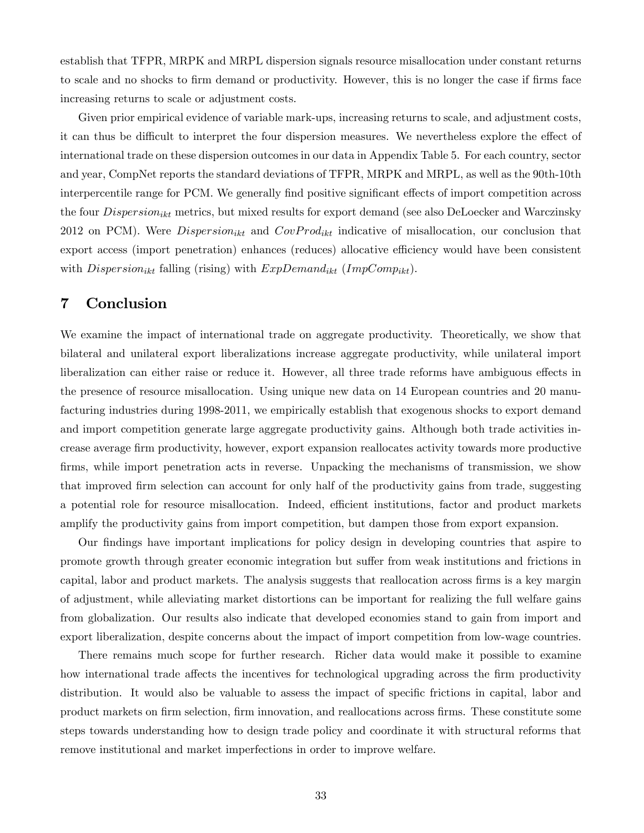establish that TFPR, MRPK and MRPL dispersion signals resource misallocation under constant returns to scale and no shocks to firm demand or productivity. However, this is no longer the case if firms face increasing returns to scale or adjustment costs.

Given prior empirical evidence of variable mark-ups, increasing returns to scale, and adjustment costs, it can thus be difficult to interpret the four dispersion measures. We nevertheless explore the effect of international trade on these dispersion outcomes in our data in Appendix Table 5. For each country, sector and year, CompNet reports the standard deviations of TFPR, MRPK and MRPL, as well as the 90th-10th interpercentile range for PCM. We generally find positive significant effects of import competition across the four  $Dispersion_{ikt}$  metrics, but mixed results for export demand (see also DeLoecker and Warczinsky 2012 on PCM). Were  $Disperson_{ikt}$  and  $CovProd_{ikt}$  indicative of misallocation, our conclusion that export access (import penetration) enhances (reduces) allocative efficiency would have been consistent with  $Disperson_{ikt}$  falling (rising) with  $ExpDomain_{ikt}$  (ImpComp<sub>ikt</sub>).

## 7 Conclusion

We examine the impact of international trade on aggregate productivity. Theoretically, we show that bilateral and unilateral export liberalizations increase aggregate productivity, while unilateral import liberalization can either raise or reduce it. However, all three trade reforms have ambiguous effects in the presence of resource misallocation. Using unique new data on 14 European countries and 20 manufacturing industries during 1998-2011, we empirically establish that exogenous shocks to export demand and import competition generate large aggregate productivity gains. Although both trade activities increase average Örm productivity, however, export expansion reallocates activity towards more productive firms, while import penetration acts in reverse. Unpacking the mechanisms of transmission, we show that improved firm selection can account for only half of the productivity gains from trade, suggesting a potential role for resource misallocation. Indeed, efficient institutions, factor and product markets amplify the productivity gains from import competition, but dampen those from export expansion.

Our Öndings have important implications for policy design in developing countries that aspire to promote growth through greater economic integration but suffer from weak institutions and frictions in capital, labor and product markets. The analysis suggests that reallocation across Örms is a key margin of adjustment, while alleviating market distortions can be important for realizing the full welfare gains from globalization. Our results also indicate that developed economies stand to gain from import and export liberalization, despite concerns about the impact of import competition from low-wage countries.

There remains much scope for further research. Richer data would make it possible to examine how international trade affects the incentives for technological upgrading across the firm productivity distribution. It would also be valuable to assess the impact of specific frictions in capital, labor and product markets on firm selection, firm innovation, and reallocations across firms. These constitute some steps towards understanding how to design trade policy and coordinate it with structural reforms that remove institutional and market imperfections in order to improve welfare.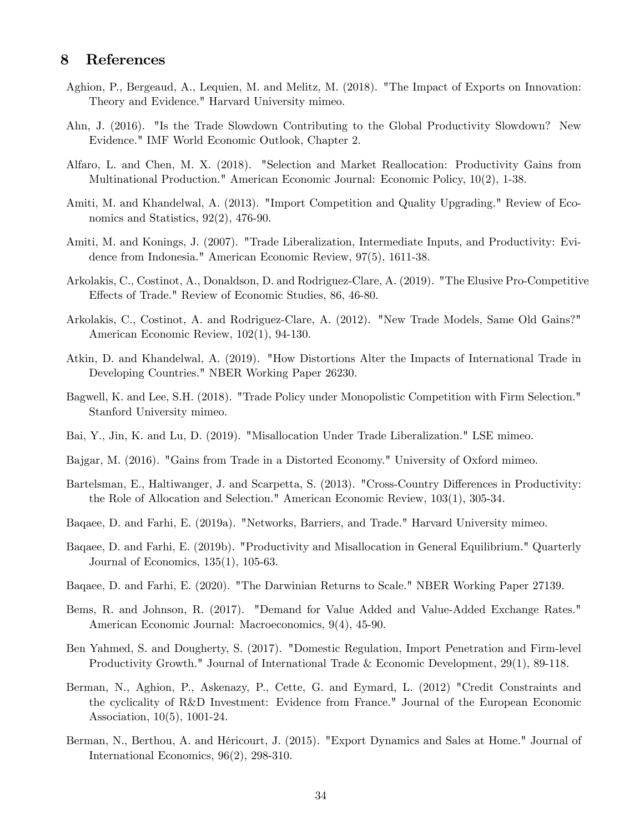# 8 References

- Aghion, P., Bergeaud, A., Lequien, M. and Melitz, M. (2018). "The Impact of Exports on Innovation: Theory and Evidence." Harvard University mimeo.
- Ahn, J. (2016). "Is the Trade Slowdown Contributing to the Global Productivity Slowdown? New Evidence." IMF World Economic Outlook, Chapter 2.
- Alfaro, L. and Chen, M. X. (2018). "Selection and Market Reallocation: Productivity Gains from Multinational Production." American Economic Journal: Economic Policy, 10(2), 1-38.
- Amiti, M. and Khandelwal, A. (2013). "Import Competition and Quality Upgrading." Review of Economics and Statistics, 92(2), 476-90.
- Amiti, M. and Konings, J. (2007). "Trade Liberalization, Intermediate Inputs, and Productivity: Evidence from Indonesia." American Economic Review, 97(5), 1611-38.
- Arkolakis, C., Costinot, A., Donaldson, D. and Rodriguez-Clare, A. (2019). "The Elusive Pro-Competitive Effects of Trade." Review of Economic Studies, 86, 46-80.
- Arkolakis, C., Costinot, A. and Rodriguez-Clare, A. (2012). "New Trade Models, Same Old Gains?" American Economic Review, 102(1), 94-130.
- Atkin, D. and Khandelwal, A. (2019). "How Distortions Alter the Impacts of International Trade in Developing Countries." NBER Working Paper 26230.
- Bagwell, K. and Lee, S.H. (2018). "Trade Policy under Monopolistic Competition with Firm Selection." Stanford University mimeo.
- Bai, Y., Jin, K. and Lu, D. (2019). "Misallocation Under Trade Liberalization." LSE mimeo.
- Bajgar, M. (2016). "Gains from Trade in a Distorted Economy." University of Oxford mimeo.
- Bartelsman, E., Haltiwanger, J. and Scarpetta, S. (2013). "Cross-Country Differences in Productivity: the Role of Allocation and Selection." American Economic Review, 103(1), 305-34.
- Baqaee, D. and Farhi, E. (2019a). "Networks, Barriers, and Trade." Harvard University mimeo.
- Baqaee, D. and Farhi, E. (2019b). "Productivity and Misallocation in General Equilibrium." Quarterly Journal of Economics, 135(1), 105-63.
- Baqaee, D. and Farhi, E. (2020). "The Darwinian Returns to Scale." NBER Working Paper 27139.
- Bems, R. and Johnson, R. (2017). "Demand for Value Added and Value-Added Exchange Rates." American Economic Journal: Macroeconomics, 9(4), 45-90.
- Ben Yahmed, S. and Dougherty, S. (2017). "Domestic Regulation, Import Penetration and Firm-level Productivity Growth." Journal of International Trade & Economic Development, 29(1), 89-118.
- Berman, N., Aghion, P., Askenazy, P., Cette, G. and Eymard, L. (2012) "Credit Constraints and the cyclicality of R&D Investment: Evidence from France." Journal of the European Economic Association, 10(5), 1001-24.
- Berman, N., Berthou, A. and HÈricourt, J. (2015). "Export Dynamics and Sales at Home." Journal of International Economics, 96(2), 298-310.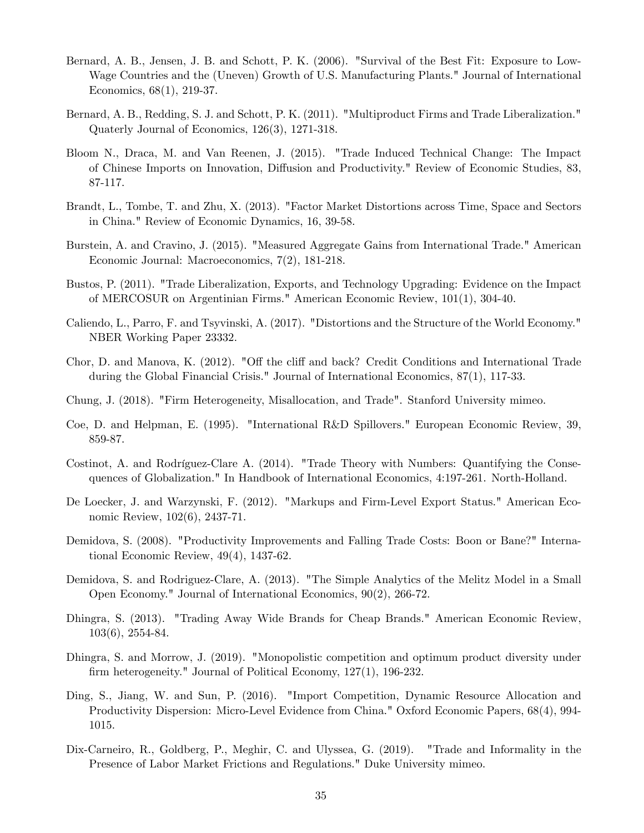- Bernard, A. B., Jensen, J. B. and Schott, P. K. (2006). "Survival of the Best Fit: Exposure to Low-Wage Countries and the (Uneven) Growth of U.S. Manufacturing Plants." Journal of International Economics, 68(1), 219-37.
- Bernard, A. B., Redding, S. J. and Schott, P. K. (2011). "Multiproduct Firms and Trade Liberalization." Quaterly Journal of Economics, 126(3), 1271-318.
- Bloom N., Draca, M. and Van Reenen, J. (2015). "Trade Induced Technical Change: The Impact of Chinese Imports on Innovation, Diffusion and Productivity." Review of Economic Studies, 83, 87-117.
- Brandt, L., Tombe, T. and Zhu, X. (2013). "Factor Market Distortions across Time, Space and Sectors in China." Review of Economic Dynamics, 16, 39-58.
- Burstein, A. and Cravino, J. (2015). "Measured Aggregate Gains from International Trade." American Economic Journal: Macroeconomics, 7(2), 181-218.
- Bustos, P. (2011). "Trade Liberalization, Exports, and Technology Upgrading: Evidence on the Impact of MERCOSUR on Argentinian Firms." American Economic Review, 101(1), 304-40.
- Caliendo, L., Parro, F. and Tsyvinski, A. (2017). "Distortions and the Structure of the World Economy." NBER Working Paper 23332.
- Chor, D. and Manova, K. (2012). "Off the cliff and back? Credit Conditions and International Trade during the Global Financial Crisis." Journal of International Economics, 87(1), 117-33.
- Chung, J. (2018). "Firm Heterogeneity, Misallocation, and Trade". Stanford University mimeo.
- Coe, D. and Helpman, E. (1995). "International R&D Spillovers." European Economic Review, 39, 859-87.
- Costinot, A. and Rodríguez-Clare A. (2014). "Trade Theory with Numbers: Quantifying the Consequences of Globalization." In Handbook of International Economics, 4:197-261. North-Holland.
- De Loecker, J. and Warzynski, F. (2012). "Markups and Firm-Level Export Status." American Economic Review, 102(6), 2437-71.
- Demidova, S. (2008). "Productivity Improvements and Falling Trade Costs: Boon or Bane?" International Economic Review, 49(4), 1437-62.
- Demidova, S. and Rodriguez-Clare, A. (2013). "The Simple Analytics of the Melitz Model in a Small Open Economy." Journal of International Economics, 90(2), 266-72.
- Dhingra, S. (2013). "Trading Away Wide Brands for Cheap Brands." American Economic Review, 103(6), 2554-84.
- Dhingra, S. and Morrow, J. (2019). "Monopolistic competition and optimum product diversity under firm heterogeneity." Journal of Political Economy, 127(1), 196-232.
- Ding, S., Jiang, W. and Sun, P. (2016). "Import Competition, Dynamic Resource Allocation and Productivity Dispersion: Micro-Level Evidence from China." Oxford Economic Papers, 68(4), 994- 1015.
- Dix-Carneiro, R., Goldberg, P., Meghir, C. and Ulyssea, G. (2019). "Trade and Informality in the Presence of Labor Market Frictions and Regulations." Duke University mimeo.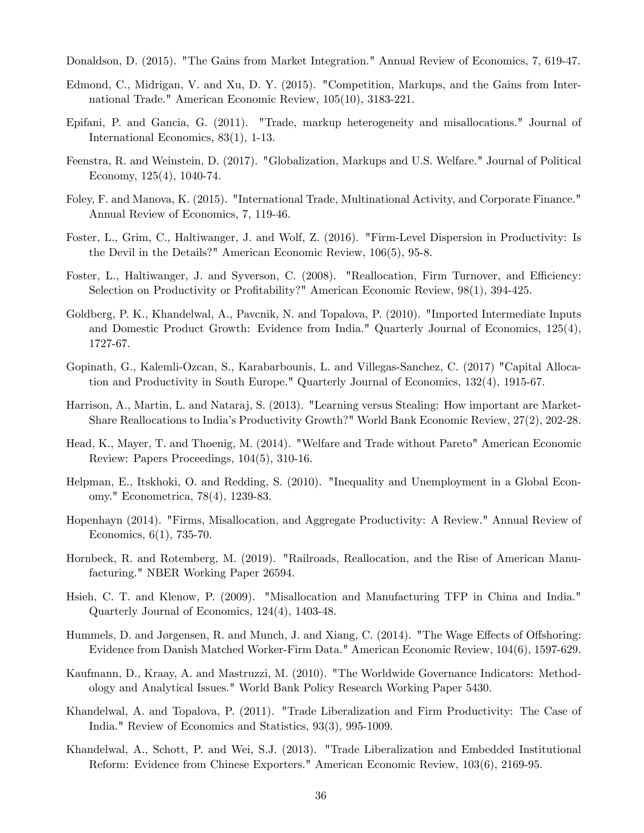Donaldson, D. (2015). "The Gains from Market Integration." Annual Review of Economics, 7, 619-47.

- Edmond, C., Midrigan, V. and Xu, D. Y. (2015). "Competition, Markups, and the Gains from International Trade." American Economic Review, 105(10), 3183-221.
- Epifani, P. and Gancia, G. (2011). "Trade, markup heterogeneity and misallocations." Journal of International Economics, 83(1), 1-13.
- Feenstra, R. and Weinstein, D. (2017). "Globalization, Markups and U.S. Welfare." Journal of Political Economy, 125(4), 1040-74.
- Foley, F. and Manova, K. (2015). "International Trade, Multinational Activity, and Corporate Finance." Annual Review of Economics, 7, 119-46.
- Foster, L., Grim, C., Haltiwanger, J. and Wolf, Z. (2016). "Firm-Level Dispersion in Productivity: Is the Devil in the Details?" American Economic Review, 106(5), 95-8.
- Foster, L., Haltiwanger, J. and Syverson, C. (2008). "Reallocation, Firm Turnover, and Efficiency: Selection on Productivity or Profitability?" American Economic Review,  $98(1)$ ,  $394-425$ .
- Goldberg, P. K., Khandelwal, A., Pavcnik, N. and Topalova, P. (2010). "Imported Intermediate Inputs and Domestic Product Growth: Evidence from India." Quarterly Journal of Economics, 125(4), 1727-67.
- Gopinath, G., Kalemli-Ozcan, S., Karabarbounis, L. and Villegas-Sanchez, C. (2017) "Capital Allocation and Productivity in South Europe." Quarterly Journal of Economics, 132(4), 1915-67.
- Harrison, A., Martin, L. and Nataraj, S. (2013). "Learning versus Stealing: How important are Market-Share Reallocations to Indiaís Productivity Growth?" World Bank Economic Review, 27(2), 202-28.
- Head, K., Mayer, T. and Thoenig, M. (2014). "Welfare and Trade without Pareto" American Economic Review: Papers Proceedings, 104(5), 310-16.
- Helpman, E., Itskhoki, O. and Redding, S. (2010). "Inequality and Unemployment in a Global Economy." Econometrica, 78(4), 1239-83.
- Hopenhayn (2014). "Firms, Misallocation, and Aggregate Productivity: A Review." Annual Review of Economics, 6(1), 735-70.
- Hornbeck, R. and Rotemberg, M. (2019). "Railroads, Reallocation, and the Rise of American Manufacturing." NBER Working Paper 26594.
- Hsieh, C. T. and Klenow, P. (2009). "Misallocation and Manufacturing TFP in China and India." Quarterly Journal of Economics, 124(4), 1403-48.
- Hummels, D. and Jørgensen, R. and Munch, J. and Xiang, C. (2014). "The Wage Effects of Offshoring: Evidence from Danish Matched Worker-Firm Data." American Economic Review, 104(6), 1597-629.
- Kaufmann, D., Kraay, A. and Mastruzzi, M. (2010). "The Worldwide Governance Indicators: Methodology and Analytical Issues." World Bank Policy Research Working Paper 5430.
- Khandelwal, A. and Topalova, P. (2011). "Trade Liberalization and Firm Productivity: The Case of India." Review of Economics and Statistics, 93(3), 995-1009.
- Khandelwal, A., Schott, P. and Wei, S.J. (2013). "Trade Liberalization and Embedded Institutional Reform: Evidence from Chinese Exporters." American Economic Review, 103(6), 2169-95.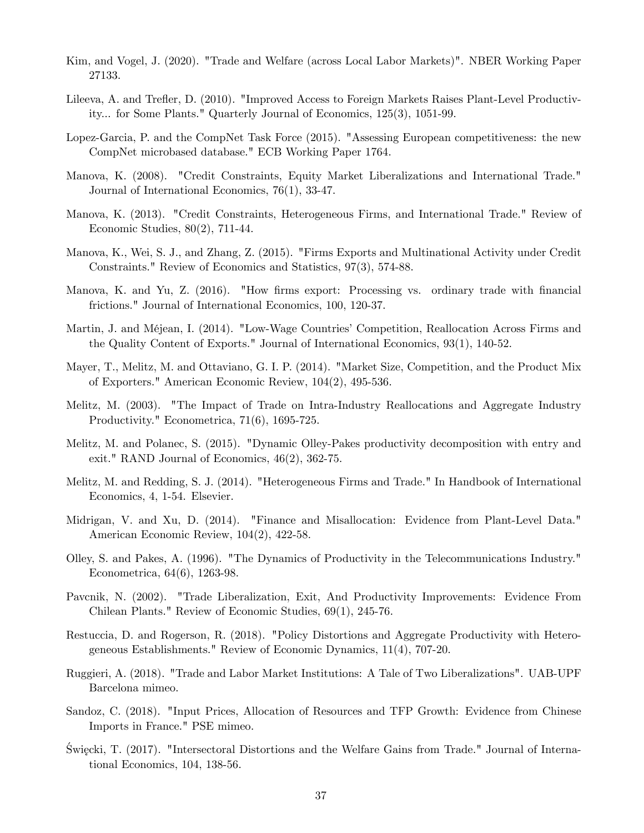- Kim, and Vogel, J. (2020). "Trade and Welfare (across Local Labor Markets)". NBER Working Paper 27133.
- Lileeva, A. and Trefler, D. (2010). "Improved Access to Foreign Markets Raises Plant-Level Productivity... for Some Plants." Quarterly Journal of Economics, 125(3), 1051-99.
- Lopez-Garcia, P. and the CompNet Task Force (2015). "Assessing European competitiveness: the new CompNet microbased database." ECB Working Paper 1764.
- Manova, K. (2008). "Credit Constraints, Equity Market Liberalizations and International Trade." Journal of International Economics, 76(1), 33-47.
- Manova, K. (2013). "Credit Constraints, Heterogeneous Firms, and International Trade." Review of Economic Studies, 80(2), 711-44.
- Manova, K., Wei, S. J., and Zhang, Z. (2015). "Firms Exports and Multinational Activity under Credit Constraints." Review of Economics and Statistics, 97(3), 574-88.
- Manova, K. and Yu, Z. (2016). "How firms export: Processing vs. ordinary trade with financial frictions." Journal of International Economics, 100, 120-37.
- Martin, J. and Méjean, I. (2014). "Low-Wage Countries' Competition, Reallocation Across Firms and the Quality Content of Exports." Journal of International Economics, 93(1), 140-52.
- Mayer, T., Melitz, M. and Ottaviano, G. I. P. (2014). "Market Size, Competition, and the Product Mix of Exporters." American Economic Review, 104(2), 495-536.
- Melitz, M. (2003). "The Impact of Trade on Intra-Industry Reallocations and Aggregate Industry Productivity." Econometrica, 71(6), 1695-725.
- Melitz, M. and Polanec, S. (2015). "Dynamic Olley-Pakes productivity decomposition with entry and exit." RAND Journal of Economics, 46(2), 362-75.
- Melitz, M. and Redding, S. J. (2014). "Heterogeneous Firms and Trade." In Handbook of International Economics, 4, 1-54. Elsevier.
- Midrigan, V. and Xu, D. (2014). "Finance and Misallocation: Evidence from Plant-Level Data." American Economic Review, 104(2), 422-58.
- Olley, S. and Pakes, A. (1996). "The Dynamics of Productivity in the Telecommunications Industry." Econometrica, 64(6), 1263-98.
- Pavcnik, N. (2002). "Trade Liberalization, Exit, And Productivity Improvements: Evidence From Chilean Plants." Review of Economic Studies, 69(1), 245-76.
- Restuccia, D. and Rogerson, R. (2018). "Policy Distortions and Aggregate Productivity with Heterogeneous Establishments." Review of Economic Dynamics, 11(4), 707-20.
- Ruggieri, A. (2018). "Trade and Labor Market Institutions: A Tale of Two Liberalizations". UAB-UPF Barcelona mimeo.
- Sandoz, C. (2018). "Input Prices, Allocation of Resources and TFP Growth: Evidence from Chinese Imports in France." PSE mimeo.
- Swięcki, T. (2017). "Intersectoral Distortions and the Welfare Gains from Trade." Journal of International Economics, 104, 138-56.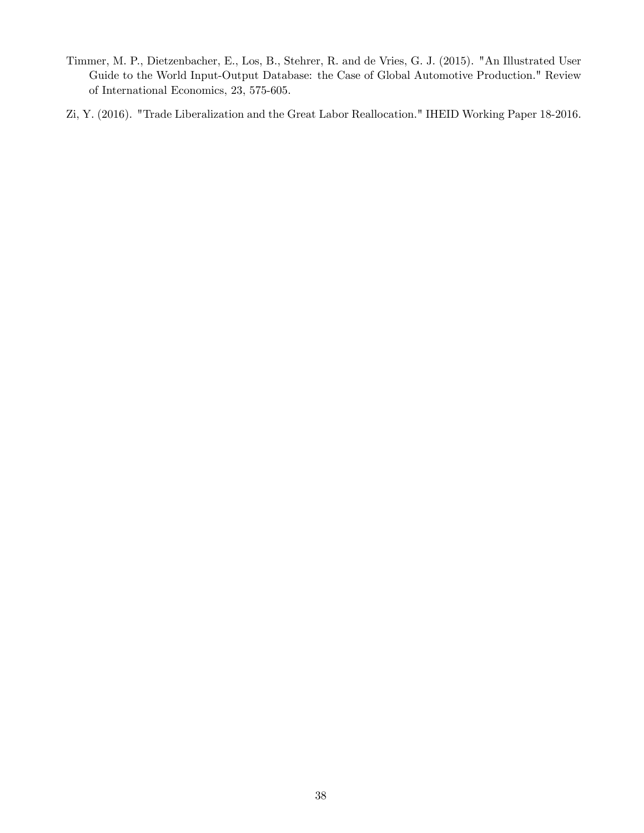- Timmer, M. P., Dietzenbacher, E., Los, B., Stehrer, R. and de Vries, G. J. (2015). "An Illustrated User Guide to the World Input-Output Database: the Case of Global Automotive Production." Review of International Economics, 23, 575-605.
- Zi, Y. (2016). "Trade Liberalization and the Great Labor Reallocation." IHEID Working Paper 18-2016.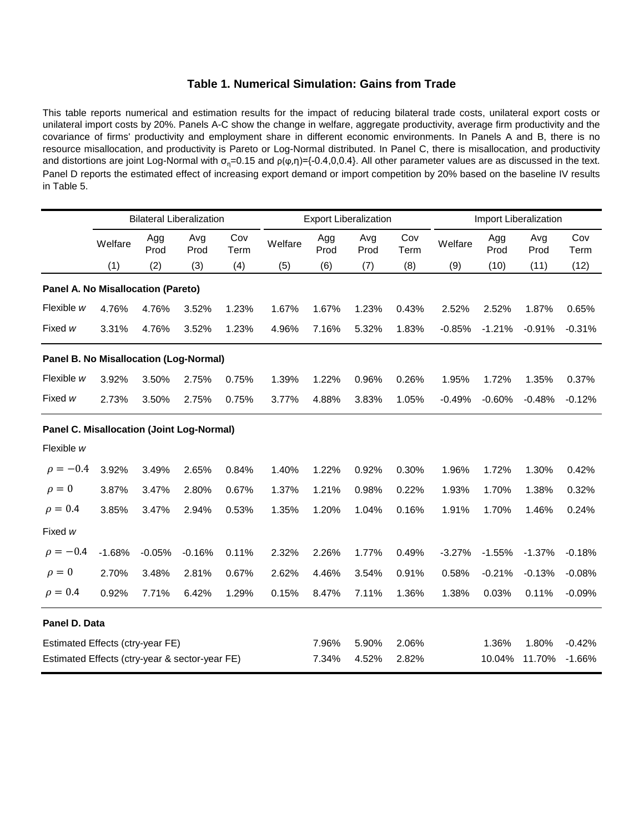### **Table 1. Numerical Simulation: Gains from Trade**

This table reports numerical and estimation results for the impact of reducing bilateral trade costs, unilateral export costs or unilateral import costs by 20%. Panels A-C show the change in welfare, aggregate productivity, average firm productivity and the covariance of firms' productivity and employment share in different economic environments. In Panels A and B, there is no resource misallocation, and productivity is Pareto or Log-Normal distributed. In Panel C, there is misallocation, and productivity and distortions are joint Log-Normal with  $\sigma_n=0.15$  and  $\rho(\phi,\eta)=(-0.4,0,0.4)$ . All other parameter values are as discussed in the text. Panel D reports the estimated effect of increasing export demand or import competition by 20% based on the baseline IV results in Table 5.

|                                                  |          |             | <b>Bilateral Liberalization</b> |             |         |             | <b>Export Liberalization</b> |             | Import Liberalization |             |             |             |
|--------------------------------------------------|----------|-------------|---------------------------------|-------------|---------|-------------|------------------------------|-------------|-----------------------|-------------|-------------|-------------|
|                                                  | Welfare  | Agg<br>Prod | Avg<br>Prod                     | Cov<br>Term | Welfare | Agg<br>Prod | Avg<br>Prod                  | Cov<br>Term | Welfare               | Agg<br>Prod | Avg<br>Prod | Cov<br>Term |
|                                                  | (1)      | (2)         | (3)                             | (4)         | (5)     | (6)         | (7)                          | (8)         | (9)                   | (10)        | (11)        | (12)        |
| Panel A. No Misallocation (Pareto)               |          |             |                                 |             |         |             |                              |             |                       |             |             |             |
| Flexible w                                       | 4.76%    | 4.76%       | 3.52%                           | 1.23%       | 1.67%   | 1.67%       | 1.23%                        | 0.43%       | 2.52%                 | 2.52%       | 1.87%       | 0.65%       |
| Fixed w                                          | 3.31%    | 4.76%       | 3.52%                           | 1.23%       | 4.96%   | 7.16%       | 5.32%                        | 1.83%       | $-0.85%$              | $-1.21%$    | $-0.91%$    | $-0.31%$    |
| Panel B. No Misallocation (Log-Normal)           |          |             |                                 |             |         |             |                              |             |                       |             |             |             |
| Flexible w                                       | 3.92%    | 3.50%       | 2.75%                           | 0.75%       | 1.39%   | 1.22%       | 0.96%                        | 0.26%       | 1.95%                 | 1.72%       | 1.35%       | 0.37%       |
| Fixed w                                          | 2.73%    | 3.50%       | 2.75%                           | 0.75%       | 3.77%   | 4.88%       | 3.83%                        | 1.05%       | $-0.49%$              | $-0.60%$    | $-0.48%$    | $-0.12%$    |
| <b>Panel C. Misallocation (Joint Log-Normal)</b> |          |             |                                 |             |         |             |                              |             |                       |             |             |             |
| Flexible w                                       |          |             |                                 |             |         |             |                              |             |                       |             |             |             |
| $\rho = -0.4$                                    | 3.92%    | 3.49%       | 2.65%                           | 0.84%       | 1.40%   | 1.22%       | 0.92%                        | 0.30%       | 1.96%                 | 1.72%       | 1.30%       | 0.42%       |
| $\rho = 0$                                       | 3.87%    | 3.47%       | 2.80%                           | 0.67%       | 1.37%   | 1.21%       | 0.98%                        | 0.22%       | 1.93%                 | 1.70%       | 1.38%       | 0.32%       |
| $\rho = 0.4$                                     | 3.85%    | 3.47%       | 2.94%                           | 0.53%       | 1.35%   | 1.20%       | 1.04%                        | 0.16%       | 1.91%                 | 1.70%       | 1.46%       | 0.24%       |
| Fixed w                                          |          |             |                                 |             |         |             |                              |             |                       |             |             |             |
| $\rho = -0.4$                                    | $-1.68%$ | $-0.05%$    | $-0.16%$                        | 0.11%       | 2.32%   | 2.26%       | 1.77%                        | 0.49%       | $-3.27%$              | $-1.55%$    | $-1.37%$    | $-0.18%$    |
| $\rho = 0$                                       | 2.70%    | 3.48%       | 2.81%                           | 0.67%       | 2.62%   | 4.46%       | 3.54%                        | 0.91%       | 0.58%                 | $-0.21%$    | $-0.13%$    | $-0.08%$    |
| $\rho = 0.4$                                     | 0.92%    | 7.71%       | 6.42%                           | 1.29%       | 0.15%   | 8.47%       | 7.11%                        | 1.36%       | 1.38%                 | 0.03%       | 0.11%       | $-0.09%$    |
| Panel D. Data                                    |          |             |                                 |             |         |             |                              |             |                       |             |             |             |
| Estimated Effects (ctry-year FE)                 |          |             |                                 |             |         | 7.96%       | 5.90%                        | 2.06%       |                       | 1.36%       | 1.80%       | $-0.42%$    |
| Estimated Effects (ctry-year & sector-year FE)   |          |             |                                 |             |         | 7.34%       | 4.52%                        | 2.82%       |                       | 10.04%      | 11.70%      | $-1.66%$    |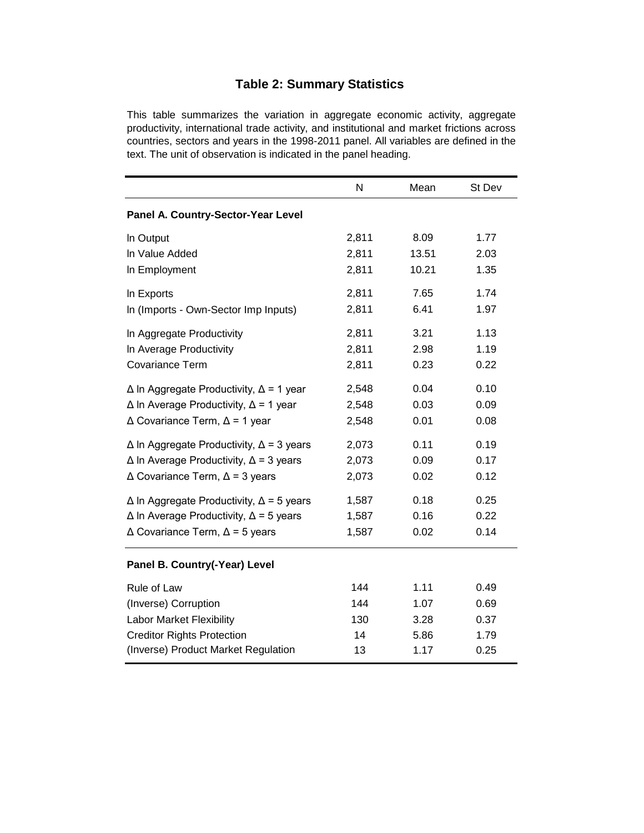# **Table 2: Summary Statistics**

This table summarizes the variation in aggregate economic activity, aggregate productivity, international trade activity, and institutional and market frictions across countries, sectors and years in the 1998-2011 panel. All variables are defined in the text. The unit of observation is indicated in the panel heading.

|                                                        | N     | Mean  | St Dev |
|--------------------------------------------------------|-------|-------|--------|
| Panel A. Country-Sector-Year Level                     |       |       |        |
| In Output                                              | 2,811 | 8.09  | 1.77   |
| In Value Added                                         | 2,811 | 13.51 | 2.03   |
| In Employment                                          | 2,811 | 10.21 | 1.35   |
| In Exports                                             | 2,811 | 7.65  | 1.74   |
| In (Imports - Own-Sector Imp Inputs)                   | 2,811 | 6.41  | 1.97   |
| In Aggregate Productivity                              | 2,811 | 3.21  | 1.13   |
| In Average Productivity                                | 2,811 | 2.98  | 1.19   |
| <b>Covariance Term</b>                                 | 2,811 | 0.23  | 0.22   |
| $\Delta$ In Aggregate Productivity, $\Delta$ = 1 year  | 2,548 | 0.04  | 0.10   |
| $\Delta$ In Average Productivity, $\Delta$ = 1 year    | 2,548 | 0.03  | 0.09   |
| $\triangle$ Covariance Term, $\triangle$ = 1 year      | 2,548 | 0.01  | 0.08   |
| $\Delta$ In Aggregate Productivity, $\Delta$ = 3 years | 2,073 | 0.11  | 0.19   |
| $\Delta$ In Average Productivity, $\Delta$ = 3 years   | 2,073 | 0.09  | 0.17   |
| $\triangle$ Covariance Term, $\triangle$ = 3 years     | 2,073 | 0.02  | 0.12   |
| $\Delta$ In Aggregate Productivity, $\Delta$ = 5 years | 1,587 | 0.18  | 0.25   |
| $\Delta$ In Average Productivity, $\Delta$ = 5 years   | 1,587 | 0.16  | 0.22   |
| $\triangle$ Covariance Term, $\triangle$ = 5 years     | 1,587 | 0.02  | 0.14   |
| Panel B. Country(-Year) Level                          |       |       |        |
| Rule of Law                                            | 144   | 1.11  | 0.49   |
| (Inverse) Corruption                                   | 144   | 1.07  | 0.69   |
| <b>Labor Market Flexibility</b>                        | 130   | 3.28  | 0.37   |
| <b>Creditor Rights Protection</b>                      | 14    | 5.86  | 1.79   |
| (Inverse) Product Market Regulation                    | 13    | 1.17  | 0.25   |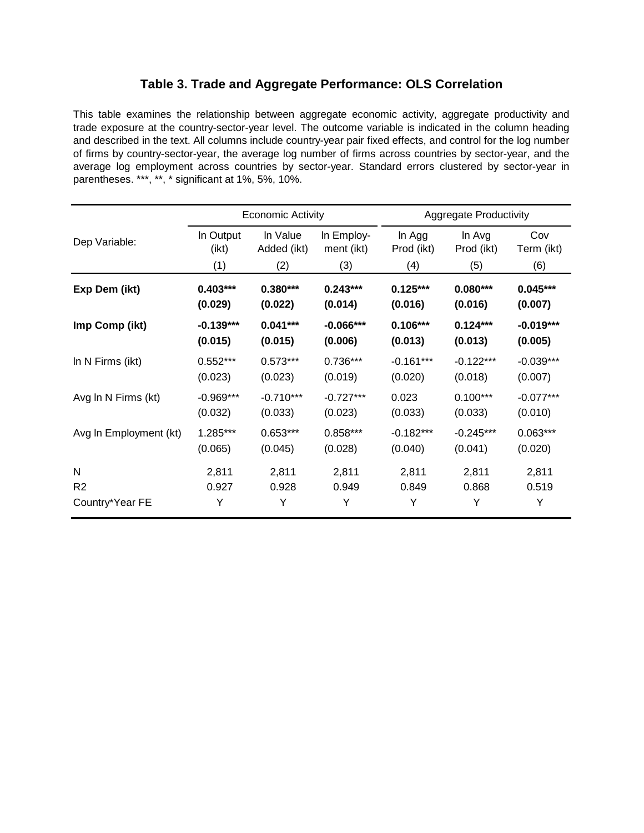# **Table 3. Trade and Aggregate Performance: OLS Correlation**

This table examines the relationship between aggregate economic activity, aggregate productivity and trade exposure at the country-sector-year level. The outcome variable is indicated in the column heading and described in the text. All columns include country-year pair fixed effects, and control for the log number of firms by country-sector-year, the average log number of firms across countries by sector-year, and the average log employment across countries by sector-year. Standard errors clustered by sector-year in parentheses. \*\*\*, \*\*, \* significant at 1%, 5%, 10%.

|                        |             | <b>Economic Activity</b> |             |             | <b>Aggregate Productivity</b> |             |
|------------------------|-------------|--------------------------|-------------|-------------|-------------------------------|-------------|
| Dep Variable:          | In Output   | In Value                 | In Employ-  | In Agg      | In Avg                        | Cov         |
|                        | (ikt)       | Added (ikt)              | ment (ikt)  | Prod (ikt)  | Prod (ikt)                    | Term (ikt)  |
|                        | (1)         | (2)                      | (3)         | (4)         | (5)                           | (6)         |
| Exp Dem (ikt)          | $0.403***$  | $0.380***$               | $0.243***$  | $0.125***$  | $0.080***$                    | $0.045***$  |
|                        | (0.029)     | (0.022)                  | (0.014)     | (0.016)     | (0.016)                       | (0.007)     |
| Imp Comp (ikt)         | $-0.139***$ | $0.041***$               | $-0.066***$ | $0.106***$  | $0.124***$                    | $-0.019***$ |
|                        | (0.015)     | (0.015)                  | (0.006)     | (0.013)     | (0.013)                       | (0.005)     |
| In N Firms (ikt)       | $0.552***$  | $0.573***$               | $0.736***$  | $-0.161***$ | $-0.122***$                   | $-0.039***$ |
|                        | (0.023)     | (0.023)                  | (0.019)     | (0.020)     | (0.018)                       | (0.007)     |
| Avg In N Firms (kt)    | $-0.969***$ | $-0.710***$              | $-0.727***$ | 0.023       | $0.100***$                    | $-0.077***$ |
|                        | (0.032)     | (0.033)                  | (0.023)     | (0.033)     | (0.033)                       | (0.010)     |
| Avg In Employment (kt) | 1.285***    | $0.653***$               | $0.858***$  | $-0.182***$ | $-0.245***$                   | $0.063***$  |
|                        | (0.065)     | (0.045)                  | (0.028)     | (0.040)     | (0.041)                       | (0.020)     |
| N                      | 2,811       | 2,811                    | 2,811       | 2,811       | 2,811                         | 2,811       |
| R <sub>2</sub>         | 0.927       | 0.928                    | 0.949       | 0.849       | 0.868                         | 0.519       |
| Country*Year FE        | Υ           | Υ                        | Y           | Y           | Y                             | Υ           |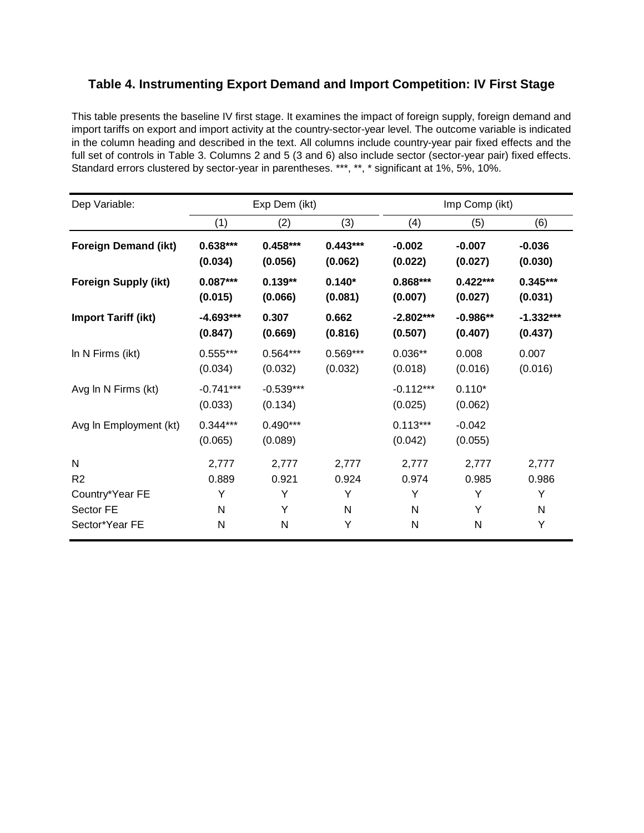# **Table 4. Instrumenting Export Demand and Import Competition: IV First Stage**

This table presents the baseline IV first stage. It examines the impact of foreign supply, foreign demand and import tariffs on export and import activity at the country-sector-year level. The outcome variable is indicated in the column heading and described in the text. All columns include country-year pair fixed effects and the full set of controls in Table 3. Columns 2 and 5 (3 and 6) also include sector (sector-year pair) fixed effects. Standard errors clustered by sector-year in parentheses. \*\*\*, \*\*, \* significant at 1%, 5%, 10%.

| Dep Variable:               |                        | Exp Dem (ikt)          |            |                        | Imp Comp (ikt)      |             |
|-----------------------------|------------------------|------------------------|------------|------------------------|---------------------|-------------|
|                             | (1)                    | (2)                    | (3)        | (4)                    | (5)                 | (6)         |
| <b>Foreign Demand (ikt)</b> | $0.638***$             | $0.458***$             | $0.443***$ | $-0.002$               | $-0.007$            | $-0.036$    |
|                             | (0.034)                | (0.056)                | (0.062)    | (0.022)                | (0.027)             | (0.030)     |
| <b>Foreign Supply (ikt)</b> | $0.087***$             | $0.139**$              | $0.140*$   | $0.868***$             | $0.422***$          | $0.345***$  |
|                             | (0.015)                | (0.066)                | (0.081)    | (0.007)                | (0.027)             | (0.031)     |
| <b>Import Tariff (ikt)</b>  | $-4.693***$            | 0.307                  | 0.662      | $-2.802***$            | $-0.986**$          | $-1.332***$ |
|                             | (0.847)                | (0.669)                | (0.816)    | (0.507)                | (0.407)             | (0.437)     |
| In N Firms (ikt)            | $0.555***$             | $0.564***$             | $0.569***$ | $0.036**$              | 0.008               | 0.007       |
|                             | (0.034)                | (0.032)                | (0.032)    | (0.018)                | (0.016)             | (0.016)     |
| Avg In N Firms (kt)         | $-0.741***$<br>(0.033) | $-0.539***$<br>(0.134) |            | $-0.112***$<br>(0.025) | $0.110*$<br>(0.062) |             |
| Avg In Employment (kt)      | $0.344***$<br>(0.065)  | $0.490***$<br>(0.089)  |            | $0.113***$<br>(0.042)  | $-0.042$<br>(0.055) |             |
| N                           | 2,777                  | 2,777                  | 2,777      | 2,777                  | 2,777               | 2,777       |
| R <sub>2</sub>              | 0.889                  | 0.921                  | 0.924      | 0.974                  | 0.985               | 0.986       |
| Country*Year FE             | Υ                      | Y                      | Y          | Y                      | Y                   | Y           |
| Sector FE                   | N                      | Υ                      | N          | N                      | Υ                   | N           |
| Sector*Year FE              | N                      | N                      | Υ          | N                      | N                   | Υ           |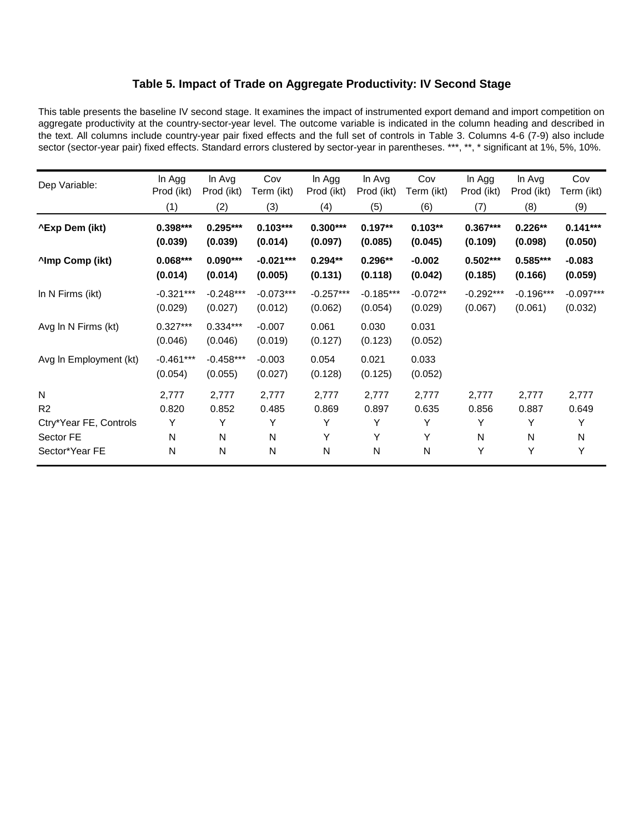### **Table 5. Impact of Trade on Aggregate Productivity: IV Second Stage**

This table presents the baseline IV second stage. It examines the impact of instrumented export demand and import competition on aggregate productivity at the country-sector-year level. The outcome variable is indicated in the column heading and described in the text. All columns include country-year pair fixed effects and the full set of controls in Table 3. Columns 4-6 (7-9) also include sector (sector-year pair) fixed effects. Standard errors clustered by sector-year in parentheses. \*\*\*, \*\*, \* significant at 1%, 5%, 10%.

| Dep Variable:          | In Agg<br>Prod (ikt)   | In Avg<br>Prod (ikt)   | Cov<br>Term (ikt)      | In Agg<br>Prod (ikt)   | In Avg<br>Prod (ikt)   | Cov<br>Term (ikt)     | In Agg<br>Prod (ikt)   | In Avg<br>Prod (ikt)   | Cov<br>Term (ikt)      |
|------------------------|------------------------|------------------------|------------------------|------------------------|------------------------|-----------------------|------------------------|------------------------|------------------------|
|                        | (1)                    | (2)                    | (3)                    | (4)                    | (5)                    | (6)                   | (7)                    | (8)                    | (9)                    |
| ^Exp Dem (ikt)         | $0.398***$<br>(0.039)  | $0.295***$<br>(0.039)  | $0.103***$<br>(0.014)  | $0.300***$<br>(0.097)  | $0.197**$<br>(0.085)   | $0.103**$<br>(0.045)  | $0.367***$<br>(0.109)  | $0.226**$<br>(0.098)   | $0.141***$<br>(0.050)  |
| <b>Almp Comp (ikt)</b> | $0.068***$<br>(0.014)  | $0.090***$<br>(0.014)  | $-0.021***$<br>(0.005) | $0.294**$<br>(0.131)   | $0.296**$<br>(0.118)   | $-0.002$<br>(0.042)   | $0.502***$<br>(0.185)  | $0.585***$<br>(0.166)  | $-0.083$<br>(0.059)    |
| In N Firms (ikt)       | $-0.321***$<br>(0.029) | $-0.248***$<br>(0.027) | $-0.073***$<br>(0.012) | $-0.257***$<br>(0.062) | $-0.185***$<br>(0.054) | $-0.072**$<br>(0.029) | $-0.292***$<br>(0.067) | $-0.196***$<br>(0.061) | $-0.097***$<br>(0.032) |
| Avg In N Firms (kt)    | $0.327***$<br>(0.046)  | $0.334***$<br>(0.046)  | $-0.007$<br>(0.019)    | 0.061<br>(0.127)       | 0.030<br>(0.123)       | 0.031<br>(0.052)      |                        |                        |                        |
| Avg In Employment (kt) | $-0.461***$<br>(0.054) | $-0.458***$<br>(0.055) | $-0.003$<br>(0.027)    | 0.054<br>(0.128)       | 0.021<br>(0.125)       | 0.033<br>(0.052)      |                        |                        |                        |
| N                      | 2,777                  | 2,777                  | 2,777                  | 2,777                  | 2,777                  | 2,777                 | 2,777                  | 2,777                  | 2,777                  |
| R <sub>2</sub>         | 0.820                  | 0.852                  | 0.485                  | 0.869                  | 0.897                  | 0.635                 | 0.856                  | 0.887                  | 0.649                  |
| Ctry*Year FE, Controls | Υ                      | Υ                      | Y                      | Y                      | Y                      | Y                     | Υ                      | Y                      | Υ                      |
| Sector FE              | N                      | N                      | N                      | Υ                      | Υ                      | Υ                     | N                      | N                      | N                      |
| Sector*Year FE         | N                      | N                      | N                      | N                      | N                      | Ν                     | Υ                      | Y                      | Υ                      |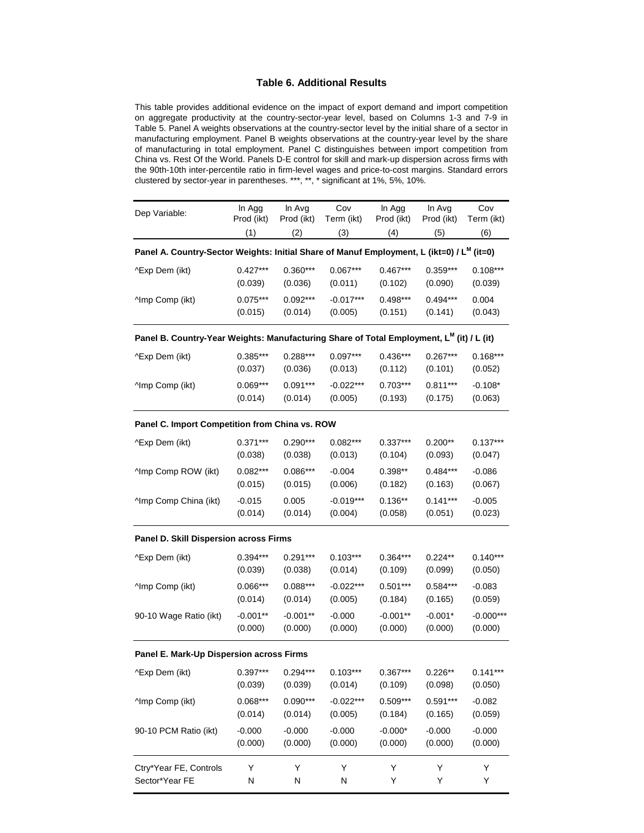### **Table 6. Additional Results**

This table provides additional evidence on the impact of export demand and import competition on aggregate productivity at the country-sector-year level, based on Columns 1-3 and 7-9 in Table 5. Panel A weights observations at the country-sector level by the initial share of a sector in manufacturing employment. Panel B weights observations at the country-year level by the share of manufacturing in total employment. Panel C distinguishes between import competition from China vs. Rest Of the World. Panels D-E control for skill and mark-up dispersion across firms with the 90th-10th inter-percentile ratio in firm-level wages and price-to-cost margins. Standard errors clustered by sector-year in parentheses. \*\*\*, \*\*, \* significant at 1%, 5%, 10%.

| Dep Variable:                                                                                         | In Agg<br>Prod (ikt) | In Avg<br>Prod (ikt) | Cov<br>Term (ikt)      | In Agg<br>Prod (ikt) | In Avg<br>Prod (ikt)  | Cov<br>Term (ikt)   |
|-------------------------------------------------------------------------------------------------------|----------------------|----------------------|------------------------|----------------------|-----------------------|---------------------|
|                                                                                                       | (1)                  | (2)                  | (3)                    | (4)                  | (5)                   | (6)                 |
| Panel A. Country-Sector Weights: Initial Share of Manuf Employment, L (ikt=0) / L <sup>M</sup> (it=0) |                      |                      |                        |                      |                       |                     |
| ^Exp Dem (ikt)                                                                                        | $0.427***$           | $0.360***$           | $0.067***$             | $0.467***$           | $0.359***$            | $0.108***$          |
|                                                                                                       | (0.039)              | (0.036)              | (0.011)                | (0.102)              | (0.090)               | (0.039)             |
| <b>Amp Comp (ikt)</b>                                                                                 | $0.075***$           | $0.092***$           | $-0.017***$            | $0.498***$           | $0.494***$            | 0.004               |
|                                                                                                       | (0.015)              | (0.014)              | (0.005)                | (0.151)              | (0.141)               | (0.043)             |
| Panel B. Country-Year Weights: Manufacturing Share of Total Employment, L <sup>M</sup> (it) / L (it)  |                      |                      |                        |                      |                       |                     |
| ^Exp Dem (ikt)                                                                                        | $0.385***$           | $0.288***$           | $0.097***$             | $0.436***$           | $0.267***$            | $0.168***$          |
|                                                                                                       | (0.037)              | (0.036)              | (0.013)                | (0.112)              | (0.101)               | (0.052)             |
| <b>Amp Comp (ikt)</b>                                                                                 | $0.069***$           | $0.091***$           | $-0.022***$            | $0.703***$           | $0.811***$            | $-0.108*$           |
|                                                                                                       | (0.014)              | (0.014)              | (0.005)                | (0.193)              | (0.175)               | (0.063)             |
| Panel C. Import Competition from China vs. ROW                                                        |                      |                      |                        |                      |                       |                     |
| ^Exp Dem (ikt)                                                                                        | $0.371***$           | $0.290***$           | $0.082***$             | $0.337***$           | $0.200**$             | $0.137***$          |
|                                                                                                       | (0.038)              | (0.038)              | (0.013)                | (0.104)              | (0.093)               | (0.047)             |
| ^Imp Comp ROW (ikt)                                                                                   | $0.082***$           | $0.086***$           | $-0.004$               | $0.398**$            | $0.484***$            | $-0.086$            |
|                                                                                                       | (0.015)              | (0.015)              | (0.006)                | (0.182)              | (0.163)               | (0.067)             |
| ^Imp Comp China (ikt)                                                                                 | $-0.015$<br>(0.014)  | 0.005<br>(0.014)     | $-0.019***$<br>(0.004) | $0.136**$<br>(0.058) | $0.141***$<br>(0.051) | $-0.005$<br>(0.023) |
| Panel D. Skill Dispersion across Firms                                                                |                      |                      |                        |                      |                       |                     |
| ^Exp Dem (ikt)                                                                                        | $0.394***$           | $0.291***$           | $0.103***$             | $0.364***$           | $0.224**$             | $0.140***$          |
|                                                                                                       | (0.039)              | (0.038)              | (0.014)                | (0.109)              | (0.099)               | (0.050)             |
| ^Imp Comp (ikt)                                                                                       | $0.066***$           | $0.088***$           | $-0.022***$            | $0.501***$           | $0.584***$            | $-0.083$            |
|                                                                                                       | (0.014)              | (0.014)              | (0.005)                | (0.184)              | (0.165)               | (0.059)             |
| 90-10 Wage Ratio (ikt)                                                                                | $-0.001**$           | $-0.001**$           | $-0.000$               | $-0.001**$           | $-0.001*$             | $-0.000***$         |
|                                                                                                       | (0.000)              | (0.000)              | (0.000)                | (0.000)              | (0.000)               | (0.000)             |
| Panel E. Mark-Up Dispersion across Firms                                                              |                      |                      |                        |                      |                       |                     |
| ^Exp Dem (ikt)                                                                                        | $0.397***$           | $0.294***$           | $0.103***$             | $0.367***$           | $0.226**$             | $0.141***$          |
|                                                                                                       | (0.039)              | (0.039)              | (0.014)                | (0.109)              | (0.098)               | (0.050)             |
| ^Imp Comp (ikt)                                                                                       | $0.068***$           | $0.090***$           | $-0.022***$            | $0.509***$           | $0.591***$            | $-0.082$            |
|                                                                                                       | (0.014)              | (0.014)              | (0.005)                | (0.184)              | (0.165)               | (0.059)             |
| 90-10 PCM Ratio (ikt)                                                                                 | $-0.000$             | $-0.000$             | $-0.000$               | $-0.000*$            | $-0.000$              | $-0.000$            |
|                                                                                                       | (0.000)              | (0.000)              | (0.000)                | (0.000)              | (0.000)               | (0.000)             |
| Ctry*Year FE, Controls                                                                                | Υ                    | Υ                    | Υ                      | Υ                    | Υ                     | Υ                   |
| Sector*Year FE                                                                                        | Ν                    | N                    | N                      | Υ                    | Υ                     | Υ                   |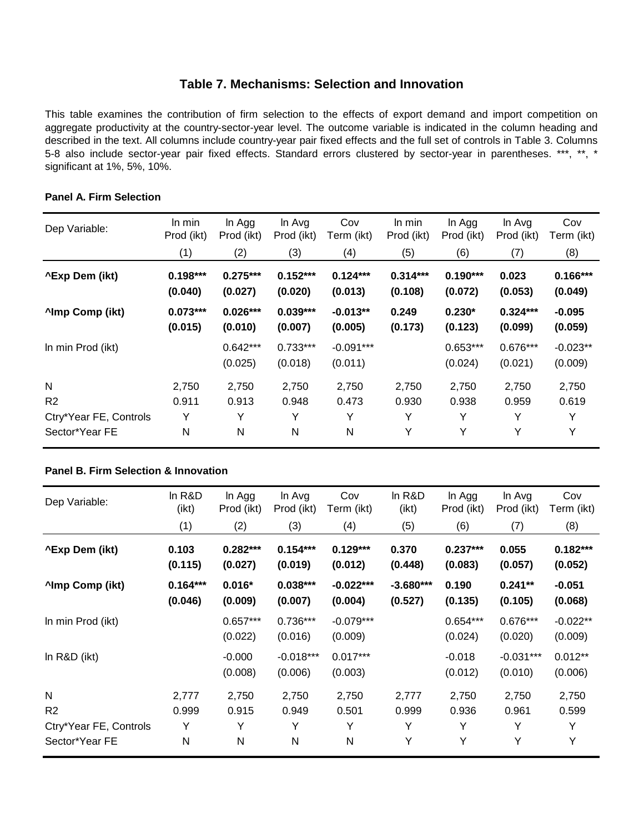## **Table 7. Mechanisms: Selection and Innovation**

This table examines the contribution of firm selection to the effects of export demand and import competition on aggregate productivity at the country-sector-year level. The outcome variable is indicated in the column heading and described in the text. All columns include country-year pair fixed effects and the full set of controls in Table 3. Columns 5-8 also include sector-year pair fixed effects. Standard errors clustered by sector-year in parentheses. \*\*\*, \*\*, \* significant at 1%, 5%, 10%.

| Dep Variable:          | In min<br>Prod (ikt)  | In Agg<br>Prod (ikt)  | In Avg<br>Prod (ikt)  | Cov<br>Term (ikt)      | In min<br>Prod (ikt)  | In Agg<br>Prod (ikt)  | In Avg<br>Prod (ikt)  | Cov<br>Term (ikt)     |
|------------------------|-----------------------|-----------------------|-----------------------|------------------------|-----------------------|-----------------------|-----------------------|-----------------------|
|                        | (1)                   | (2)                   | (3)                   | (4)                    | (5)                   | (6)                   | (7)                   | (8)                   |
| ^Exp Dem (ikt)         | $0.198***$<br>(0.040) | $0.275***$<br>(0.027) | $0.152***$<br>(0.020) | $0.124***$<br>(0.013)  | $0.314***$<br>(0.108) | $0.190***$<br>(0.072) | 0.023<br>(0.053)      | $0.166***$<br>(0.049) |
| <b>Almp Comp (ikt)</b> | $0.073***$<br>(0.015) | $0.026***$<br>(0.010) | $0.039***$<br>(0.007) | $-0.013**$<br>(0.005)  | 0.249<br>(0.173)      | $0.230*$<br>(0.123)   | $0.324***$<br>(0.099) | $-0.095$<br>(0.059)   |
| In min Prod (ikt)      |                       | $0.642***$<br>(0.025) | $0.733***$<br>(0.018) | $-0.091***$<br>(0.011) |                       | $0.653***$<br>(0.024) | $0.676***$<br>(0.021) | $-0.023**$<br>(0.009) |
| N                      | 2,750                 | 2,750                 | 2,750                 | 2,750                  | 2,750                 | 2,750                 | 2,750                 | 2,750                 |
| R <sub>2</sub>         | 0.911                 | 0.913                 | 0.948                 | 0.473                  | 0.930                 | 0.938                 | 0.959                 | 0.619                 |
| Ctry*Year FE, Controls | Y                     | Υ                     | Y                     | Υ                      | Y                     | Y                     | Y                     | Y                     |
| Sector*Year FE         | N                     | N                     | N                     | N                      | Υ                     | Y                     | Y                     | Y                     |

### **Panel A. Firm Selection**

### **Panel B. Firm Selection & Innovation**

| Dep Variable:          | In R&D<br>(ikt)       | In Agg<br>Prod (ikt)  | In Avg<br>Prod (ikt)   | Cov<br>Term (ikt)      | In R&D<br>$($ ikt $)$  | In Agg<br>Prod (ikt)  | In Avg<br>Prod (ikt)   | Cov<br>Term (ikt)     |
|------------------------|-----------------------|-----------------------|------------------------|------------------------|------------------------|-----------------------|------------------------|-----------------------|
|                        | (1)                   | (2)                   | (3)                    | (4)                    | (5)                    | (6)                   | (7)                    | (8)                   |
| <b>^Exp Dem (ikt)</b>  | 0.103<br>(0.115)      | $0.282***$<br>(0.027) | $0.154***$<br>(0.019)  | $0.129***$<br>(0.012)  | 0.370<br>(0.448)       | $0.237***$<br>(0.083) | 0.055<br>(0.057)       | $0.182***$<br>(0.052) |
| ^Imp Comp (ikt)        | $0.164***$<br>(0.046) | $0.016*$<br>(0.009)   | $0.038***$<br>(0.007)  | $-0.022***$<br>(0.004) | $-3.680***$<br>(0.527) | 0.190<br>(0.135)      | $0.241**$<br>(0.105)   | $-0.051$<br>(0.068)   |
| In min Prod (ikt)      |                       | $0.657***$<br>(0.022) | $0.736***$<br>(0.016)  | $-0.079***$<br>(0.009) |                        | $0.654***$<br>(0.024) | $0.676***$<br>(0.020)  | $-0.022**$<br>(0.009) |
| In $R&D$ (ikt)         |                       | $-0.000$<br>(0.008)   | $-0.018***$<br>(0.006) | $0.017***$<br>(0.003)  |                        | $-0.018$<br>(0.012)   | $-0.031***$<br>(0.010) | $0.012**$<br>(0.006)  |
| N                      | 2,777                 | 2,750                 | 2,750                  | 2,750                  | 2,777                  | 2,750                 | 2,750                  | 2,750                 |
| R <sub>2</sub>         | 0.999                 | 0.915                 | 0.949                  | 0.501                  | 0.999                  | 0.936                 | 0.961                  | 0.599                 |
| Ctry*Year FE, Controls | Υ                     | Υ                     | Y                      | Υ                      | Y                      | Υ                     | Y                      | Y                     |
| Sector*Year FE         | N                     | N                     | N                      | N                      | Y                      | Y                     | Y                      | Y                     |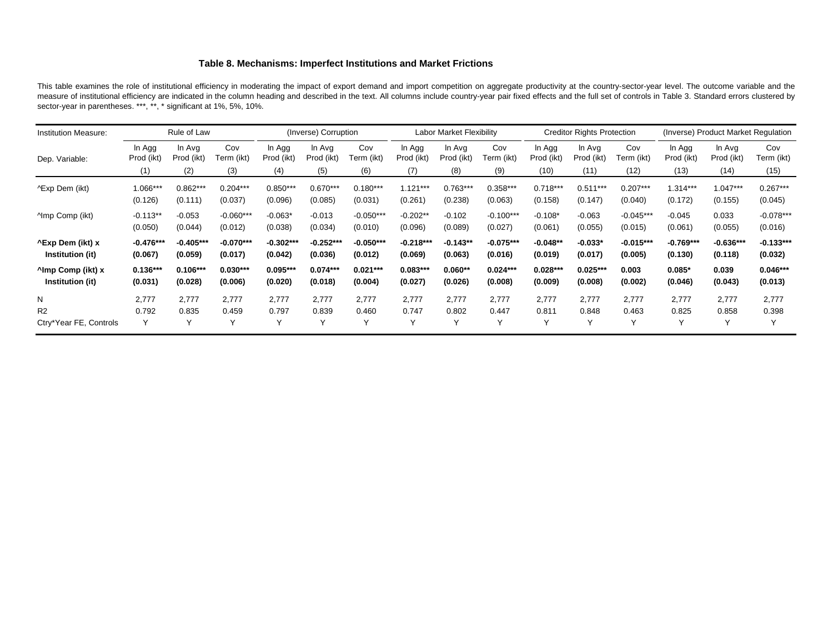#### **Table 8. Mechanisms: Imperfect Institutions and Market Frictions**

This table examines the role of institutional efficiency in moderating the impact of export demand and import competition on aggregate productivity at the country-sector-year level. The outcome variable and the measure of institutional efficiency are indicated in the column heading and described in the text. All columns include country-year pair fixed effects and the full set of controls in Table 3. Standard errors clustered by sector-year in parentheses. \*\*\*, \*\*, \* significant at 1%, 5%, 10%.

| <b>Institution Measure:</b>                       |                        | Rule of Law            |                        |                        | (Inverse) Corruption   |                        |                        | Labor Market Flexibility |                        |                       | <b>Creditor Rights Protection</b> |                        | (Inverse) Product Market Regulation |                        |                        |
|---------------------------------------------------|------------------------|------------------------|------------------------|------------------------|------------------------|------------------------|------------------------|--------------------------|------------------------|-----------------------|-----------------------------------|------------------------|-------------------------------------|------------------------|------------------------|
| Dep. Variable:                                    | In Agg<br>Prod (ikt)   | In Avg<br>Prod (ikt)   | Cov<br>Term (ikt)      | In Agg<br>Prod (ikt)   | In Avg<br>Prod (ikt)   | Cov<br>Term (ikt)      | In Agg<br>Prod (ikt)   | In Avg<br>Prod (ikt)     | Cov<br>Term (ikt)      | In Agg<br>Prod (ikt)  | In Avg<br>Prod (ikt)              | Cov<br>Term (ikt)      | In Agg<br>Prod (ikt)                | In Avg<br>Prod (ikt)   | Cov<br>Term (ikt)      |
|                                                   | (1)                    | (2)                    | (3)                    | (4)                    | (5)                    | (6)                    | (7)                    | (8)                      | (9)                    | (10)                  | (11)                              | (12)                   | (13)                                | (14)                   | (15)                   |
| ^Exp Dem (ikt)                                    | 1.066***               | $0.862***$             | $0.204***$             | $0.850***$             | $0.670***$             | $0.180***$             | $1.121***$             | $0.763***$               | $0.358***$             | $0.718***$            | $0.511***$                        | $0.207***$             | $1.314***$                          | $1.047***$             | $0.267***$             |
|                                                   | (0.126)                | (0.111)                | (0.037)                | (0.096)                | (0.085)                | (0.031)                | (0.261)                | (0.238)                  | (0.063)                | (0.158)               | (0.147)                           | (0.040)                | (0.172)                             | (0.155)                | (0.045)                |
| <b>Amp Comp (ikt)</b>                             | $-0.113**$             | $-0.053$               | $-0.060***$            | $-0.063*$              | $-0.013$               | $-0.050***$            | $-0.202**$             | $-0.102$                 | $-0.100***$            | $-0.108*$             | $-0.063$                          | $-0.045***$            | $-0.045$                            | 0.033                  | $-0.078***$            |
|                                                   | (0.050)                | (0.044)                | (0.012)                | (0.038)                | (0.034)                | (0.010)                | (0.096)                | (0.089)                  | (0.027)                | (0.061)               | (0.055)                           | (0.015)                | (0.061)                             | (0.055)                | (0.016)                |
| <b>^Exp Dem (ikt) x</b><br>Institution (it)       | $-0.476***$<br>(0.067) | $-0.405***$<br>(0.059) | $-0.070***$<br>(0.017) | $-0.302***$<br>(0.042) | $-0.252***$<br>(0.036) | $-0.050***$<br>(0.012) | $-0.218***$<br>(0.069) | $-0.143**$<br>(0.063)    | $-0.075***$<br>(0.016) | $-0.048**$<br>(0.019) | $-0.033*$<br>(0.017)              | $-0.015***$<br>(0.005) | $-0.769***$<br>(0.130)              | $-0.636***$<br>(0.118) | $-0.133***$<br>(0.032) |
| <sup>^</sup> Imp Comp (ikt) x<br>Institution (it) | $0.136***$<br>(0.031)  | $0.106***$<br>(0.028)  | $0.030***$<br>(0.006)  | $0.095***$<br>(0.020)  | $0.074***$<br>(0.018)  | $0.021***$<br>(0.004)  | $0.083***$<br>(0.027)  | $0.060**$<br>(0.026)     | $0.024***$<br>(0.008)  | $0.028***$<br>(0.009) | $0.025***$<br>(0.008)             | 0.003<br>(0.002)       | $0.085*$<br>(0.046)                 | 0.039<br>(0.043)       | $0.046***$<br>(0.013)  |
| N                                                 | 2.777                  | 2.777                  | 2.777                  | 2.777                  | 2,777                  | 2,777                  | 2.777                  | 2.777                    | 2,777                  | 2,777                 | 2,777                             | 2,777                  | 2.777                               | 2,777                  | 2,777                  |
| R <sub>2</sub>                                    | 0.792                  | 0.835                  | 0.459                  | 0.797                  | 0.839                  | 0.460                  | 0.747                  | 0.802                    | 0.447                  | 0.811                 | 0.848                             | 0.463                  | 0.825                               | 0.858                  | 0.398                  |
| Ctry*Year FE, Controls                            | Y                      | $\sqrt{}$              | $\checkmark$           | $\checkmark$           | $\checkmark$           | $\checkmark$           |                        | $\checkmark$             | $\checkmark$           | Υ                     | Υ                                 | Υ                      | $\checkmark$                        | Y                      | Y                      |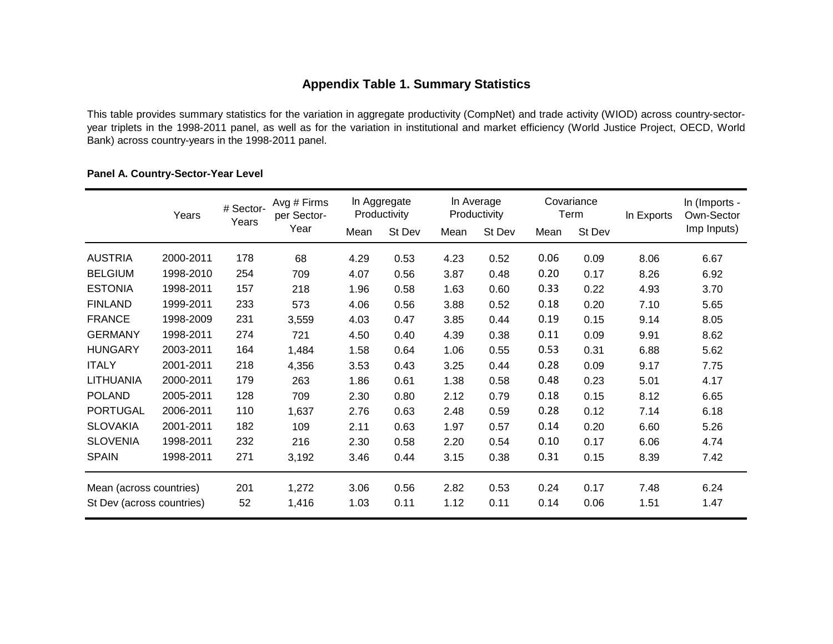# **Appendix Table 1. Summary Statistics**

This table provides summary statistics for the variation in aggregate productivity (CompNet) and trade activity (WIOD) across country-sectoryear triplets in the 1998-2011 panel, as well as for the variation in institutional and market efficiency (World Justice Project, OECD, World Bank) across country-years in the 1998-2011 panel.

## **Panel A. Country-Sector-Year Level**

|                           | Years     | # Sector-<br>Years | Avg # Firms<br>per Sector- |      | In Aggregate<br>Productivity |      | In Average<br>Productivity |      | Covariance<br>Term | In Exports | In (Imports -<br>Own-Sector |
|---------------------------|-----------|--------------------|----------------------------|------|------------------------------|------|----------------------------|------|--------------------|------------|-----------------------------|
|                           |           |                    | Year                       | Mean | St Dev                       | Mean | St Dev                     | Mean | St Dev             |            | Imp Inputs)                 |
| <b>AUSTRIA</b>            | 2000-2011 | 178                | 68                         | 4.29 | 0.53                         | 4.23 | 0.52                       | 0.06 | 0.09               | 8.06       | 6.67                        |
| <b>BELGIUM</b>            | 1998-2010 | 254                | 709                        | 4.07 | 0.56                         | 3.87 | 0.48                       | 0.20 | 0.17               | 8.26       | 6.92                        |
| <b>ESTONIA</b>            | 1998-2011 | 157                | 218                        | 1.96 | 0.58                         | 1.63 | 0.60                       | 0.33 | 0.22               | 4.93       | 3.70                        |
| <b>FINLAND</b>            | 1999-2011 | 233                | 573                        | 4.06 | 0.56                         | 3.88 | 0.52                       | 0.18 | 0.20               | 7.10       | 5.65                        |
| <b>FRANCE</b>             | 1998-2009 | 231                | 3,559                      | 4.03 | 0.47                         | 3.85 | 0.44                       | 0.19 | 0.15               | 9.14       | 8.05                        |
| <b>GERMANY</b>            | 1998-2011 | 274                | 721                        | 4.50 | 0.40                         | 4.39 | 0.38                       | 0.11 | 0.09               | 9.91       | 8.62                        |
| <b>HUNGARY</b>            | 2003-2011 | 164                | 1,484                      | 1.58 | 0.64                         | 1.06 | 0.55                       | 0.53 | 0.31               | 6.88       | 5.62                        |
| <b>ITALY</b>              | 2001-2011 | 218                | 4,356                      | 3.53 | 0.43                         | 3.25 | 0.44                       | 0.28 | 0.09               | 9.17       | 7.75                        |
| <b>LITHUANIA</b>          | 2000-2011 | 179                | 263                        | 1.86 | 0.61                         | 1.38 | 0.58                       | 0.48 | 0.23               | 5.01       | 4.17                        |
| <b>POLAND</b>             | 2005-2011 | 128                | 709                        | 2.30 | 0.80                         | 2.12 | 0.79                       | 0.18 | 0.15               | 8.12       | 6.65                        |
| <b>PORTUGAL</b>           | 2006-2011 | 110                | 1,637                      | 2.76 | 0.63                         | 2.48 | 0.59                       | 0.28 | 0.12               | 7.14       | 6.18                        |
| <b>SLOVAKIA</b>           | 2001-2011 | 182                | 109                        | 2.11 | 0.63                         | 1.97 | 0.57                       | 0.14 | 0.20               | 6.60       | 5.26                        |
| <b>SLOVENIA</b>           | 1998-2011 | 232                | 216                        | 2.30 | 0.58                         | 2.20 | 0.54                       | 0.10 | 0.17               | 6.06       | 4.74                        |
| <b>SPAIN</b>              | 1998-2011 | 271                | 3,192                      | 3.46 | 0.44                         | 3.15 | 0.38                       | 0.31 | 0.15               | 8.39       | 7.42                        |
| Mean (across countries)   |           | 201                | 1,272                      | 3.06 | 0.56                         | 2.82 | 0.53                       | 0.24 | 0.17               | 7.48       | 6.24                        |
| St Dev (across countries) |           | 52                 | 1,416                      | 1.03 | 0.11                         | 1.12 | 0.11                       | 0.14 | 0.06               | 1.51       | 1.47                        |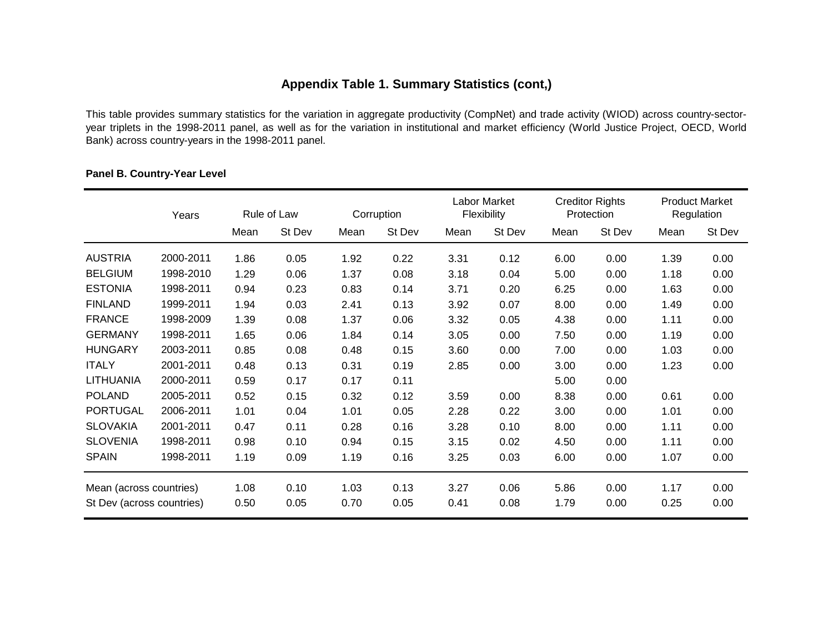# **Appendix Table 1. Summary Statistics (cont,)**

This table provides summary statistics for the variation in aggregate productivity (CompNet) and trade activity (WIOD) across country-sectoryear triplets in the 1998-2011 panel, as well as for the variation in institutional and market efficiency (World Justice Project, OECD, World Bank) across country-years in the 1998-2011 panel.

|                           | Years     |      | Rule of Law |      | Corruption |      | Labor Market<br>Flexibility |      | <b>Creditor Rights</b><br>Protection |      | <b>Product Market</b><br>Regulation |
|---------------------------|-----------|------|-------------|------|------------|------|-----------------------------|------|--------------------------------------|------|-------------------------------------|
|                           |           | Mean | St Dev      | Mean | St Dev     | Mean | St Dev                      | Mean | St Dev                               | Mean | St Dev                              |
| <b>AUSTRIA</b>            | 2000-2011 | 1.86 | 0.05        | 1.92 | 0.22       | 3.31 | 0.12                        | 6.00 | 0.00                                 | 1.39 | 0.00                                |
| <b>BELGIUM</b>            | 1998-2010 | 1.29 | 0.06        | 1.37 | 0.08       | 3.18 | 0.04                        | 5.00 | 0.00                                 | 1.18 | 0.00                                |
| <b>ESTONIA</b>            | 1998-2011 | 0.94 | 0.23        | 0.83 | 0.14       | 3.71 | 0.20                        | 6.25 | 0.00                                 | 1.63 | 0.00                                |
| <b>FINLAND</b>            | 1999-2011 | 1.94 | 0.03        | 2.41 | 0.13       | 3.92 | 0.07                        | 8.00 | 0.00                                 | 1.49 | 0.00                                |
| <b>FRANCE</b>             | 1998-2009 | 1.39 | 0.08        | 1.37 | 0.06       | 3.32 | 0.05                        | 4.38 | 0.00                                 | 1.11 | 0.00                                |
| <b>GERMANY</b>            | 1998-2011 | 1.65 | 0.06        | 1.84 | 0.14       | 3.05 | 0.00                        | 7.50 | 0.00                                 | 1.19 | 0.00                                |
| <b>HUNGARY</b>            | 2003-2011 | 0.85 | 0.08        | 0.48 | 0.15       | 3.60 | 0.00                        | 7.00 | 0.00                                 | 1.03 | 0.00                                |
| <b>ITALY</b>              | 2001-2011 | 0.48 | 0.13        | 0.31 | 0.19       | 2.85 | 0.00                        | 3.00 | 0.00                                 | 1.23 | 0.00                                |
| <b>LITHUANIA</b>          | 2000-2011 | 0.59 | 0.17        | 0.17 | 0.11       |      |                             | 5.00 | 0.00                                 |      |                                     |
| <b>POLAND</b>             | 2005-2011 | 0.52 | 0.15        | 0.32 | 0.12       | 3.59 | 0.00                        | 8.38 | 0.00                                 | 0.61 | 0.00                                |
| <b>PORTUGAL</b>           | 2006-2011 | 1.01 | 0.04        | 1.01 | 0.05       | 2.28 | 0.22                        | 3.00 | 0.00                                 | 1.01 | 0.00                                |
| <b>SLOVAKIA</b>           | 2001-2011 | 0.47 | 0.11        | 0.28 | 0.16       | 3.28 | 0.10                        | 8.00 | 0.00                                 | 1.11 | 0.00                                |
| <b>SLOVENIA</b>           | 1998-2011 | 0.98 | 0.10        | 0.94 | 0.15       | 3.15 | 0.02                        | 4.50 | 0.00                                 | 1.11 | 0.00                                |
| <b>SPAIN</b>              | 1998-2011 | 1.19 | 0.09        | 1.19 | 0.16       | 3.25 | 0.03                        | 6.00 | 0.00                                 | 1.07 | 0.00                                |
| Mean (across countries)   |           | 1.08 | 0.10        | 1.03 | 0.13       | 3.27 | 0.06                        | 5.86 | 0.00                                 | 1.17 | 0.00                                |
| St Dev (across countries) |           | 0.50 | 0.05        | 0.70 | 0.05       | 0.41 | 0.08                        | 1.79 | 0.00                                 | 0.25 | 0.00                                |

## **Panel B. Country-Year Level**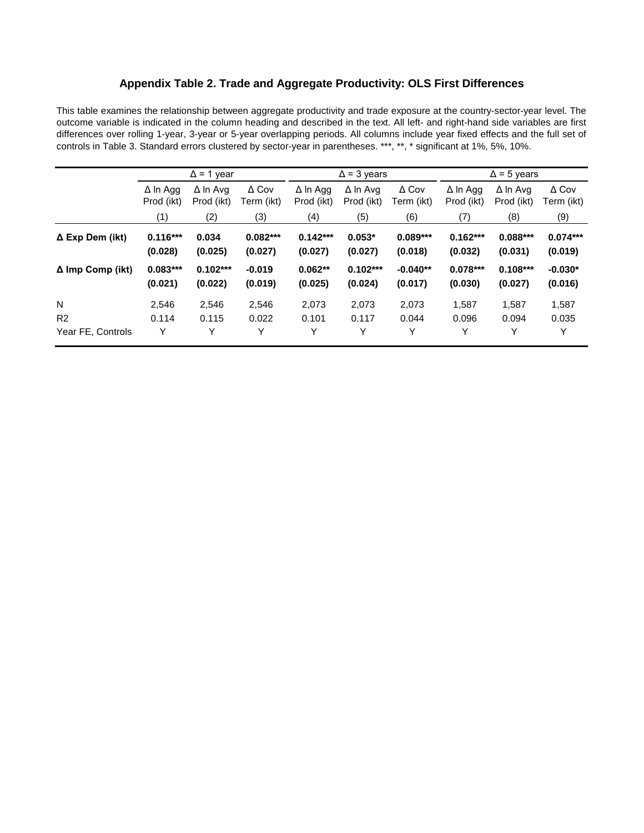## **Appendix Table 2. Trade and Aggregate Productivity: OLS First Differences**

This table examines the relationship between aggregate productivity and trade exposure at the country-sector-year level. The outcome variable is indicated in the column heading and described in the text. All left- and right-hand side variables are first differences over rolling 1-year, 3-year or 5-year overlapping periods. All columns include year fixed effects and the full set of controls in Table 3. Standard errors clustered by sector-year in parentheses. \*\*\*, \*\*, \* significant at 1%, 5%, 10%.

|                         |                               | $\Delta$ = 1 year             |                            |                               | $\Delta$ = 3 years            |                            | $\Delta$ = 5 years            |                               |                            |  |
|-------------------------|-------------------------------|-------------------------------|----------------------------|-------------------------------|-------------------------------|----------------------------|-------------------------------|-------------------------------|----------------------------|--|
|                         | $\Delta$ In Agg<br>Prod (ikt) | $\Delta$ In Avg<br>Prod (ikt) | $\Delta$ Cov<br>Term (ikt) | $\Delta$ In Agg<br>Prod (ikt) | $\Delta$ In Avg<br>Prod (ikt) | $\Delta$ Cov<br>Term (ikt) | $\Delta$ In Agg<br>Prod (ikt) | $\Delta$ In Avg<br>Prod (ikt) | $\Delta$ Cov<br>Term (ikt) |  |
|                         | (1)                           | (2)                           | (3)                        | (4)                           | (5)                           | (6)                        | (7)                           | (8)                           | (9)                        |  |
| $\Delta$ Exp Dem (ikt)  | $0.116***$<br>(0.028)         | 0.034<br>(0.025)              | $0.082***$<br>(0.027)      | $0.142***$<br>(0.027)         | $0.053*$<br>(0.027)           | $0.089***$<br>(0.018)      | $0.162***$<br>(0.032)         | $0.088***$<br>(0.031)         | $0.074***$<br>(0.019)      |  |
| $\Delta$ Imp Comp (ikt) | $0.083***$<br>(0.021)         | $0.102***$<br>(0.022)         | $-0.019$<br>(0.019)        | $0.062**$<br>(0.025)          | $0.102***$<br>(0.024)         | $-0.040**$<br>(0.017)      | $0.078***$<br>(0.030)         | $0.108***$<br>(0.027)         | $-0.030*$<br>(0.016)       |  |
| N                       | 2.546                         | 2,546                         | 2,546                      | 2,073                         | 2,073                         | 2,073                      | 1.587                         | 1,587                         | 1,587                      |  |
| R <sub>2</sub>          | 0.114                         | 0.115                         | 0.022                      | 0.101                         | 0.117                         | 0.044                      | 0.096                         | 0.094                         | 0.035                      |  |
| Year FE, Controls       | Y                             | Y                             | Υ                          | Υ                             | Υ                             | Y                          | Y                             | Υ                             | Y                          |  |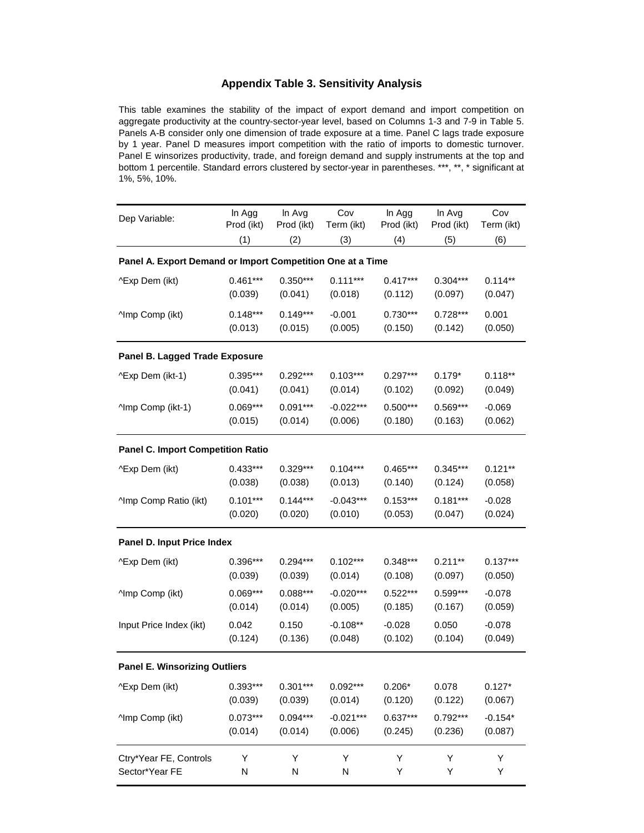### **Appendix Table 3. Sensitivity Analysis**

This table examines the stability of the impact of export demand and import competition on aggregate productivity at the country-sector-year level, based on Columns 1-3 and 7-9 in Table 5. Panels A-B consider only one dimension of trade exposure at a time. Panel C lags trade exposure by 1 year. Panel D measures import competition with the ratio of imports to domestic turnover. Panel E winsorizes productivity, trade, and foreign demand and supply instruments at the top and bottom 1 percentile. Standard errors clustered by sector-year in parentheses. \*\*\*, \*\*, \* significant at 1%, 5%, 10%.

| Dep Variable:                                              | In Agg                                   | In Avg     | Cov         | In Agg     | In Avg     | Cov        |  |  |  |  |  |  |
|------------------------------------------------------------|------------------------------------------|------------|-------------|------------|------------|------------|--|--|--|--|--|--|
|                                                            | Prod (ikt)                               | Prod (ikt) | Term (ikt)  | Prod (ikt) | Prod (ikt) | Term (ikt) |  |  |  |  |  |  |
|                                                            | (1)                                      | (2)        | (3)         | (4)        | (5)        | (6)        |  |  |  |  |  |  |
| Panel A. Export Demand or Import Competition One at a Time |                                          |            |             |            |            |            |  |  |  |  |  |  |
| ^Exp Dem (ikt)                                             | $0.461***$                               | $0.350***$ | $0.111***$  | $0.417***$ | $0.304***$ | $0.114**$  |  |  |  |  |  |  |
|                                                            | (0.039)                                  | (0.041)    | (0.018)     | (0.112)    | (0.097)    | (0.047)    |  |  |  |  |  |  |
| <b>Amp Comp (ikt)</b>                                      | $0.148***$                               | $0.149***$ | $-0.001$    | $0.730***$ | $0.728***$ | 0.001      |  |  |  |  |  |  |
|                                                            | (0.013)                                  | (0.015)    | (0.005)     | (0.150)    | (0.142)    | (0.050)    |  |  |  |  |  |  |
| Panel B. Lagged Trade Exposure                             |                                          |            |             |            |            |            |  |  |  |  |  |  |
| ^Exp Dem (ikt-1)                                           | $0.395***$                               | $0.292***$ | $0.103***$  | $0.297***$ | $0.179*$   | $0.118**$  |  |  |  |  |  |  |
|                                                            | (0.041)                                  | (0.041)    | (0.014)     | (0.102)    | (0.092)    | (0.049)    |  |  |  |  |  |  |
| ^Imp Comp (ikt-1)                                          | $0.069***$                               | $0.091***$ | $-0.022***$ | $0.500***$ | $0.569***$ | $-0.069$   |  |  |  |  |  |  |
|                                                            | (0.015)                                  | (0.014)    | (0.006)     | (0.180)    | (0.163)    | (0.062)    |  |  |  |  |  |  |
|                                                            | <b>Panel C. Import Competition Ratio</b> |            |             |            |            |            |  |  |  |  |  |  |
| ^Exp Dem (ikt)                                             | $0.433***$                               | $0.329***$ | $0.104***$  | $0.465***$ | $0.345***$ | $0.121**$  |  |  |  |  |  |  |
|                                                            | (0.038)                                  | (0.038)    | (0.013)     | (0.140)    | (0.124)    | (0.058)    |  |  |  |  |  |  |
| ^Imp Comp Ratio (ikt)                                      | $0.101***$                               | $0.144***$ | $-0.043***$ | $0.153***$ | $0.181***$ | $-0.028$   |  |  |  |  |  |  |
|                                                            | (0.020)                                  | (0.020)    | (0.010)     | (0.053)    | (0.047)    | (0.024)    |  |  |  |  |  |  |
| Panel D. Input Price Index                                 |                                          |            |             |            |            |            |  |  |  |  |  |  |
| ^Exp Dem (ikt)                                             | 0.396***                                 | $0.294***$ | $0.102***$  | 0.348***   | $0.211**$  | $0.137***$ |  |  |  |  |  |  |
|                                                            | (0.039)                                  | (0.039)    | (0.014)     | (0.108)    | (0.097)    | (0.050)    |  |  |  |  |  |  |
| ^Imp Comp (ikt)                                            | $0.069***$                               | $0.088***$ | $-0.020***$ | $0.522***$ | $0.599***$ | $-0.078$   |  |  |  |  |  |  |
|                                                            | (0.014)                                  | (0.014)    | (0.005)     | (0.185)    | (0.167)    | (0.059)    |  |  |  |  |  |  |
| Input Price Index (ikt)                                    | 0.042                                    | 0.150      | $-0.108**$  | $-0.028$   | 0.050      | $-0.078$   |  |  |  |  |  |  |
|                                                            | (0.124)                                  | (0.136)    | (0.048)     | (0.102)    | (0.104)    | (0.049)    |  |  |  |  |  |  |
| <b>Panel E. Winsorizing Outliers</b>                       |                                          |            |             |            |            |            |  |  |  |  |  |  |
| ^Exp Dem (ikt)                                             | 0.393***                                 | $0.301***$ | $0.092***$  | $0.206*$   | 0.078      | $0.127*$   |  |  |  |  |  |  |
|                                                            | (0.039)                                  | (0.039)    | (0.014)     | (0.120)    | (0.122)    | (0.067)    |  |  |  |  |  |  |
| ^Imp Comp (ikt)                                            | $0.073***$                               | $0.094***$ | $-0.021***$ | $0.637***$ | $0.792***$ | $-0.154*$  |  |  |  |  |  |  |
|                                                            | (0.014)                                  | (0.014)    | (0.006)     | (0.245)    | (0.236)    | (0.087)    |  |  |  |  |  |  |
| Ctry*Year FE, Controls                                     | Υ                                        | Υ          | Υ           | Υ          | Y          | Υ          |  |  |  |  |  |  |
| Sector*Year FE                                             | N                                        | N          | N           | Υ          | Υ          | Υ          |  |  |  |  |  |  |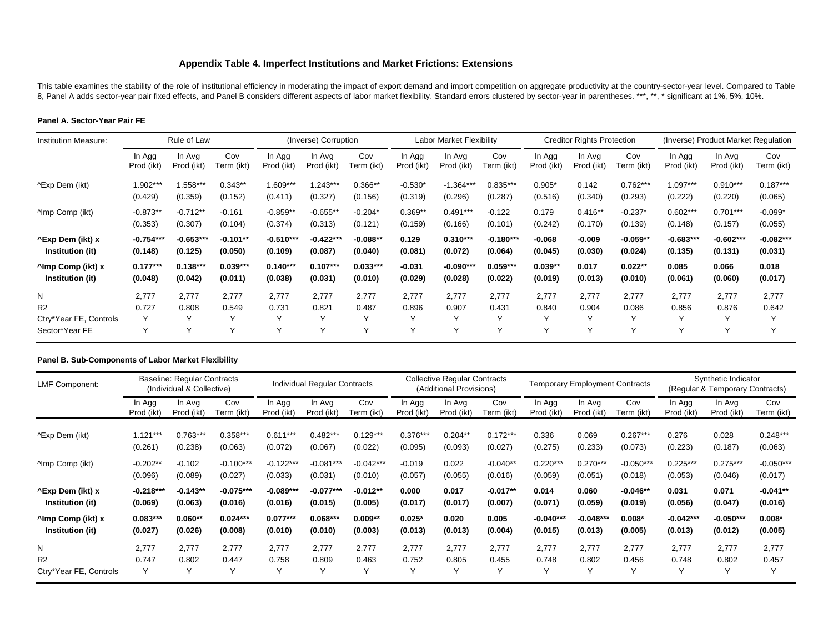### **Appendix Table 4. Imperfect Institutions and Market Frictions: Extensions**

This table examines the stability of the role of institutional efficiency in moderating the impact of export demand and import competition on aggregate productivity at the country-sector-year level. Compared to Table 8, Panel A adds sector-year pair fixed effects, and Panel B considers different aspects of labor market flexibility. Standard errors clustered by sector-year in parentheses. \*\*\*, \*\*, \* significant at 1%, 5%, 10%.

#### **Panel A. Sector-Year Pair FE**

| Institution Measure:                                            |                | Rule of Law                                    |                             |                | (Inverse) Corruption                           |                                                |                                                | Labor Market Flexibility            |                                     |                          | <b>Creditor Rights Protection</b> |                                |                | (Inverse) Product Market Regulation |                |  |
|-----------------------------------------------------------------|----------------|------------------------------------------------|-----------------------------|----------------|------------------------------------------------|------------------------------------------------|------------------------------------------------|-------------------------------------|-------------------------------------|--------------------------|-----------------------------------|--------------------------------|----------------|-------------------------------------|----------------|--|
|                                                                 | In Agg         | In Avg                                         | Cov                         | In Agg         | In Avg                                         | Cov                                            | In Agg                                         | In Avg                              | Cov                                 | In Agg                   | In Avg                            | Cov                            | In Agg         | In Avg                              | Cov            |  |
|                                                                 | Prod (ikt)     | Prod (ikt)                                     | Term (ikt)                  | Prod (ikt)     | Prod (ikt)                                     | Term (ikt)                                     | Prod (ikt)                                     | Prod (ikt)                          | Term (ikt)                          | Prod (ikt)               | Prod (ikt)                        | Term (ikt)                     | Prod (ikt)     | Prod (ikt)                          | Term (ikt)     |  |
| ^Exp Dem (ikt)                                                  | 1.902***       | 1.558***                                       | $0.343**$                   | 1.609***       | $1.243***$                                     | $0.366**$                                      | $-0.530*$                                      | $-1.364***$                         | $0.835***$                          | $0.905*$                 | 0.142                             | $0.762***$                     | $1.097***$     | $0.910***$                          | $0.187***$     |  |
|                                                                 | (0.429)        | (0.359)                                        | (0.152)                     | (0.411)        | (0.327)                                        | (0.156)                                        | (0.319)                                        | (0.296)                             | (0.287)                             | (0.516)                  | (0.340)                           | (0.293)                        | (0.222)        | (0.220)                             | (0.065)        |  |
| <b>Amp Comp (ikt)</b>                                           | $-0.873**$     | $-0.712**$                                     | $-0.161$                    | $-0.859**$     | $-0.655**$                                     | $-0.204*$                                      | $0.369**$                                      | $0.491***$                          | $-0.122$                            | 0.179                    | $0.416**$                         | $-0.237*$                      | $0.602***$     | $0.701***$                          | $-0.099*$      |  |
|                                                                 | (0.353)        | (0.307)                                        | (0.104)                     | (0.374)        | (0.313)                                        | (0.121)                                        | (0.159)                                        | (0.166)                             | (0.101)                             | (0.242)                  | (0.170)                           | (0.139)                        | (0.148)        | (0.157)                             | (0.055)        |  |
| <b>^Exp Dem (ikt) x</b>                                         | $-0.754***$    | $-0.653***$                                    | $-0.101**$                  | $-0.510***$    | $-0.422***$                                    | $-0.088**$                                     | 0.129                                          | $0.310***$                          | $-0.180***$                         | $-0.068$                 | $-0.009$                          | $-0.059**$                     | $-0.683***$    | $-0.602***$                         | $-0.082***$    |  |
| Institution (it)                                                | (0.148)        | (0.125)                                        | (0.050)                     | (0.109)        | (0.087)                                        | (0.040)                                        | (0.081)                                        | (0.072)                             | (0.064)                             | (0.045)                  | (0.030)                           | (0.024)                        | (0.135)        | (0.131)                             | (0.031)        |  |
| <sup>^</sup> lmp Comp (ikt) x                                   | $0.177***$     | $0.138***$                                     | $0.039***$                  | $0.140***$     | $0.107***$                                     | $0.033***$                                     | $-0.031$                                       | $-0.090***$                         | $0.059***$                          | $0.039**$                | 0.017                             | $0.022**$                      | 0.085          | 0.066                               | 0.018          |  |
| Institution (it)                                                | (0.048)        | (0.042)                                        | (0.011)                     | (0.038)        | (0.031)                                        | (0.010)                                        | (0.029)                                        | (0.028)                             | (0.022)                             | (0.019)                  | (0.013)                           | (0.010)                        | (0.061)        | (0.060)                             | (0.017)        |  |
| N<br>R <sub>2</sub><br>Ctry*Year FE, Controls<br>Sector*Year FE | 2,777<br>0.727 | 2,777<br>0.808<br>$\checkmark$<br>$\checkmark$ | 2,777<br>0.549<br>$\sqrt{}$ | 2,777<br>0.731 | 2,777<br>0.821<br>$\checkmark$<br>$\checkmark$ | 2,777<br>0.487<br>$\checkmark$<br>$\checkmark$ | 2,777<br>0.896<br>$\checkmark$<br>$\checkmark$ | 2.777<br>0.907<br>$\checkmark$<br>Υ | 2,777<br>0.431<br>$\checkmark$<br>v | 2,777<br>0.840<br>Υ<br>Υ | 2,777<br>0.904                    | 2,777<br>0.086<br>$\checkmark$ | 2,777<br>0.856 | 2,777<br>0.876                      | 2,777<br>0.642 |  |

#### **Panel B. Sub-Components of Labor Market Flexibility**

| <b>LMF Component:</b>                             |                        | Baseline: Regular Contracts<br>(Individual & Collective) |                        |                        | Individual Regular Contracts |                        |                       | <b>Collective Regular Contracts</b><br>(Additional Provisions) |                       |                        | <b>Temporary Employment Contracts</b> |                        | Synthetic Indicator<br>(Regular & Temporary Contracts) |                        |                        |
|---------------------------------------------------|------------------------|----------------------------------------------------------|------------------------|------------------------|------------------------------|------------------------|-----------------------|----------------------------------------------------------------|-----------------------|------------------------|---------------------------------------|------------------------|--------------------------------------------------------|------------------------|------------------------|
|                                                   | In Agg<br>Prod (ikt)   | In Avg<br>Prod (ikt)                                     | Cov<br>Term (ikt)      | In Agg<br>Prod (ikt)   | In Avg<br>Prod (ikt)         | Cov<br>Term (ikt)      | In Agg<br>Prod (ikt)  | In Avg<br>Prod (ikt)                                           | Cov<br>Term (ikt)     | In Agg<br>Prod (ikt)   | In Avg<br>Prod (ikt)                  | Cov<br>Term (ikt)      | In Agg<br>Prod (ikt)                                   | In Avg<br>Prod (ikt)   | Cov<br>Term (ikt)      |
| ^Exp Dem (ikt)                                    | $1.121***$<br>(0.261)  | $0.763***$<br>(0.238)                                    | $0.358***$<br>(0.063)  | $0.611***$<br>(0.072)  | $0.482***$<br>(0.067)        | $0.129***$<br>(0.022)  | $0.376***$<br>(0.095) | $0.204**$<br>(0.093)                                           | $0.172***$<br>(0.027) | 0.336<br>(0.275)       | 0.069<br>(0.233)                      | $0.267***$<br>(0.073)  | 0.276<br>(0.223)                                       | 0.028<br>(0.187)       | $0.248***$<br>(0.063)  |
| <b>Amp Comp (ikt)</b>                             | $-0.202**$<br>(0.096)  | $-0.102$<br>(0.089)                                      | $-0.100***$<br>(0.027) | $-0.122***$<br>(0.033) | $-0.081***$<br>(0.031)       | $-0.042***$<br>(0.010) | $-0.019$<br>(0.057)   | 0.022<br>(0.055)                                               | $-0.040**$<br>(0.016) | $0.220***$<br>(0.059)  | $0.270***$<br>(0.051)                 | $-0.050***$<br>(0.018) | $0.225***$<br>(0.053)                                  | $0.275***$<br>(0.046)  | $-0.050***$<br>(0.017) |
| <b>^Exp Dem (ikt) x</b><br>Institution (it)       | $-0.218***$<br>(0.069) | $-0.143**$<br>(0.063)                                    | $-0.075***$<br>(0.016) | $-0.089***$<br>(0.016) | $-0.077***$<br>(0.015)       | $-0.012**$<br>(0.005)  | 0.000<br>(0.017)      | 0.017<br>(0.017)                                               | $-0.017**$<br>(0.007) | 0.014<br>(0.071)       | 0.060<br>(0.059)                      | $-0.046**$<br>(0.019)  | 0.031<br>(0.056)                                       | 0.071<br>(0.047)       | $-0.041**$<br>(0.016)  |
| <sup>1</sup> lmp Comp (ikt) x<br>Institution (it) | $0.083***$<br>(0.027)  | $0.060**$<br>(0.026)                                     | $0.024***$<br>(0.008)  | $0.077***$<br>(0.010)  | $0.068***$<br>(0.010)        | $0.009**$<br>(0.003)   | $0.025*$<br>(0.013)   | 0.020<br>(0.013)                                               | 0.005<br>(0.004)      | $-0.040***$<br>(0.015) | $-0.048***$<br>(0.013)                | $0.008*$<br>(0.005)    | $-0.042***$<br>(0.013)                                 | $-0.050***$<br>(0.012) | $0.008*$<br>(0.005)    |
| N                                                 | 2,777                  | 2.777                                                    | 2.777                  | 2,777                  | 2,777                        | 2,777                  | 2.777                 | 2,777                                                          | 2,777                 | 2,777                  | 2,777                                 | 2.777                  | 2.777                                                  | 2,777                  | 2,777                  |
| R <sub>2</sub>                                    | 0.747                  | 0.802                                                    | 0.447                  | 0.758                  | 0.809                        | 0.463                  | 0.752                 | 0.805                                                          | 0.455                 | 0.748                  | 0.802                                 | 0.456                  | 0.748                                                  | 0.802                  | 0.457                  |
| Ctry*Year FE, Controls                            | Υ                      | $\checkmark$                                             | $\checkmark$           | $\sqrt{}$              | Y                            | Υ                      | $\checkmark$          | $\checkmark$                                                   | $\checkmark$          | $\checkmark$           | $\checkmark$                          |                        | $\checkmark$                                           | Υ                      | $\checkmark$           |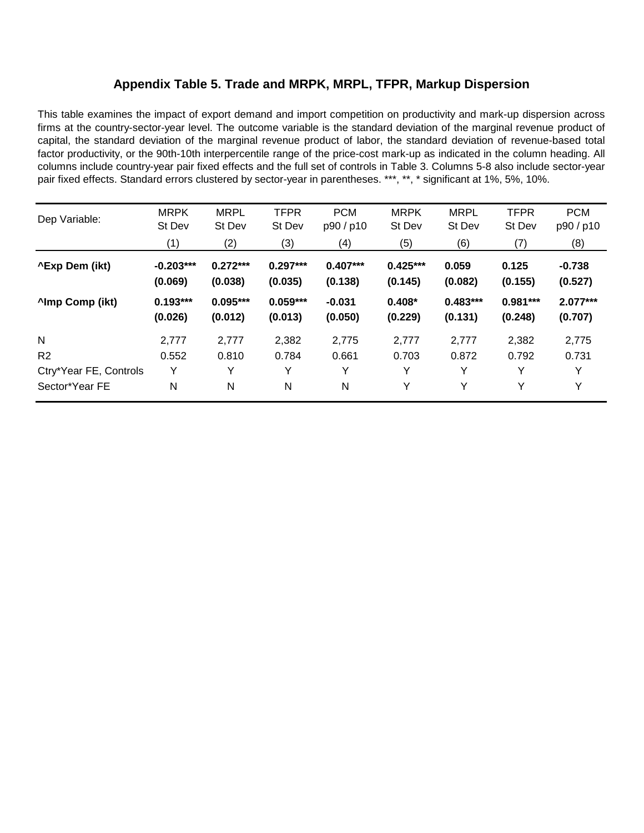# **Appendix Table 5. Trade and MRPK, MRPL, TFPR, Markup Dispersion**

This table examines the impact of export demand and import competition on productivity and mark-up dispersion across firms at the country-sector-year level. The outcome variable is the standard deviation of the marginal revenue product of capital, the standard deviation of the marginal revenue product of labor, the standard deviation of revenue-based total factor productivity, or the 90th-10th interpercentile range of the price-cost mark-up as indicated in the column heading. All columns include country-year pair fixed effects and the full set of controls in Table 3. Columns 5-8 also include sector-year pair fixed effects. Standard errors clustered by sector-year in parentheses. \*\*\*, \*\*, \* significant at 1%, 5%, 10%.

| Dep Variable:          | <b>MRPK</b><br>St Dev  | <b>MRPL</b><br>St Dev | <b>TFPR</b><br>St Dev | <b>PCM</b><br>p90/p10 | <b>MRPK</b><br>St Dev | <b>MRPL</b><br>St Dev | <b>TFPR</b><br>St Dev | <b>PCM</b><br>p90/p10 |
|------------------------|------------------------|-----------------------|-----------------------|-----------------------|-----------------------|-----------------------|-----------------------|-----------------------|
|                        | (1)                    | (2)                   | (3)                   | (4)                   | (5)                   | (6)                   | (7)                   | (8)                   |
| <b>^Exp Dem (ikt)</b>  | $-0.203***$<br>(0.069) | $0.272***$<br>(0.038) | $0.297***$<br>(0.035) | $0.407***$<br>(0.138) | $0.425***$<br>(0.145) | 0.059<br>(0.082)      | 0.125<br>(0.155)      | $-0.738$<br>(0.527)   |
| <b>Almp Comp (ikt)</b> | $0.193***$<br>(0.026)  | $0.095***$<br>(0.012) | $0.059***$<br>(0.013) | $-0.031$<br>(0.050)   | $0.408*$<br>(0.229)   | $0.483***$<br>(0.131) | $0.981***$<br>(0.248) | $2.077***$<br>(0.707) |
| $\mathsf{N}$           | 2,777                  | 2,777                 | 2,382                 | 2,775                 | 2,777                 | 2,777                 | 2,382                 | 2,775                 |
| R <sub>2</sub>         | 0.552                  | 0.810                 | 0.784                 | 0.661                 | 0.703                 | 0.872                 | 0.792                 | 0.731                 |
| Ctry*Year FE, Controls | Y                      | Y                     | v                     | Y                     | Υ                     | Y                     | Y                     | Y                     |
| Sector*Year FE         | N                      | N                     | N                     | N                     | Υ                     | Y                     | Υ                     | Y                     |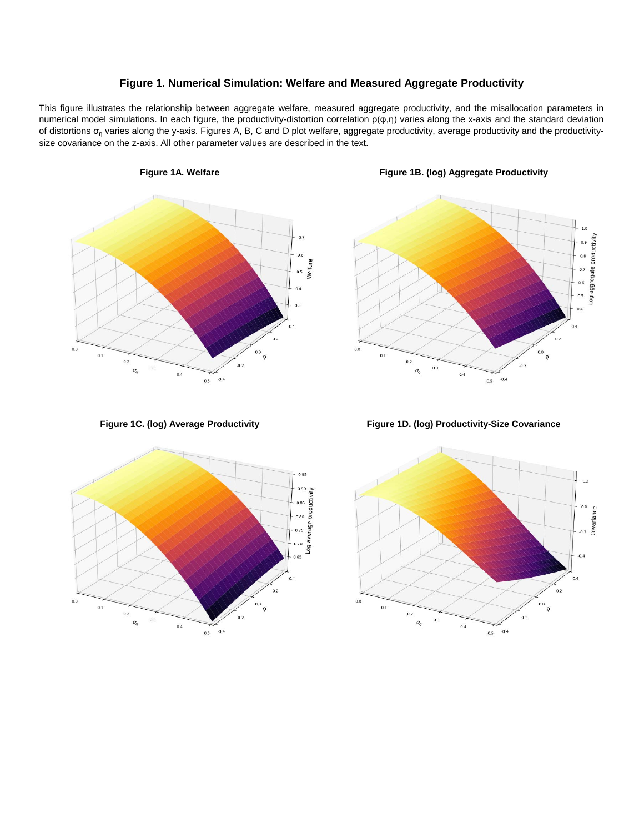### **Figure 1. Numerical Simulation: Welfare and Measured Aggregate Productivity**

This figure illustrates the relationship between aggregate welfare, measured aggregate productivity, and the misallocation parameters in numerical model simulations. In each figure, the productivity-distortion correlation ρ(φ,η) varies along the x-axis and the standard deviation of distortions  $\sigma_n$  varies along the y-axis. Figures A, B, C and D plot welfare, aggregate productivity, average productivity and the productivitysize covariance on the z-axis. All other parameter values are described in the text.







**Figure 1C. (log) Average Productivity Figure 1D. (log) Productivity-Size Covariance**

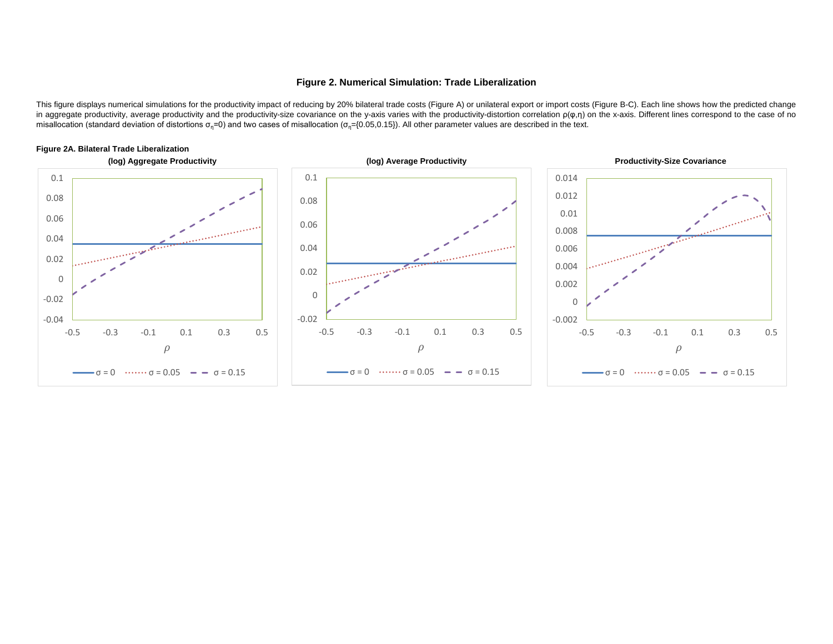#### **Figure 2. Numerical Simulation: Trade Liberalization**

This figure displays numerical simulations for the productivity impact of reducing by 20% bilateral trade costs (Figure A) or unilateral export or import costs (Figure B-C). Each line shows how the predicted change in aggregate productivity, average productivity and the productivity-size covariance on the y-axis varies with the productivity-distortion correlation  $ρ(φ,η)$  on the x-axis. Different lines correspond to the case of no misallocation (standard deviation of distortions  $\sigma_n=0$ ) and two cases of misallocation ( $\sigma_n=(0.05,0.15)$ ). All other parameter values are described in the text.



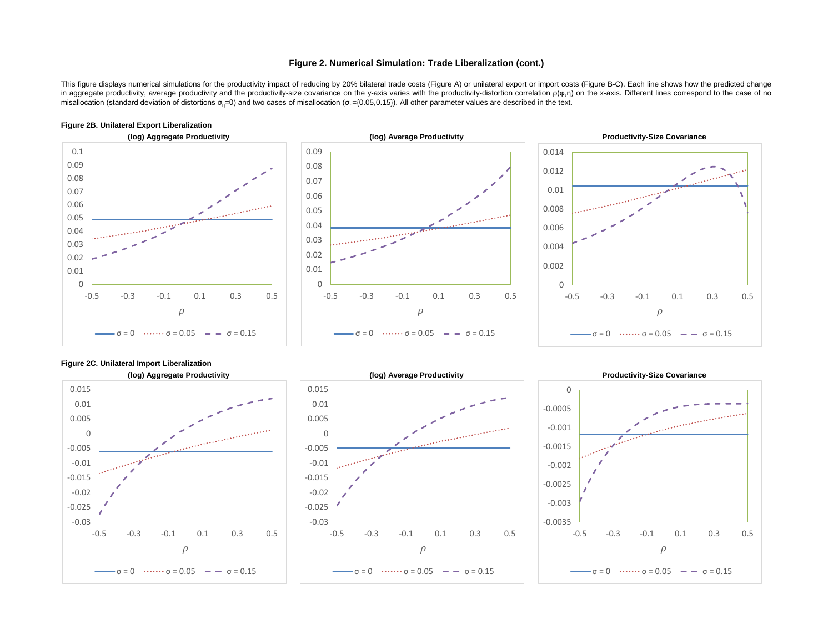#### **Figure 2. Numerical Simulation: Trade Liberalization (cont.)**

This figure displays numerical simulations for the productivity impact of reducing by 20% bilateral trade costs (Figure A) or unilateral export or import costs (Figure B-C). Each line shows how the predicted change in aggregate productivity, average productivity and the productivity-size covariance on the y-axis varies with the productivity-distortion correlation ρ(φ,η) on the x-axis. Different lines correspond to the case of no misallocation (standard deviation of distortions  $\sigma_n = 0$ ) and two cases of misallocation ( $\sigma_n = \{0.05, 0.15\}$ ). All other parameter values are described in the text.



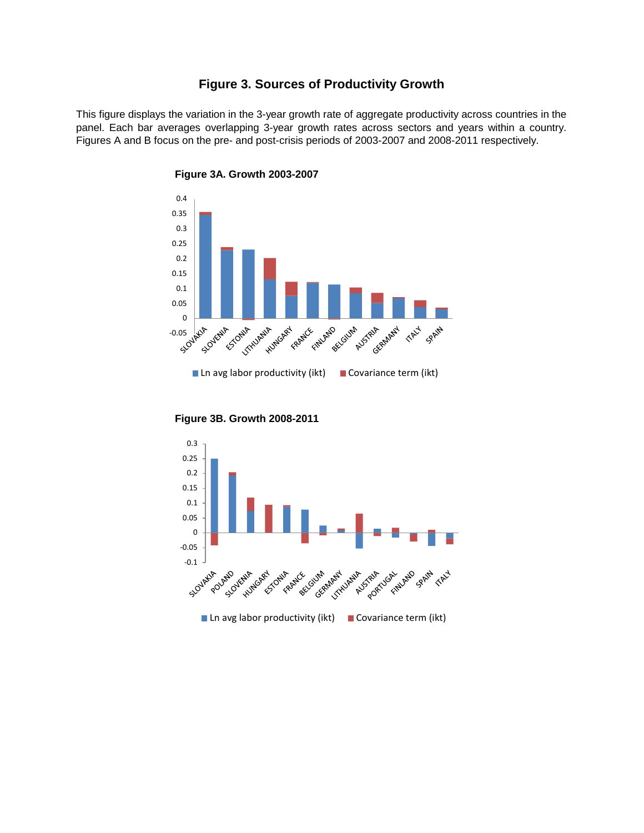## **Figure 3. Sources of Productivity Growth**

This figure displays the variation in the 3-year growth rate of aggregate productivity across countries in the panel. Each bar averages overlapping 3-year growth rates across sectors and years within a country. Figures A and B focus on the pre- and post-crisis periods of 2003-2007 and 2008-2011 respectively.



**Figure 3A. Growth 2003-2007**

**Figure 3B. Growth 2008-2011**

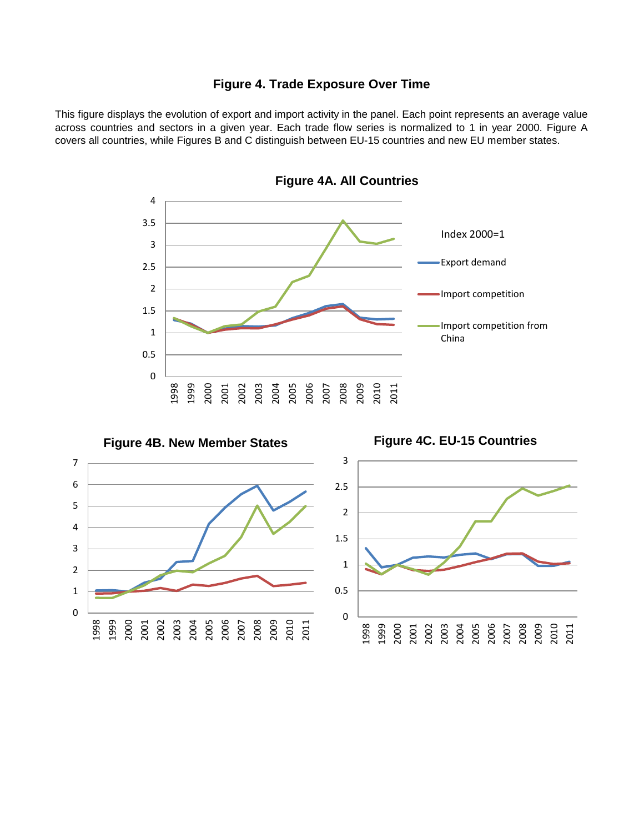# **Figure 4. Trade Exposure Over Time**

This figure displays the evolution of export and import activity in the panel. Each point represents an average value across countries and sectors in a given year. Each trade flow series is normalized to 1 in year 2000. Figure A covers all countries, while Figures B and C distinguish between EU-15 countries and new EU member states.